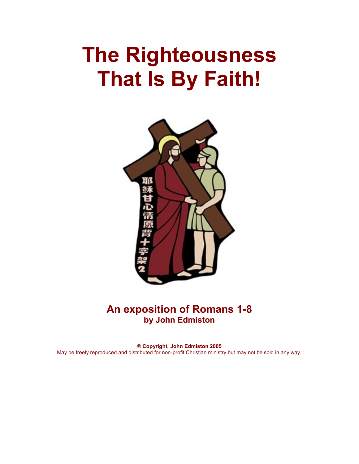# **The Righteousness That Is By Faith!**



# **An exposition of Romans 1-8 by John Edmiston**

**© Copyright, John Edmiston 2005** May be freely reproduced and distributed for non-profit Christian ministry but may not be sold in any way.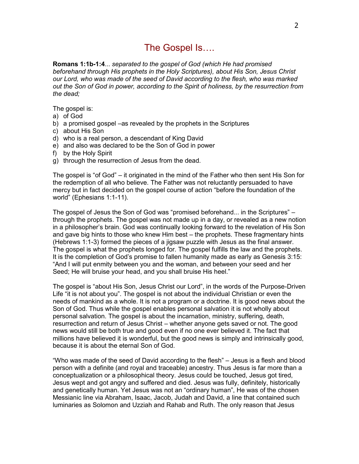# The Gospel Is….

**Romans 1:1b-1:4**... *separated to the gospel of God (which He had promised beforehand through His prophets in the Holy Scriptures), about His Son, Jesus Christ our Lord, who was made of the seed of David according to the flesh, who was marked out the Son of God in power, according to the Spirit of holiness, by the resurrection from the dead;*

The gospel is:

- a) of God
- b) a promised gospel –as revealed by the prophets in the Scriptures
- c) about His Son
- d) who is a real person, a descendant of King David
- e) and also was declared to be the Son of God in power
- f) by the Holy Spirit
- g) through the resurrection of Jesus from the dead.

The gospel is "of God" – it originated in the mind of the Father who then sent His Son for the redemption of all who believe. The Father was not reluctantly persuaded to have mercy but in fact decided on the gospel course of action "before the foundation of the world" (Ephesians 1:1-11).

The gospel of Jesus the Son of God was "promised beforehand... in the Scriptures" – through the prophets. The gospel was not made up in a day, or revealed as a new notion in a philosopher's brain. God was continually looking forward to the revelation of His Son and gave big hints to those who knew Him best – the prophets. These fragmentary hints (Hebrews 1:1-3) formed the pieces of a jigsaw puzzle with Jesus as the final answer. The gospel is what the prophets longed for. The gospel fulfills the law and the prophets. It is the completion of God's promise to fallen humanity made as early as Genesis 3:15: "And I will put enmity between you and the woman, and between your seed and her Seed; He will bruise your head, and you shall bruise His heel."

The gospel is "about His Son, Jesus Christ our Lord", in the words of the Purpose-Driven Life "it is not about you". The gospel is not about the individual Christian or even the needs of mankind as a whole. It is not a program or a doctrine. It is good news about the Son of God. Thus while the gospel enables personal salvation it is not wholly about personal salvation. The gospel is about the incarnation, ministry, suffering, death, resurrection and return of Jesus Christ – whether anyone gets saved or not. The good news would still be both true and good even if no one ever believed it. The fact that millions have believed it is wonderful, but the good news is simply and intrinsically good, because it is about the eternal Son of God.

"Who was made of the seed of David according to the flesh" – Jesus is a flesh and blood person with a definite (and royal and traceable) ancestry. Thus Jesus is far more than a conceptualization or a philosophical theory. Jesus could be touched, Jesus got tired, Jesus wept and got angry and suffered and died. Jesus was fully, definitely, historically and genetically human. Yet Jesus was not an "ordinary human", He was of the chosen Messianic line via Abraham, Isaac, Jacob, Judah and David, a line that contained such luminaries as Solomon and Uzziah and Rahab and Ruth. The only reason that Jesus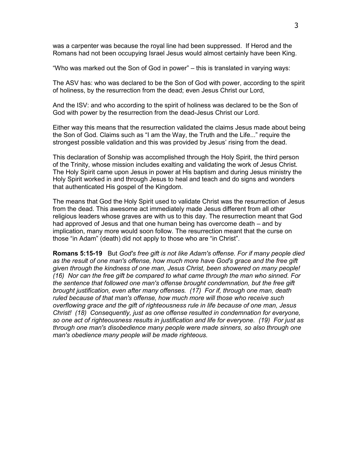was a carpenter was because the royal line had been suppressed. If Herod and the Romans had not been occupying Israel Jesus would almost certainly have been King.

"Who was marked out the Son of God in power" – this is translated in varying ways:

The ASV has: who was declared to be the Son of God with power, according to the spirit of holiness, by the resurrection from the dead; even Jesus Christ our Lord,

And the ISV: and who according to the spirit of holiness was declared to be the Son of God with power by the resurrection from the dead-Jesus Christ our Lord.

Either way this means that the resurrection validated the claims Jesus made about being the Son of God. Claims such as "I am the Way, the Truth and the Life..." require the strongest possible validation and this was provided by Jesus' rising from the dead.

This declaration of Sonship was accomplished through the Holy Spirit, the third person of the Trinity, whose mission includes exalting and validating the work of Jesus Christ. The Holy Spirit came upon Jesus in power at His baptism and during Jesus ministry the Holy Spirit worked in and through Jesus to heal and teach and do signs and wonders that authenticated His gospel of the Kingdom.

The means that God the Holy Spirit used to validate Christ was the resurrection of Jesus from the dead. This awesome act immediately made Jesus different from all other religious leaders whose graves are with us to this day. The resurrection meant that God had approved of Jesus and that one human being has overcome death – and by implication, many more would soon follow. The resurrection meant that the curse on those "in Adam" (death) did not apply to those who are "in Christ".

**Romans 5:15-19** But *God's free gift is not like Adam's offense. For if many people died as the result of one man's offense, how much more have God's grace and the free gift given through the kindness of one man, Jesus Christ, been showered on many people! (16) Nor can the free gift be compared to what came through the man who sinned. For the sentence that followed one man's offense brought condemnation, but the free gift brought justification, even after many offenses. (17) For if, through one man, death ruled because of that man's offense, how much more will those who receive such overflowing grace and the gift of righteousness rule in life because of one man, Jesus Christ! (18) Consequently, just as one offense resulted in condemnation for everyone, so one act of righteousness results in justification and life for everyone. (19) For just as through one man's disobedience many people were made sinners, so also through one man's obedience many people will be made righteous.*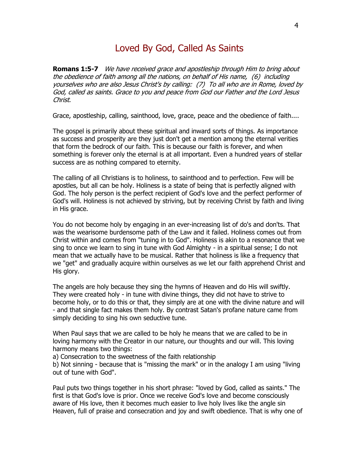# Loved By God, Called As Saints

**Romans 1:5-7** We have received grace and apostleship through Him to bring about the obedience of faith among all the nations, on behalf of His name, (6) including yourselves who are also Jesus Christ's by calling: (7) To all who are in Rome, loved by God, called as saints. Grace to you and peace from God our Father and the Lord Jesus Christ.

Grace, apostleship, calling, sainthood, love, grace, peace and the obedience of faith....

The gospel is primarily about these spiritual and inward sorts of things. As importance as success and prosperity are they just don't get a mention among the eternal verities that form the bedrock of our faith. This is because our faith is forever, and when something is forever only the eternal is at all important. Even a hundred years of stellar success are as nothing compared to eternity.

The calling of all Christians is to holiness, to sainthood and to perfection. Few will be apostles, but all can be holy. Holiness is a state of being that is perfectly aligned with God. The holy person is the perfect recipient of God's love and the perfect performer of God's will. Holiness is not achieved by striving, but by receiving Christ by faith and living in His grace.

You do not become holy by engaging in an ever-increasing list of do's and don'ts. That was the wearisome burdensome path of the Law and it failed. Holiness comes out from Christ within and comes from "tuning in to God". Holiness is akin to a resonance that we sing to once we learn to sing in tune with God Almighty - in a spiritual sense; I do not mean that we actually have to be musical. Rather that holiness is like a frequency that we "get" and gradually acquire within ourselves as we let our faith apprehend Christ and His glory.

The angels are holy because they sing the hymns of Heaven and do His will swiftly. They were created holy - in tune with divine things, they did not have to strive to become holy, or to do this or that, they simply are at one with the divine nature and will - and that single fact makes them holy. By contrast Satan's profane nature came from simply deciding to sing his own seductive tune.

When Paul says that we are called to be holy he means that we are called to be in loving harmony with the Creator in our nature, our thoughts and our will. This loving harmony means two things:

a) Consecration to the sweetness of the faith relationship

b) Not sinning - because that is "missing the mark" or in the analogy I am using "living out of tune with God".

Paul puts two things together in his short phrase: "loved by God, called as saints." The first is that God's love is prior. Once we receive God's love and become consciously aware of His love, then it becomes much easier to live holy lives like the angle sin Heaven, full of praise and consecration and joy and swift obedience. That is why one of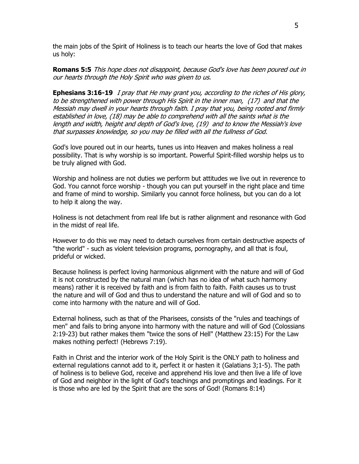the main jobs of the Spirit of Holiness is to teach our hearts the love of God that makes us holy:

**Romans 5:5** This hope does not disappoint, because God's love has been poured out in our hearts through the Holy Spirit who was given to us.

**Ephesians 3:16-19** I pray that He may grant you, according to the riches of His glory, to be strengthened with power through His Spirit in the inner man, (17) and that the Messiah may dwell in your hearts through faith. I pray that you, being rooted and firmly established in love, (18) may be able to comprehend with all the saints what is the length and width, height and depth of God's love, (19) and to know the Messiah's love that surpasses knowledge, so you may be filled with all the fullness of God.

God's love poured out in our hearts, tunes us into Heaven and makes holiness a real possibility. That is why worship is so important. Powerful Spirit-filled worship helps us to be truly aligned with God.

Worship and holiness are not duties we perform but attitudes we live out in reverence to God. You cannot force worship - though you can put yourself in the right place and time and frame of mind to worship. Similarly you cannot force holiness, but you can do a lot to help it along the way.

Holiness is not detachment from real life but is rather alignment and resonance with God in the midst of real life.

However to do this we may need to detach ourselves from certain destructive aspects of "the world" - such as violent television programs, pornography, and all that is foul, prideful or wicked.

Because holiness is perfect loving harmonious alignment with the nature and will of God it is not constructed by the natural man (which has no idea of what such harmony means) rather it is received by faith and is from faith to faith. Faith causes us to trust the nature and will of God and thus to understand the nature and will of God and so to come into harmony with the nature and will of God.

External holiness, such as that of the Pharisees, consists of the "rules and teachings of men" and fails to bring anyone into harmony with the nature and will of God (Colossians 2:19-23) but rather makes them "twice the sons of Hell" (Matthew 23:15) For the Law makes nothing perfect! (Hebrews 7:19).

Faith in Christ and the interior work of the Holy Spirit is the ONLY path to holiness and external regulations cannot add to it, perfect it or hasten it (Galatians 3;1-5). The path of holiness is to believe God, receive and apprehend His love and then live a life of love of God and neighbor in the light of God's teachings and promptings and leadings. For it is those who are led by the Spirit that are the sons of God! (Romans 8:14)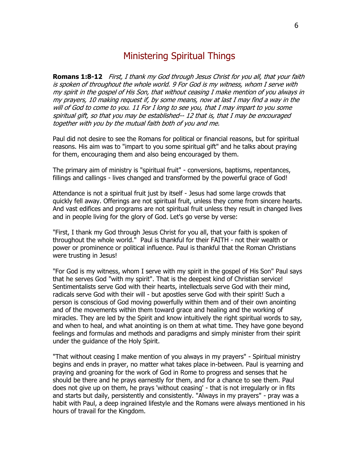# Ministering Spiritual Things

**Romans 1:8-12** First, I thank my God through Jesus Christ for you all, that your faith is spoken of throughout the whole world. 9 For God is my witness, whom I serve with my spirit in the gospel of His Son, that without ceasing I make mention of you always in my prayers, 10 making request if, by some means, now at last I may find a way in the will of God to come to you. 11 For I long to see you, that I may impart to you some spiritual gift, so that you may be established-- 12 that is, that I may be encouraged together with you by the mutual faith both of you and me.

Paul did not desire to see the Romans for political or financial reasons, but for spiritual reasons. His aim was to "impart to you some spiritual gift" and he talks about praying for them, encouraging them and also being encouraged by them.

The primary aim of ministry is "spiritual fruit" - conversions, baptisms, repentances, fillings and callings - lives changed and transformed by the powerful grace of God!

Attendance is not a spiritual fruit just by itself - Jesus had some large crowds that quickly fell away. Offerings are not spiritual fruit, unless they come from sincere hearts. And vast edifices and programs are not spiritual fruit unless they result in changed lives and in people living for the glory of God. Let's go verse by verse:

"First, I thank my God through Jesus Christ for you all, that your faith is spoken of throughout the whole world." Paul is thankful for their FAITH - not their wealth or power or prominence or political influence. Paul is thankful that the Roman Christians were trusting in Jesus!

"For God is my witness, whom I serve with my spirit in the gospel of His Son" Paul says that he serves God "with my spirit". That is the deepest kind of Christian service! Sentimentalists serve God with their hearts, intellectuals serve God with their mind, radicals serve God with their will - but apostles serve God with their spirit! Such a person is conscious of God moving powerfully within them and of their own anointing and of the movements within them toward grace and healing and the working of miracles. They are led by the Spirit and know intuitively the right spiritual words to say, and when to heal, and what anointing is on them at what time. They have gone beyond feelings and formulas and methods and paradigms and simply minister from their spirit under the guidance of the Holy Spirit.

"That without ceasing I make mention of you always in my prayers" - Spiritual ministry begins and ends in prayer, no matter what takes place in-between. Paul is yearning and praying and groaning for the work of God in Rome to progress and senses that he should be there and he prays earnestly for them, and for a chance to see them. Paul does not give up on them, he prays 'without ceasing' - that is not irregularly or in fits and starts but daily, persistently and consistently. "Always in my prayers" - pray was a habit with Paul, a deep ingrained lifestyle and the Romans were always mentioned in his hours of travail for the Kingdom.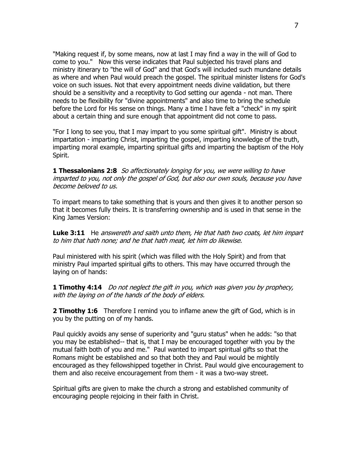"Making request if, by some means, now at last I may find a way in the will of God to come to you." Now this verse indicates that Paul subjected his travel plans and ministry itinerary to "the will of God" and that God's will included such mundane details as where and when Paul would preach the gospel. The spiritual minister listens for God's voice on such issues. Not that every appointment needs divine validation, but there should be a sensitivity and a receptivity to God setting our agenda - not man. There needs to be flexibility for "divine appointments" and also time to bring the schedule before the Lord for His sense on things. Many a time I have felt a "check" in my spirit about a certain thing and sure enough that appointment did not come to pass.

"For I long to see you, that I may impart to you some spiritual gift". Ministry is about impartation - imparting Christ, imparting the gospel, imparting knowledge of the truth, imparting moral example, imparting spiritual gifts and imparting the baptism of the Holy Spirit.

**1 Thessalonians 2:8** So affectionately longing for you, we were willing to have imparted to you, not only the gospel of God, but also our own souls, because you have become beloved to us.

To impart means to take something that is yours and then gives it to another person so that it becomes fully theirs. It is transferring ownership and is used in that sense in the King James Version:

**Luke 3:11** He answereth and saith unto them, He that hath two coats, let him impart to him that hath none; and he that hath meat, let him do likewise.

Paul ministered with his spirit (which was filled with the Holy Spirit) and from that ministry Paul imparted spiritual gifts to others. This may have occurred through the laying on of hands:

**1 Timothy 4:14** Do not neglect the gift in you, which was given you by prophecy, with the laying on of the hands of the body of elders.

**2 Timothy 1:6** Therefore I remind you to inflame anew the gift of God, which is in you by the putting on of my hands.

Paul quickly avoids any sense of superiority and "guru status" when he adds: "so that you may be established-- that is, that I may be encouraged together with you by the mutual faith both of you and me." Paul wanted to impart spiritual gifts so that the Romans might be established and so that both they and Paul would be mightily encouraged as they fellowshipped together in Christ. Paul would give encouragement to them and also receive encouragement from them - it was a two-way street.

Spiritual gifts are given to make the church a strong and established community of encouraging people rejoicing in their faith in Christ.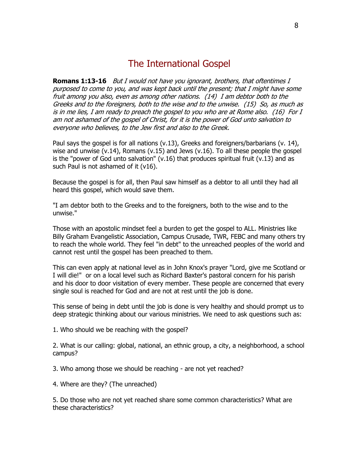# The International Gospel

**Romans 1:13-16** But I would not have you ignorant, brothers, that oftentimes I purposed to come to you, and was kept back until the present; that I might have some fruit among you also, even as among other nations. (14) I am debtor both to the Greeks and to the foreigners, both to the wise and to the unwise. (15) So, as much as is in me lies, I am ready to preach the gospel to you who are at Rome also. (16) For I am not ashamed of the gospel of Christ, for it is the power of God unto salvation to everyone who believes, to the Jew first and also to the Greek.

Paul says the gospel is for all nations (v.13), Greeks and foreigners/barbarians (v. 14), wise and unwise  $(v.14)$ , Romans  $(v.15)$  and Jews  $(v.16)$ . To all these people the gospel is the "power of God unto salvation" (v.16) that produces spiritual fruit (v.13) and as such Paul is not ashamed of it (v16).

Because the gospel is for all, then Paul saw himself as a debtor to all until they had all heard this gospel, which would save them.

"I am debtor both to the Greeks and to the foreigners, both to the wise and to the unwise."

Those with an apostolic mindset feel a burden to get the gospel to ALL. Ministries like Billy Graham Evangelistic Association, Campus Crusade, TWR, FEBC and many others try to reach the whole world. They feel "in debt" to the unreached peoples of the world and cannot rest until the gospel has been preached to them.

This can even apply at national level as in John Knox's prayer "Lord, give me Scotland or I will die!" or on a local level such as Richard Baxter's pastoral concern for his parish and his door to door visitation of every member. These people are concerned that every single soul is reached for God and are not at rest until the job is done.

This sense of being in debt until the job is done is very healthy and should prompt us to deep strategic thinking about our various ministries. We need to ask questions such as:

1. Who should we be reaching with the gospel?

2. What is our calling: global, national, an ethnic group, a city, a neighborhood, a school campus?

3. Who among those we should be reaching - are not yet reached?

4. Where are they? (The unreached)

5. Do those who are not yet reached share some common characteristics? What are these characteristics?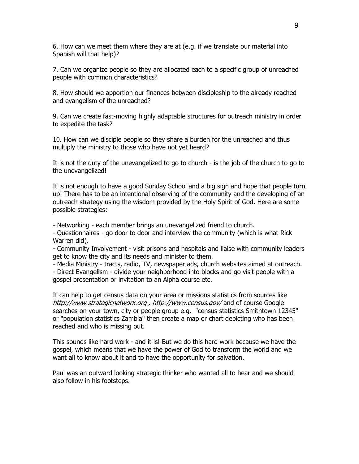6. How can we meet them where they are at (e.g. if we translate our material into Spanish will that help)?

7. Can we organize people so they are allocated each to a specific group of unreached people with common characteristics?

8. How should we apportion our finances between discipleship to the already reached and evangelism of the unreached?

9. Can we create fast-moving highly adaptable structures for outreach ministry in order to expedite the task?

10. How can we disciple people so they share a burden for the unreached and thus multiply the ministry to those who have not yet heard?

It is not the duty of the unevangelized to go to church - is the job of the church to go to the unevangelized!

It is not enough to have a good Sunday School and a big sign and hope that people turn up! There has to be an intentional observing of the community and the developing of an outreach strategy using the wisdom provided by the Holy Spirit of God. Here are some possible strategies:

- Networking - each member brings an unevangelized friend to church.

- Questionnaires - go door to door and interview the community (which is what Rick Warren did).

- Community Involvement - visit prisons and hospitals and liaise with community leaders get to know the city and its needs and minister to them.

- Media Ministry - tracts, radio, TV, newspaper ads, church websites aimed at outreach.

- Direct Evangelism - divide your neighborhood into blocks and go visit people with a gospel presentation or invitation to an Alpha course etc.

It can help to get census data on your area or missions statistics from sources like http://www.strategicnetwork.org , http://www.census.gov/ and of course Google searches on your town, city or people group e.g. "census statistics Smithtown 12345" or "population statistics Zambia" then create a map or chart depicting who has been reached and who is missing out.

This sounds like hard work - and it is! But we do this hard work because we have the gospel, which means that we have the power of God to transform the world and we want all to know about it and to have the opportunity for salvation.

Paul was an outward looking strategic thinker who wanted all to hear and we should also follow in his footsteps.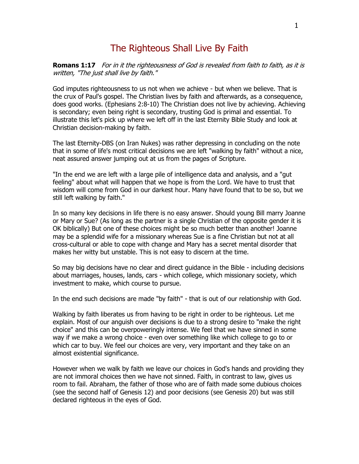# The Righteous Shall Live By Faith

**Romans 1:17** For in it the righteousness of God is revealed from faith to faith, as it is written, "The just shall live by faith."

God imputes righteousness to us not when we achieve - but when we believe. That is the crux of Paul's gospel. The Christian lives by faith and afterwards, as a consequence, does good works. (Ephesians 2:8-10) The Christian does not live by achieving. Achieving is secondary; even being right is secondary, trusting God is primal and essential. To illustrate this let's pick up where we left off in the last Eternity Bible Study and look at Christian decision-making by faith.

The last Eternity-DBS (on Iran Nukes) was rather depressing in concluding on the note that in some of life's most critical decisions we are left "walking by faith" without a nice, neat assured answer jumping out at us from the pages of Scripture.

"In the end we are left with a large pile of intelligence data and analysis, and a "gut feeling" about what will happen that we hope is from the Lord. We have to trust that wisdom will come from God in our darkest hour. Many have found that to be so, but we still left walking by faith."

In so many key decisions in life there is no easy answer. Should young Bill marry Joanne or Mary or Sue? (As long as the partner is a single Christian of the opposite gender it is OK biblically) But one of these choices might be so much better than another! Joanne may be a splendid wife for a missionary whereas Sue is a fine Christian but not at all cross-cultural or able to cope with change and Mary has a secret mental disorder that makes her witty but unstable. This is not easy to discern at the time.

So may big decisions have no clear and direct guidance in the Bible - including decisions about marriages, houses, lands, cars - which college, which missionary society, which investment to make, which course to pursue.

In the end such decisions are made "by faith" - that is out of our relationship with God.

Walking by faith liberates us from having to be right in order to be righteous. Let me explain. Most of our anguish over decisions is due to a strong desire to "make the right choice" and this can be overpoweringly intense. We feel that we have sinned in some way if we make a wrong choice - even over something like which college to go to or which car to buy. We feel our choices are very, very important and they take on an almost existential significance.

However when we walk by faith we leave our choices in God's hands and providing they are not immoral choices then we have not sinned. Faith, in contrast to law, gives us room to fail. Abraham, the father of those who are of faith made some dubious choices (see the second half of Genesis 12) and poor decisions (see Genesis 20) but was still declared righteous in the eyes of God.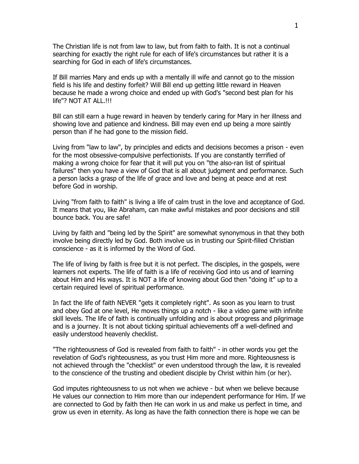The Christian life is not from law to law, but from faith to faith. It is not a continual searching for exactly the right rule for each of life's circumstances but rather it is a searching for God in each of life's circumstances.

If Bill marries Mary and ends up with a mentally ill wife and cannot go to the mission field is his life and destiny forfeit? Will Bill end up getting little reward in Heaven because he made a wrong choice and ended up with God's "second best plan for his life"? NOT AT ALL.!!!

Bill can still earn a huge reward in heaven by tenderly caring for Mary in her illness and showing love and patience and kindness. Bill may even end up being a more saintly person than if he had gone to the mission field.

Living from "law to law", by principles and edicts and decisions becomes a prison - even for the most obsessive-compulsive perfectionists. If you are constantly terrified of making a wrong choice for fear that it will put you on "the also-ran list of spiritual failures" then you have a view of God that is all about judgment and performance. Such a person lacks a grasp of the life of grace and love and being at peace and at rest before God in worship.

Living "from faith to faith" is living a life of calm trust in the love and acceptance of God. It means that you, like Abraham, can make awful mistakes and poor decisions and still bounce back. You are safe!

Living by faith and "being led by the Spirit" are somewhat synonymous in that they both involve being directly led by God. Both involve us in trusting our Spirit-filled Christian conscience - as it is informed by the Word of God.

The life of living by faith is free but it is not perfect. The disciples, in the gospels, were learners not experts. The life of faith is a life of receiving God into us and of learning about Him and His ways. It is NOT a life of knowing about God then "doing it" up to a certain required level of spiritual performance.

In fact the life of faith NEVER "gets it completely right". As soon as you learn to trust and obey God at one level, He moves things up a notch - like a video game with infinite skill levels. The life of faith is continually unfolding and is about progress and pilgrimage and is a journey. It is not about ticking spiritual achievements off a well-defined and easily understood heavenly checklist.

"The righteousness of God is revealed from faith to faith" - in other words you get the revelation of God's righteousness, as you trust Him more and more. Righteousness is not achieved through the "checklist" or even understood through the law, it is revealed to the conscience of the trusting and obedient disciple by Christ within him (or her).

God imputes righteousness to us not when we achieve - but when we believe because He values our connection to Him more than our independent performance for Him. If we are connected to God by faith then He can work in us and make us perfect in time, and grow us even in eternity. As long as have the faith connection there is hope we can be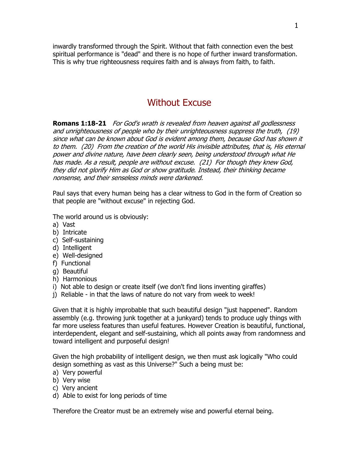inwardly transformed through the Spirit. Without that faith connection even the best spiritual performance is "dead" and there is no hope of further inward transformation. This is why true righteousness requires faith and is always from faith, to faith.

# Without Excuse

**Romans 1:18-21** For God's wrath is revealed from heaven against all godlessness and unrighteousness of people who by their unrighteousness suppress the truth, (19) since what can be known about God is evident among them, because God has shown it to them. (20) From the creation of the world His invisible attributes, that is, His eternal power and divine nature, have been clearly seen, being understood through what He has made. As a result, people are without excuse. (21) For though they knew God, they did not glorify Him as God or show gratitude. Instead, their thinking became nonsense, and their senseless minds were darkened.

Paul says that every human being has a clear witness to God in the form of Creation so that people are "without excuse" in rejecting God.

The world around us is obviously:

- a) Vast
- b) Intricate
- c) Self-sustaining
- d) Intelligent
- e) Well-designed
- f) Functional
- g) Beautiful
- h) Harmonious
- i) Not able to design or create itself (we don't find lions inventing giraffes)
- j) Reliable in that the laws of nature do not vary from week to week!

Given that it is highly improbable that such beautiful design "just happened". Random assembly (e.g. throwing junk together at a junkyard) tends to produce ugly things with far more useless features than useful features. However Creation is beautiful, functional, interdependent, elegant and self-sustaining, which all points away from randomness and toward intelligent and purposeful design!

Given the high probability of intelligent design, we then must ask logically "Who could design something as vast as this Universe?" Such a being must be:

- a) Very powerful
- b) Very wise
- c) Very ancient
- d) Able to exist for long periods of time

Therefore the Creator must be an extremely wise and powerful eternal being.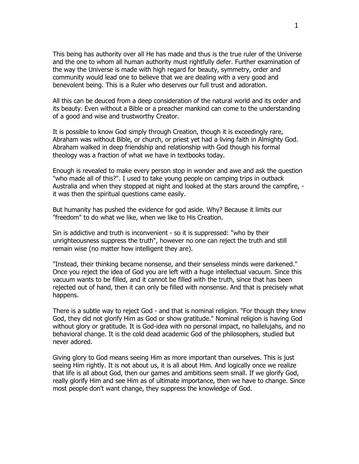This being has authority over all He has made and thus is the true ruler of the Universe and the one to whom all human authority must rightfully defer. Further examination of the way the Universe is made with high regard for beauty, symmetry, order and community would lead one to believe that we are dealing with a very good and benevolent being. This is a Ruler who deserves our full trust and adoration.

All this can be deuced from a deep consideration of the natural world and its order and its beauty. Even without a Bible or a preacher mankind can come to the understanding of a good and wise and trustworthy Creator.

It is possible to know God simply through Creation, though it is exceedingly rare, Abraham was without Bible, or church, or priest yet had a living faith in Almighty God. Abraham walked in deep friendship and relationship with God though his formal theology was a fraction of what we have in textbooks today.

Enough is revealed to make every person stop in wonder and awe and ask the question "who made all of this?". I used to take young people on camping trips in outback Australia and when they stopped at night and looked at the stars around the campfire, it was then the spiritual questions came easily.

But humanity has pushed the evidence for god aside. Why? Because it limits our "freedom" to do what we like, when we like to His Creation.

Sin is addictive and truth is inconvenient - so it is suppressed: "who by their unrighteousness suppress the truth", however no one can reject the truth and still remain wise (no matter how intelligent they are).

"Instead, their thinking became nonsense, and their senseless minds were darkened." Once you reject the idea of God you are left with a huge intellectual vacuum. Since this vacuum wants to be filled, and it cannot be filled with the truth, since that has been rejected out of hand, then it can only be filled with nonsense. And that is precisely what happens.

There is a subtle way to reject God - and that is nominal religion. "For though they knew God, they did not glorify Him as God or show gratitude." Nominal religion is having God without glory or gratitude. It is God-idea with no personal impact, no hallelujahs, and no behavioral change. It is the cold dead academic God of the philosophers, studied but never adored.

Giving glory to God means seeing Him as more important than ourselves. This is just seeing Him rightly. It is not about us, it is all about Him. And logically once we realize that life is all about God, then our games and ambitions seem small. If we glorify God, really glorify Him and see Him as of ultimate importance, then we have to change. Since most people don't want change, they suppress the knowledge of God.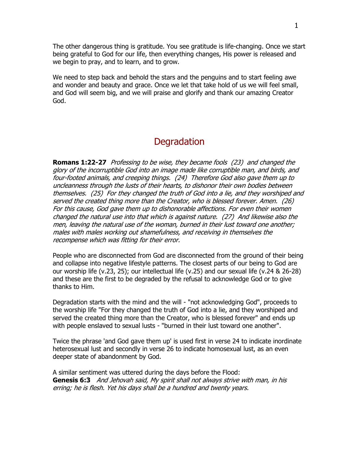The other dangerous thing is gratitude. You see gratitude is life-changing. Once we start being grateful to God for our life, then everything changes, His power is released and we begin to pray, and to learn, and to grow.

We need to step back and behold the stars and the penguins and to start feeling awe and wonder and beauty and grace. Once we let that take hold of us we will feel small, and God will seem big, and we will praise and glorify and thank our amazing Creator God.

# **Degradation**

**Romans 1:22-27** Professing to be wise, they became fools (23) and changed the glory of the incorruptible God into an image made like corruptible man, and birds, and four-footed animals, and creeping things. (24) Therefore God also gave them up to uncleanness through the lusts of their hearts, to dishonor their own bodies between themselves. (25) For they changed the truth of God into a lie, and they worshiped and served the created thing more than the Creator, who is blessed forever. Amen. (26) For this cause, God gave them up to dishonorable affections. For even their women changed the natural use into that which is against nature. (27) And likewise also the men, leaving the natural use of the woman, burned in their lust toward one another; males with males working out shamefulness, and receiving in themselves the recompense which was fitting for their error.

People who are disconnected from God are disconnected from the ground of their being and collapse into negative lifestyle patterns. The closest parts of our being to God are our worship life (v.23, 25); our intellectual life (v.25) and our sexual life (v.24 & 26-28) and these are the first to be degraded by the refusal to acknowledge God or to give thanks to Him.

Degradation starts with the mind and the will - "not acknowledging God", proceeds to the worship life "For they changed the truth of God into a lie, and they worshiped and served the created thing more than the Creator, who is blessed forever" and ends up with people enslaved to sexual lusts - "burned in their lust toward one another".

Twice the phrase 'and God gave them up' is used first in verse 24 to indicate inordinate heterosexual lust and secondly in verse 26 to indicate homosexual lust, as an even deeper state of abandonment by God.

A similar sentiment was uttered during the days before the Flood: **Genesis 6:3** And Jehovah said, My spirit shall not always strive with man, in his erring; he is flesh. Yet his days shall be a hundred and twenty years.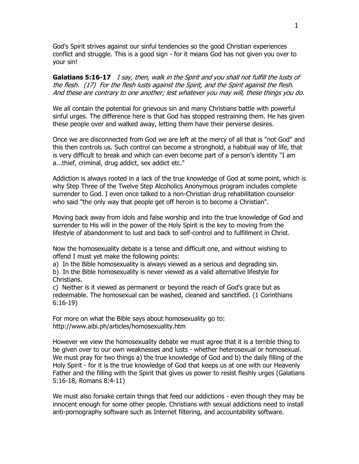God's Spirit strives against our sinful tendencies so the good Christian experiences conflict and struggle. This is a good sign - for it means God has not given you over to your sin!

Galatians 5:16-17 *I say, then, walk in the Spirit and you shall not fulfill the lusts of* the flesh. (17) For the flesh lusts against the Spirit, and the Spirit against the flesh. And these are contrary to one another; lest whatever you may will, these things you do.

We all contain the potential for grievous sin and many Christians battle with powerful sinful urges. The difference here is that God has stopped restraining them. He has given these people over and walked away, letting them have their perverse desires.

Once we are disconnected from God we are left at the mercy of all that is "not God" and this then controls us. Such control can become a stronghold, a habitual way of life, that is very difficult to break and which can even become part of a person's identity "I am a...thief, criminal, drug addict, sex addict etc."

Addiction is always rooted in a lack of the true knowledge of God at some point, which is why Step Three of the Twelve Step Alcoholics Anonymous program includes complete surrender to God. I even once talked to a non-Christian drug rehabilitation counselor who said "the only way that people get off heroin is to become a Christian".

Moving back away from idols and false worship and into the true knowledge of God and surrender to His will in the power of the Holy Spirit is the key to moving from the lifestyle of abandonment to lust and back to self-control and to fulfillment in Christ.

Now the homosexuality debate is a tense and difficult one, and without wishing to offend I must yet make the following points:

a) In the Bible homosexuality is always viewed as a serious and degrading sin.

b) In the Bible homosexuality is never viewed as a valid alternative lifestyle for Christians.

c) Neither is it viewed as permanent or beyond the reach of God's grace but as redeemable. The homosexual can be washed, cleaned and sanctified. (1 Corinthians 6:16-19)

For more on what the Bible says about homosexuality go to: http://www.aibi.ph/articles/homosexuality.htm

However we view the homosexuality debate we must agree that it is a terrible thing to be given over to our own weaknesses and lusts - whether heterosexual or homosexual. We must pray for two things a) the true knowledge of God and b) the daily filling of the Holy Spirit - for it is the true knowledge of God that keeps us at one with our Heavenly Father and the filling with the Spirit that gives us power to resist fleshly urges (Galatians 5:16-18, Romans 8:4-11)

We must also forsake certain things that feed our addictions - even though they may be innocent enough for some other people. Christians with sexual addictions need to install anti-pornography software such as Internet filtering, and accountability software.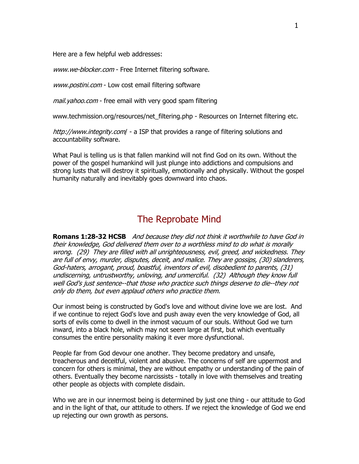Here are a few helpful web addresses:

www.we-blocker.com - Free Internet filtering software.

www.postini.com - Low cost email filtering software

mail. yahoo.com - free email with very good spam filtering

www.techmission.org/resources/net\_filtering.php - Resources on Internet filtering etc.

http://www.integrity.com/ - a ISP that provides a range of filtering solutions and accountability software.

What Paul is telling us is that fallen mankind will not find God on its own. Without the power of the gospel humankind will just plunge into addictions and compulsions and strong lusts that will destroy it spiritually, emotionally and physically. Without the gospel humanity naturally and inevitably goes downward into chaos.

# The Reprobate Mind

**Romans 1:28-32 HCSB** And because they did not think it worthwhile to have God in their knowledge, God delivered them over to a worthless mind to do what is morally wrong. (29) They are filled with all unrighteousness, evil, greed, and wickedness. They are full of envy, murder, disputes, deceit, and malice. They are gossips, (30) slanderers, God-haters, arrogant, proud, boastful, inventors of evil, disobedient to parents, (31) undiscerning, untrustworthy, unloving, and unmerciful. (32) Although they know full well God's just sentence--that those who practice such things deserve to die--they not only do them, but even applaud others who practice them.

Our inmost being is constructed by God's love and without divine love we are lost. And if we continue to reject God's love and push away even the very knowledge of God, all sorts of evils come to dwell in the inmost vacuum of our souls. Without God we turn inward, into a black hole, which may not seem large at first, but which eventually consumes the entire personality making it ever more dysfunctional.

People far from God devour one another. They become predatory and unsafe, treacherous and deceitful, violent and abusive. The concerns of self are uppermost and concern for others is minimal, they are without empathy or understanding of the pain of others. Eventually they become narcissists - totally in love with themselves and treating other people as objects with complete disdain.

Who we are in our innermost being is determined by just one thing - our attitude to God and in the light of that, our attitude to others. If we reject the knowledge of God we end up rejecting our own growth as persons.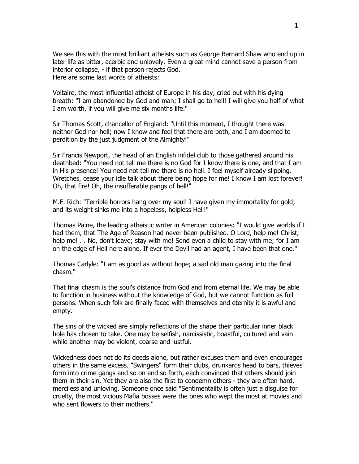We see this with the most brilliant atheists such as George Bernard Shaw who end up in later life as bitter, acerbic and unlovely. Even a great mind cannot save a person from interior collapse, - if that person rejects God. Here are some last words of atheists:

Voltaire, the most influential atheist of Europe in his day, cried out with his dying breath: "I am abandoned by God and man; I shall go to hell! I will give you half of what I am worth, if you will give me six months life."

Sir Thomas Scott, chancellor of England: "Until this moment, I thought there was neither God nor hell; now I know and feel that there are both, and I am doomed to perdition by the just judgment of the Almighty!"

Sir Francis Newport, the head of an English infidel club to those gathered around his deathbed: "You need not tell me there is no God for I know there is one, and that I am in His presence! You need not tell me there is no hell. I feel myself already slipping. Wretches, cease your idle talk about there being hope for me! I know I am lost forever! Oh, that fire! Oh, the insufferable pangs of hell!"

M.F. Rich: "Terrible horrors hang over my soul! I have given my immortality for gold; and its weight sinks me into a hopeless, helpless Hell!"

Thomas Paine, the leading atheistic writer in American colonies: "I would give worlds if I had them, that The Age of Reason had never been published. O Lord, help me! Christ, help me! . . No, don't leave; stay with me! Send even a child to stay with me; for I am on the edge of Hell here alone. If ever the Devil had an agent, I have been that one."

Thomas Carlyle: "I am as good as without hope; a sad old man gazing into the final chasm."

That final chasm is the soul's distance from God and from eternal life. We may be able to function in business without the knowledge of God, but we cannot function as full persons. When such folk are finally faced with themselves and eternity it is awful and empty.

The sins of the wicked are simply reflections of the shape their particular inner black hole has chosen to take. One may be selfish, narcissistic, boastful, cultured and vain while another may be violent, coarse and lustful.

Wickedness does not do its deeds alone, but rather excuses them and even encourages others in the same excess. "Swingers" form their clubs, drunkards head to bars, thieves form into crime gangs and so on and so forth, each convinced that others should join them in their sin. Yet they are also the first to condemn others - they are often hard, merciless and unloving. Someone once said "Sentimentality is often just a disguise for cruelty, the most vicious Mafia bosses were the ones who wept the most at movies and who sent flowers to their mothers."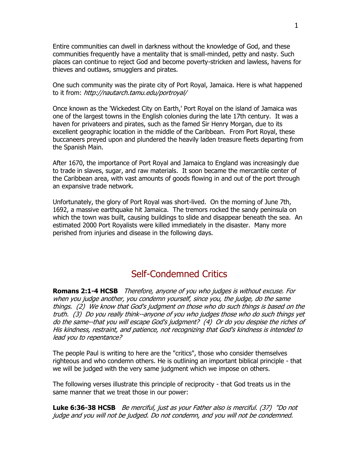Entire communities can dwell in darkness without the knowledge of God, and these communities frequently have a mentality that is small-minded, petty and nasty. Such places can continue to reject God and become poverty-stricken and lawless, havens for thieves and outlaws, smugglers and pirates.

One such community was the pirate city of Port Royal, Jamaica. Here is what happened to it from: http://nautarch.tamu.edu/portroyal/

Once known as the 'Wickedest City on Earth,' Port Royal on the island of Jamaica was one of the largest towns in the English colonies during the late 17th century. It was a haven for privateers and pirates, such as the famed Sir Henry Morgan, due to its excellent geographic location in the middle of the Caribbean. From Port Royal, these buccaneers preyed upon and plundered the heavily laden treasure fleets departing from the Spanish Main.

After 1670, the importance of Port Royal and Jamaica to England was increasingly due to trade in slaves, sugar, and raw materials. It soon became the mercantile center of the Caribbean area, with vast amounts of goods flowing in and out of the port through an expansive trade network.

Unfortunately, the glory of Port Royal was short-lived. On the morning of June 7th, 1692, a massive earthquake hit Jamaica. The tremors rocked the sandy peninsula on which the town was built, causing buildings to slide and disappear beneath the sea. An estimated 2000 Port Royalists were killed immediately in the disaster. Many more perished from injuries and disease in the following days.

# Self-Condemned Critics

**Romans 2:1-4 HCSB** Therefore, anyone of you who judges is without excuse. For when you judge another, you condemn yourself, since you, the judge, do the same things. (2) We know that God's judgment on those who do such things is based on the truth. (3) Do you really think--anyone of you who judges those who do such things yet do the same--that you will escape God's judgment? (4) Or do you despise the riches of His kindness, restraint, and patience, not recognizing that God's kindness is intended to lead you to repentance?

The people Paul is writing to here are the "critics", those who consider themselves righteous and who condemn others. He is outlining an important biblical principle - that we will be judged with the very same judgment which we impose on others.

The following verses illustrate this principle of reciprocity - that God treats us in the same manner that we treat those in our power:

**Luke 6:36-38 HCSB** Be merciful, just as your Father also is merciful. (37) "Do not judge and you will not be judged. Do not condemn, and you will not be condemned.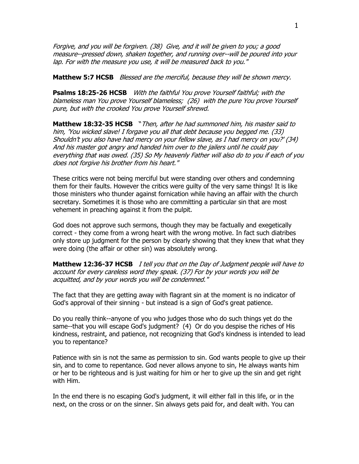Forgive, and you will be forgiven. (38) Give, and it will be given to you; a good measure--pressed down, shaken together, and running over--will be poured into your lap. For with the measure you use, it will be measured back to you."

**Matthew 5:7 HCSB** Blessed are the merciful, because they will be shown mercy.

**Psalms 18:25-26 HCSB** With the faithful You prove Yourself faithful; with the blameless man You prove Yourself blameless; (26) with the pure You prove Yourself pure, but with the crooked You prove Yourself shrewd.

**Matthew 18:32-35 HCSB** "Then, after he had summoned him, his master said to him, 'You wicked slave! I forgave you all that debt because you begged me. (33) Shouldn't you also have had mercy on your fellow slave, as I had mercy on you?' (34) And his master got angry and handed him over to the jailers until he could pay everything that was owed. (35) So My heavenly Father will also do to you if each of you does not forgive his brother from his heart."

These critics were not being merciful but were standing over others and condemning them for their faults. However the critics were guilty of the very same things! It is like those ministers who thunder against fornication while having an affair with the church secretary. Sometimes it is those who are committing a particular sin that are most vehement in preaching against it from the pulpit.

God does not approve such sermons, though they may be factually and exegetically correct - they come from a wrong heart with the wrong motive. In fact such diatribes only store up judgment for the person by clearly showing that they knew that what they were doing (the affair or other sin) was absolutely wrong.

**Matthew 12:36-37 HCSB** I tell you that on the Day of Judgment people will have to account for every careless word they speak. (37) For by your words you will be acquitted, and by your words you will be condemned."

The fact that they are getting away with flagrant sin at the moment is no indicator of God's approval of their sinning - but instead is a sign of God's great patience.

Do you really think--anyone of you who judges those who do such things yet do the same--that you will escape God's judgment? (4) Or do you despise the riches of His kindness, restraint, and patience, not recognizing that God's kindness is intended to lead you to repentance?

Patience with sin is not the same as permission to sin. God wants people to give up their sin, and to come to repentance. God never allows anyone to sin, He always wants him or her to be righteous and is just waiting for him or her to give up the sin and get right with Him.

In the end there is no escaping God's judgment, it will either fall in this life, or in the next, on the cross or on the sinner. Sin always gets paid for, and dealt with. You can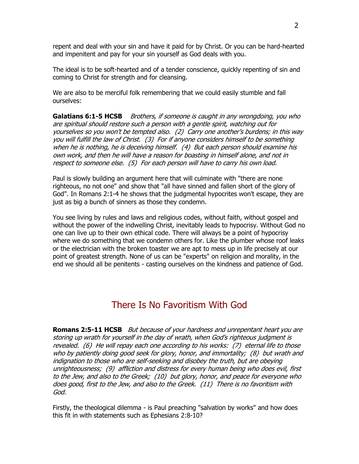repent and deal with your sin and have it paid for by Christ. Or you can be hard-hearted and impenitent and pay for your sin yourself as God deals with you.

The ideal is to be soft-hearted and of a tender conscience, quickly repenting of sin and coming to Christ for strength and for cleansing.

We are also to be merciful folk remembering that we could easily stumble and fall ourselves:

**Galatians 6:1-5 HCSB** Brothers, if someone is caught in any wrongdoing, you who are spiritual should restore such a person with a gentle spirit, watching out for yourselves so you won't be tempted also. (2) Carry one another's burdens; in this way you will fulfill the law of Christ. (3) For if anyone considers himself to be something when he is nothing, he is deceiving himself. (4) But each person should examine his own work, and then he will have a reason for boasting in himself alone, and not in respect to someone else. (5) For each person will have to carry his own load.

Paul is slowly building an argument here that will culminate with "there are none righteous, no not one" and show that "all have sinned and fallen short of the glory of God". In Romans 2:1-4 he shows that the judgmental hypocrites won't escape, they are just as big a bunch of sinners as those they condemn.

You see living by rules and laws and religious codes, without faith, without gospel and without the power of the indwelling Christ, inevitably leads to hypocrisy. Without God no one can live up to their own ethical code. There will always be a point of hypocrisy where we do something that we condemn others for. Like the plumber whose roof leaks or the electrician with the broken toaster we are apt to mess up in life precisely at our point of greatest strength. None of us can be "experts" on religion and morality, in the end we should all be penitents - casting ourselves on the kindness and patience of God.

# There Is No Favoritism With God

**Romans 2:5-11 HCSB** But because of your hardness and unrepentant heart you are storing up wrath for yourself in the day of wrath, when God's righteous judgment is revealed. (6) He will repay each one according to his works: (7) eternal life to those who by patiently doing good seek for glory, honor, and immortality; (8) but wrath and indignation to those who are self-seeking and disobey the truth, but are obeying unrighteousness; (9) affliction and distress for every human being who does evil, first to the Jew, and also to the Greek; (10) but glory, honor, and peace for everyone who does good, first to the Jew, and also to the Greek. (11) There is no favoritism with God.

Firstly, the theological dilemma - is Paul preaching "salvation by works" and how does this fit in with statements such as Ephesians 2:8-10?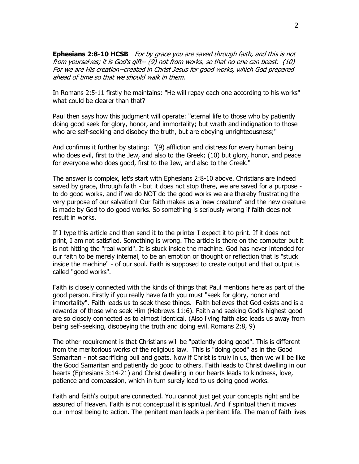**Ephesians 2:8-10 HCSB** For by grace you are saved through faith, and this is not from yourselves; it is God's gift-- (9) not from works, so that no one can boast. (10) For we are His creation--created in Christ Jesus for good works, which God prepared ahead of time so that we should walk in them.

In Romans 2:5-11 firstly he maintains: "He will repay each one according to his works" what could be clearer than that?

Paul then says how this judgment will operate: "eternal life to those who by patiently doing good seek for glory, honor, and immortality; but wrath and indignation to those who are self-seeking and disobey the truth, but are obeying unrighteousness;"

And confirms it further by stating: "(9) affliction and distress for every human being who does evil, first to the Jew, and also to the Greek; (10) but glory, honor, and peace for everyone who does good, first to the Jew, and also to the Greek."

The answer is complex, let's start with Ephesians 2:8-10 above. Christians are indeed saved by grace, through faith - but it does not stop there, we are saved for a purpose to do good works, and if we do NOT do the good works we are thereby frustrating the very purpose of our salvation! Our faith makes us a 'new creature" and the new creature is made by God to do good works. So something is seriously wrong if faith does not result in works.

If I type this article and then send it to the printer I expect it to print. If it does not print, I am not satisfied. Something is wrong. The article is there on the computer but it is not hitting the "real world". It is stuck inside the machine. God has never intended for our faith to be merely internal, to be an emotion or thought or reflection that is "stuck inside the machine" - of our soul. Faith is supposed to create output and that output is called "good works".

Faith is closely connected with the kinds of things that Paul mentions here as part of the good person. Firstly if you really have faith you must "seek for glory, honor and immortality". Faith leads us to seek these things. Faith believes that God exists and is a rewarder of those who seek Him (Hebrews 11:6). Faith and seeking God's highest good are so closely connected as to almost identical. (Also living faith also leads us away from being self-seeking, disobeying the truth and doing evil. Romans 2:8, 9)

The other requirement is that Christians will be "patiently doing good". This is different from the meritorious works of the religious law. This is "doing good" as in the Good Samaritan - not sacrificing bull and goats. Now if Christ is truly in us, then we will be like the Good Samaritan and patiently do good to others. Faith leads to Christ dwelling in our hearts (Ephesians 3:14-21) and Christ dwelling in our hearts leads to kindness, love, patience and compassion, which in turn surely lead to us doing good works.

Faith and faith's output are connected. You cannot just get your concepts right and be assured of Heaven. Faith is not conceptual it is spiritual. And if spiritual then it moves our inmost being to action. The penitent man leads a penitent life. The man of faith lives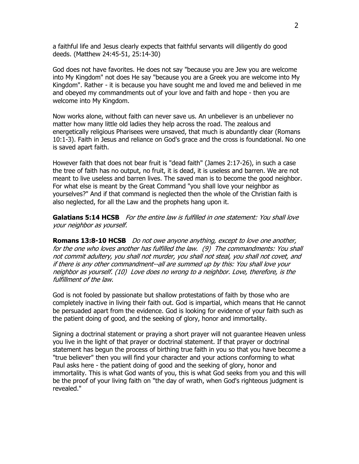a faithful life and Jesus clearly expects that faithful servants will diligently do good deeds. (Matthew 24:45-51, 25:14-30)

God does not have favorites. He does not say "because you are Jew you are welcome into My Kingdom" not does He say "because you are a Greek you are welcome into My Kingdom". Rather - it is because you have sought me and loved me and believed in me and obeyed my commandments out of your love and faith and hope - then you are welcome into My Kingdom.

Now works alone, without faith can never save us. An unbeliever is an unbeliever no matter how many little old ladies they help across the road. The zealous and energetically religious Pharisees were unsaved, that much is abundantly clear (Romans 10:1-3). Faith in Jesus and reliance on God's grace and the cross is foundational. No one is saved apart faith.

However faith that does not bear fruit is "dead faith" (James 2:17-26), in such a case the tree of faith has no output, no fruit, it is dead, it is useless and barren. We are not meant to live useless and barren lives. The saved man is to become the good neighbor. For what else is meant by the Great Command "you shall love your neighbor as yourselves?" And if that command is neglected then the whole of the Christian faith is also neglected, for all the Law and the prophets hang upon it.

**Galatians 5:14 HCSB** For the entire law is fulfilled in one statement: You shall love your neighbor as yourself.

**Romans 13:8-10 HCSB** Do not owe anyone anything, except to love one another, for the one who loves another has fulfilled the law. (9) The commandments: You shall not commit adultery, you shall not murder, you shall not steal, you shall not covet, and if there is any other commandment--all are summed up by this: You shall love your neighbor as yourself. (10) Love does no wrong to a neighbor. Love, therefore, is the fulfillment of the law.

God is not fooled by passionate but shallow protestations of faith by those who are completely inactive in living their faith out. God is impartial, which means that He cannot be persuaded apart from the evidence. God is looking for evidence of your faith such as the patient doing of good, and the seeking of glory, honor and immortality.

Signing a doctrinal statement or praying a short prayer will not guarantee Heaven unless you live in the light of that prayer or doctrinal statement. If that prayer or doctrinal statement has begun the process of birthing true faith in you so that you have become a "true believer" then you will find your character and your actions conforming to what Paul asks here - the patient doing of good and the seeking of glory, honor and immortality. This is what God wants of you, this is what God seeks from you and this will be the proof of your living faith on "the day of wrath, when God's righteous judgment is revealed."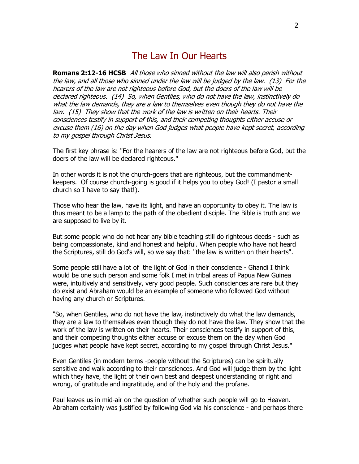# The Law In Our Hearts

**Romans 2:12-16 HCSB** All those who sinned without the law will also perish without the law, and all those who sinned under the law will be judged by the law. (13) For the hearers of the law are not righteous before God, but the doers of the law will be declared righteous. (14) So, when Gentiles, who do not have the law, instinctively do what the law demands, they are a law to themselves even though they do not have the law. (15) They show that the work of the law is written on their hearts. Their consciences testify in support of this, and their competing thoughts either accuse or excuse them (16) on the day when God judges what people have kept secret, according to my gospel through Christ Jesus.

The first key phrase is: "For the hearers of the law are not righteous before God, but the doers of the law will be declared righteous."

In other words it is not the church-goers that are righteous, but the commandmentkeepers. Of course church-going is good if it helps you to obey God! (I pastor a small church so I have to say that!).

Those who hear the law, have its light, and have an opportunity to obey it. The law is thus meant to be a lamp to the path of the obedient disciple. The Bible is truth and we are supposed to live by it.

But some people who do not hear any bible teaching still do righteous deeds - such as being compassionate, kind and honest and helpful. When people who have not heard the Scriptures, still do God's will, so we say that: "the law is written on their hearts".

Some people still have a lot of the light of God in their conscience - Ghandi I think would be one such person and some folk I met in tribal areas of Papua New Guinea were, intuitively and sensitively, very good people. Such consciences are rare but they do exist and Abraham would be an example of someone who followed God without having any church or Scriptures.

"So, when Gentiles, who do not have the law, instinctively do what the law demands, they are a law to themselves even though they do not have the law. They show that the work of the law is written on their hearts. Their consciences testify in support of this, and their competing thoughts either accuse or excuse them on the day when God judges what people have kept secret, according to my gospel through Christ Jesus."

Even Gentiles (in modern terms -people without the Scriptures) can be spiritually sensitive and walk according to their consciences. And God will judge them by the light which they have, the light of their own best and deepest understanding of right and wrong, of gratitude and ingratitude, and of the holy and the profane.

Paul leaves us in mid-air on the question of whether such people will go to Heaven. Abraham certainly was justified by following God via his conscience - and perhaps there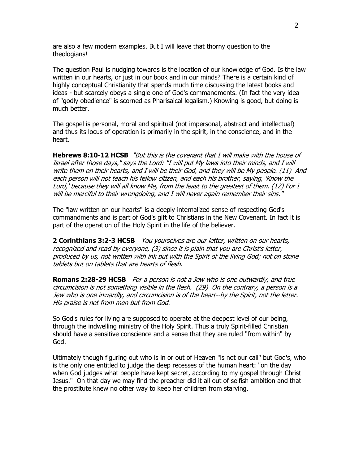are also a few modern examples. But I will leave that thorny question to the theologians!

The question Paul is nudging towards is the location of our knowledge of God. Is the law written in our hearts, or just in our book and in our minds? There is a certain kind of highly conceptual Christianity that spends much time discussing the latest books and ideas - but scarcely obeys a single one of God's commandments. (In fact the very idea of "godly obedience" is scorned as Pharisaical legalism.) Knowing is good, but doing is much better.

The gospel is personal, moral and spiritual (not impersonal, abstract and intellectual) and thus its locus of operation is primarily in the spirit, in the conscience, and in the heart.

**Hebrews 8:10-12 HCSB** "But this is the covenant that I will make with the house of Israel after those days," says the Lord: "I will put My laws into their minds, and I will write them on their hearts, and I will be their God, and they will be My people. (11) And each person will not teach his fellow citizen, and each his brother, saying, 'Know the Lord,' because they will all know Me, from the least to the greatest of them. (12) For I will be merciful to their wrongdoing, and I will never again remember their sins."

The "law written on our hearts" is a deeply internalized sense of respecting God's commandments and is part of God's gift to Christians in the New Covenant. In fact it is part of the operation of the Holy Spirit in the life of the believer.

**2 Corinthians 3:2-3 HCSB** You yourselves are our letter, written on our hearts, recognized and read by everyone, (3) since it is plain that you are Christ's letter, produced by us, not written with ink but with the Spirit of the living God; not on stone tablets but on tablets that are hearts of flesh.

**Romans 2:28-29 HCSB** For a person is not a Jew who is one outwardly, and true circumcision is not something visible in the flesh. (29) On the contrary, a person is a Jew who is one inwardly, and circumcision is of the heart--by the Spirit, not the letter. His praise is not from men but from God.

So God's rules for living are supposed to operate at the deepest level of our being, through the indwelling ministry of the Holy Spirit. Thus a truly Spirit-filled Christian should have a sensitive conscience and a sense that they are ruled "from within" by God.

Ultimately though figuring out who is in or out of Heaven "is not our call" but God's, who is the only one entitled to judge the deep recesses of the human heart: "on the day when God judges what people have kept secret, according to my gospel through Christ Jesus." On that day we may find the preacher did it all out of selfish ambition and that the prostitute knew no other way to keep her children from starving.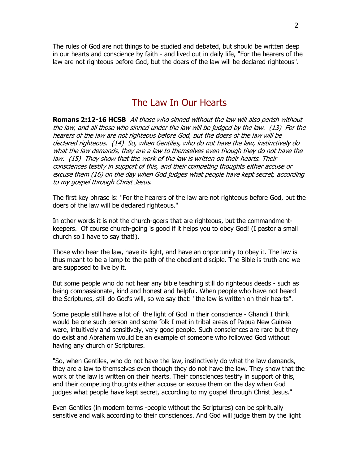The rules of God are not things to be studied and debated, but should be written deep in our hearts and conscience by faith - and lived out in daily life, "For the hearers of the law are not righteous before God, but the doers of the law will be declared righteous".

## The Law In Our Hearts

**Romans 2:12-16 HCSB** All those who sinned without the law will also perish without the law, and all those who sinned under the law will be judged by the law. (13) For the hearers of the law are not righteous before God, but the doers of the law will be declared righteous. (14) So, when Gentiles, who do not have the law, instinctively do what the law demands, they are a law to themselves even though they do not have the law. (15) They show that the work of the law is written on their hearts. Their consciences testify in support of this, and their competing thoughts either accuse or excuse them (16) on the day when God judges what people have kept secret, according to my gospel through Christ Jesus.

The first key phrase is: "For the hearers of the law are not righteous before God, but the doers of the law will be declared righteous."

In other words it is not the church-goers that are righteous, but the commandmentkeepers. Of course church-going is good if it helps you to obey God! (I pastor a small church so I have to say that!).

Those who hear the law, have its light, and have an opportunity to obey it. The law is thus meant to be a lamp to the path of the obedient disciple. The Bible is truth and we are supposed to live by it.

But some people who do not hear any bible teaching still do righteous deeds - such as being compassionate, kind and honest and helpful. When people who have not heard the Scriptures, still do God's will, so we say that: "the law is written on their hearts".

Some people still have a lot of the light of God in their conscience - Ghandi I think would be one such person and some folk I met in tribal areas of Papua New Guinea were, intuitively and sensitively, very good people. Such consciences are rare but they do exist and Abraham would be an example of someone who followed God without having any church or Scriptures.

"So, when Gentiles, who do not have the law, instinctively do what the law demands, they are a law to themselves even though they do not have the law. They show that the work of the law is written on their hearts. Their consciences testify in support of this, and their competing thoughts either accuse or excuse them on the day when God judges what people have kept secret, according to my gospel through Christ Jesus."

Even Gentiles (in modern terms -people without the Scriptures) can be spiritually sensitive and walk according to their consciences. And God will judge them by the light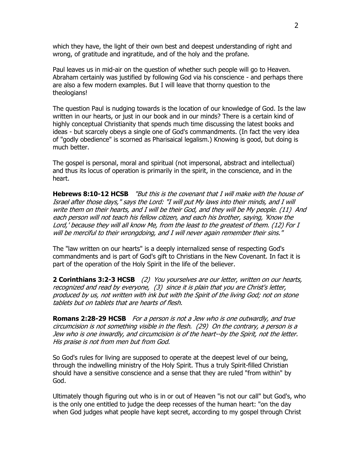which they have, the light of their own best and deepest understanding of right and wrong, of gratitude and ingratitude, and of the holy and the profane.

Paul leaves us in mid-air on the question of whether such people will go to Heaven. Abraham certainly was justified by following God via his conscience - and perhaps there are also a few modern examples. But I will leave that thorny question to the theologians!

The question Paul is nudging towards is the location of our knowledge of God. Is the law written in our hearts, or just in our book and in our minds? There is a certain kind of highly conceptual Christianity that spends much time discussing the latest books and ideas - but scarcely obeys a single one of God's commandments. (In fact the very idea of "godly obedience" is scorned as Pharisaical legalism.) Knowing is good, but doing is much better.

The gospel is personal, moral and spiritual (not impersonal, abstract and intellectual) and thus its locus of operation is primarily in the spirit, in the conscience, and in the heart.

**Hebrews 8:10-12 HCSB** "But this is the covenant that I will make with the house of Israel after those days," says the Lord: "I will put My laws into their minds, and I will write them on their hearts, and I will be their God, and they will be My people. (11) And each person will not teach his fellow citizen, and each his brother, saying, 'Know the Lord,' because they will all know Me, from the least to the greatest of them. (12) For I will be merciful to their wrongdoing, and I will never again remember their sins."

The "law written on our hearts" is a deeply internalized sense of respecting God's commandments and is part of God's gift to Christians in the New Covenant. In fact it is part of the operation of the Holy Spirit in the life of the believer.

**2 Corinthians 3:2-3 HCSB** (2) You yourselves are our letter, written on our hearts, recognized and read by everyone, (3) since it is plain that you are Christ's letter, produced by us, not written with ink but with the Spirit of the living God; not on stone tablets but on tablets that are hearts of flesh.

**Romans 2:28-29 HCSB** For a person is not a Jew who is one outwardly, and true circumcision is not something visible in the flesh. (29) On the contrary, a person is a Jew who is one inwardly, and circumcision is of the heart--by the Spirit, not the letter. His praise is not from men but from God.

So God's rules for living are supposed to operate at the deepest level of our being, through the indwelling ministry of the Holy Spirit. Thus a truly Spirit-filled Christian should have a sensitive conscience and a sense that they are ruled "from within" by God.

Ultimately though figuring out who is in or out of Heaven "is not our call" but God's, who is the only one entitled to judge the deep recesses of the human heart: "on the day when God judges what people have kept secret, according to my gospel through Christ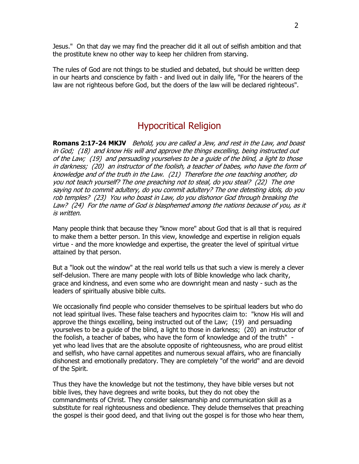Jesus." On that day we may find the preacher did it all out of selfish ambition and that the prostitute knew no other way to keep her children from starving.

The rules of God are not things to be studied and debated, but should be written deep in our hearts and conscience by faith - and lived out in daily life, "For the hearers of the law are not righteous before God, but the doers of the law will be declared righteous".

# Hypocritical Religion

**Romans 2:17-24 MKJV** Behold, you are called a Jew, and rest in the Law, and boast in God; (18) and know His will and approve the things excelling, being instructed out of the Law; (19) and persuading yourselves to be a guide of the blind, a light to those in darkness; (20) an instructor of the foolish, a teacher of babes, who have the form of knowledge and of the truth in the Law. (21) Therefore the one teaching another, do you not teach yourself? The one preaching not to steal, do you steal? (22) The one saying not to commit adultery, do you commit adultery? The one detesting idols, do you rob temples? (23) You who boast in Law, do you dishonor God through breaking the Law? (24) For the name of God is blasphemed among the nations because of you, as it is written.

Many people think that because they "know more" about God that is all that is required to make them a better person. In this view, knowledge and expertise in religion equals virtue - and the more knowledge and expertise, the greater the level of spiritual virtue attained by that person.

But a "look out the window" at the real world tells us that such a view is merely a clever self-delusion. There are many people with lots of Bible knowledge who lack charity, grace and kindness, and even some who are downright mean and nasty - such as the leaders of spiritually abusive bible cults.

We occasionally find people who consider themselves to be spiritual leaders but who do not lead spiritual lives. These false teachers and hypocrites claim to: "know His will and approve the things excelling, being instructed out of the Law; (19) and persuading yourselves to be a guide of the blind, a light to those in darkness; (20) an instructor of the foolish, a teacher of babes, who have the form of knowledge and of the truth" yet who lead lives that are the absolute opposite of righteousness, who are proud elitist and selfish, who have carnal appetites and numerous sexual affairs, who are financially dishonest and emotionally predatory. They are completely "of the world" and are devoid of the Spirit.

Thus they have the knowledge but not the testimony, they have bible verses but not bible lives, they have degrees and write books, but they do not obey the commandments of Christ. They consider salesmanship and communication skill as a substitute for real righteousness and obedience. They delude themselves that preaching the gospel is their good deed, and that living out the gospel is for those who hear them,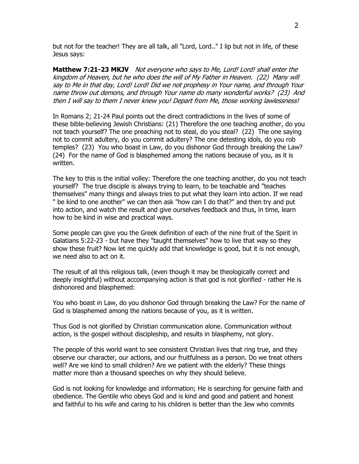but not for the teacher! They are all talk, all "Lord, Lord.." I lip but not in life, of these Jesus says:

**Matthew 7:21-23 MKJV** Not everyone who says to Me, Lord! Lord! shall enter the kingdom of Heaven, but he who does the will of My Father in Heaven. (22) Many will say to Me in that day, Lord! Lord! Did we not prophesy in Your name, and through Your name throw out demons, and through Your name do many wonderful works? (23) And then I will say to them I never knew you! Depart from Me, those working lawlessness!

In Romans 2; 21-24 Paul points out the direct contradictions in the lives of some of these bible-believing Jewish Christians: (21) Therefore the one teaching another, do you not teach yourself? The one preaching not to steal, do you steal? (22) The one saying not to commit adultery, do you commit adultery? The one detesting idols, do you rob temples? (23) You who boast in Law, do you dishonor God through breaking the Law? (24) For the name of God is blasphemed among the nations because of you, as it is written.

The key to this is the initial volley: Therefore the one teaching another, do you not teach yourself? The true disciple is always trying to learn, to be teachable and "teaches themselves" many things and always tries to put what they learn into action. If we read " be kind to one another" we can then ask "how can I do that?" and then try and put into action, and watch the result and give ourselves feedback and thus, in time, learn how to be kind in wise and practical ways.

Some people can give you the Greek definition of each of the nine fruit of the Spirit in Galatians 5:22-23 - but have they "taught themselves" how to live that way so they show these fruit? Now let me quickly add that knowledge is good, but it is not enough, we need also to act on it.

The result of all this religious talk, (even though it may be theologically correct and deeply insightful) without accompanying action is that god is not glorified - rather He is dishonored and blasphemed:

You who boast in Law, do you dishonor God through breaking the Law? For the name of God is blasphemed among the nations because of you, as it is written.

Thus God is not glorified by Christian communication alone. Communication without action, is the gospel without discipleship, and results in blasphemy, not glory.

The people of this world want to see consistent Christian lives that ring true, and they observe our character, our actions, and our fruitfulness as a person. Do we treat others well? Are we kind to small children? Are we patient with the elderly? These things matter more than a thousand speeches on why they should believe.

God is not looking for knowledge and information; He is searching for genuine faith and obedience. The Gentile who obeys God and is kind and good and patient and honest and faithful to his wife and caring to his children is better than the Jew who commits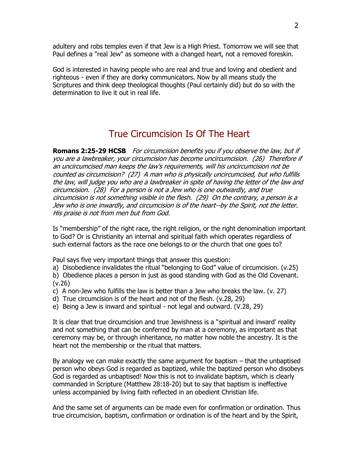adultery and robs temples even if that Jew is a High Priest. Tomorrow we will see that Paul defines a "real Jew" as someone with a changed heart, not a removed foreskin.

God is interested in having people who are real and true and loving and obedient and righteous - even if they are dorky communicators. Now by all means study the Scriptures and think deep theological thoughts (Paul certainly did) but do so with the determination to live it out in real life.

# True Circumcision Is Of The Heart

**Romans 2:25-29 HCSB** For circumcision benefits you if you observe the law, but if you are a lawbreaker, your circumcision has become uncircumcision. (26) Therefore if an uncircumcised man keeps the law's requirements, will his uncircumcision not be counted as circumcision? (27) A man who is physically uncircumcised, but who fulfills the law, will judge you who are a lawbreaker in spite of having the letter of the law and circumcision. (28) For a person is not a Jew who is one outwardly, and true circumcision is not something visible in the flesh. (29) On the contrary, a person is a Jew who is one inwardly, and circumcision is of the heart--by the Spirit, not the letter. His praise is not from men but from God.

Is "membership" of the right race, the right religion, or the right denomination important to God? Or is Christianity an internal and spiritual faith which operates regardless of such external factors as the race one belongs to or the church that one goes to?

Paul says five very important things that answer this question:

a) Disobedience invalidates the ritual "belonging to God" value of circumcision. (v.25)

b) Obedience places a person in just as good standing with God as the Old Covenant. (v.26)

c) A non-Jew who fulfills the law is better than a Jew who breaks the law. (v. 27)

d) True circumcision is of the heart and not of the flesh. (v.28, 29)

e) Being a Jew is inward and spiritual - not legal and outward. (V.28, 29)

It is clear that true circumcision and true Jewishness is a "spiritual and inward' reality and not something that can be conferred by man at a ceremony, as important as that ceremony may be, or through inheritance, no matter how noble the ancestry. It is the heart not the membership or the ritual that matters.

By analogy we can make exactly the same argument for baptism – that the unbaptised person who obeys God is regarded as baptized, while the baptized person who disobeys God is regarded as unbaptised! Now this is not to invalidate baptism, which is clearly commanded in Scripture (Matthew 28:18-20) but to say that baptism is ineffective unless accompanied by living faith reflected in an obedient Christian life.

And the same set of arguments can be made even for confirmation or ordination. Thus true circumcision, baptism, confirmation or ordination is of the heart and by the Spirit,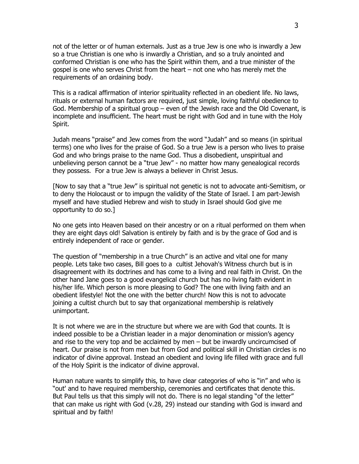not of the letter or of human externals. Just as a true Jew is one who is inwardly a Jew so a true Christian is one who is inwardly a Christian, and so a truly anointed and conformed Christian is one who has the Spirit within them, and a true minister of the gospel is one who serves Christ from the heart – not one who has merely met the requirements of an ordaining body.

This is a radical affirmation of interior spirituality reflected in an obedient life. No laws, rituals or external human factors are required, just simple, loving faithful obedience to God. Membership of a spiritual group – even of the Jewish race and the Old Covenant, is incomplete and insufficient. The heart must be right with God and in tune with the Holy Spirit.

Judah means "praise" and Jew comes from the word "Judah" and so means (in spiritual terms) one who lives for the praise of God. So a true Jew is a person who lives to praise God and who brings praise to the name God. Thus a disobedient, unspiritual and unbelieving person cannot be a "true Jew" - no matter how many genealogical records they possess. For a true Jew is always a believer in Christ Jesus.

[Now to say that a "true Jew" is spiritual not genetic is not to advocate anti-Semitism, or to deny the Holocaust or to impugn the validity of the State of Israel. I am part-Jewish myself and have studied Hebrew and wish to study in Israel should God give me opportunity to do so.]

No one gets into Heaven based on their ancestry or on a ritual performed on them when they are eight days old! Salvation is entirely by faith and is by the grace of God and is entirely independent of race or gender.

The question of "membership in a true Church" is an active and vital one for many people. Lets take two cases, Bill goes to a cultist Jehovah's Witness church but is in disagreement with its doctrines and has come to a living and real faith in Christ. On the other hand Jane goes to a good evangelical church but has no living faith evident in his/her life. Which person is more pleasing to God? The one with living faith and an obedient lifestyle! Not the one with the better church! Now this is not to advocate joining a cultist church but to say that organizational membership is relatively unimportant.

It is not where we are in the structure but where we are with God that counts. It is indeed possible to be a Christian leader in a major denomination or mission's agency and rise to the very top and be acclaimed by men – but be inwardly uncircumcised of heart. Our praise is not from men but from God and political skill in Christian circles is no indicator of divine approval. Instead an obedient and loving life filled with grace and full of the Holy Spirit is the indicator of divine approval.

Human nature wants to simplify this, to have clear categories of who is "in" and who is "out' and to have required membership, ceremonies and certificates that denote this. But Paul tells us that this simply will not do. There is no legal standing "of the letter" that can make us right with God (v.28, 29) instead our standing with God is inward and spiritual and by faith!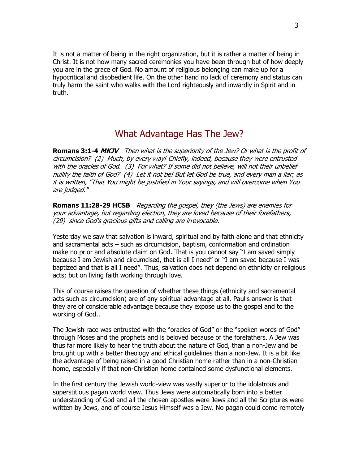It is not a matter of being in the right organization, but it is rather a matter of being in Christ. It is not how many sacred ceremonies you have been through but of how deeply you are in the grace of God. No amount of religious belonging can make up for a hypocritical and disobedient life. On the other hand no lack of ceremony and status can truly harm the saint who walks with the Lord righteously and inwardly in Spirit and in truth.

# What Advantage Has The Jew?

**Romans 3:1-4 MKJV** Then what is the superiority of the Jew? Or what is the profit of circumcision? (2) Much, by every way! Chiefly, indeed, because they were entrusted with the oracles of God. (3) For what? If some did not believe, will not their unbelief nullify the faith of God? (4) Let it not be! But let God be true, and every man a liar; as it is written, "That You might be justified in Your sayings, and will overcome when You are judged."

**Romans 11:28-29 HCSB** Regarding the gospel, they (the Jews) are enemies for your advantage, but regarding election, they are loved because of their forefathers, (29) since God's gracious gifts and calling are irrevocable.

Yesterday we saw that salvation is inward, spiritual and by faith alone and that ethnicity and sacramental acts – such as circumcision, baptism, conformation and ordination make no prior and absolute claim on God. That is you cannot say "I am saved simply because I am Jewish and circumcised, that is all I need" or "I am saved because I was baptized and that is all I need". Thus, salvation does not depend on ethnicity or religious acts; but on living faith working through love.

This of course raises the question of whether these things (ethnicity and sacramental acts such as circumcision) are of any spiritual advantage at all. Paul's answer is that they are of considerable advantage because they expose us to the gospel and to the working of God..

The Jewish race was entrusted with the "oracles of God" or the "spoken words of God" through Moses and the prophets and is beloved because of the forefathers. A Jew was thus far more likely to hear the truth about the nature of God, than a non-Jew and be brought up with a better theology and ethical guidelines than a non-Jew. It is a bit like the advantage of being raised in a good Christian home rather than in a non-Christian home, especially if that non-Christian home contained some dysfunctional elements.

In the first century the Jewish world-view was vastly superior to the idolatrous and superstitious pagan world view. Thus Jews were automatically born into a better understanding of God and all the chosen apostles were Jews and all the Scriptures were written by Jews, and of course Jesus Himself was a Jew. No pagan could come remotely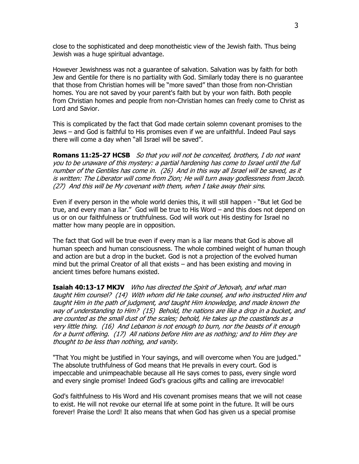close to the sophisticated and deep monotheistic view of the Jewish faith. Thus being Jewish was a huge spiritual advantage.

However Jewishness was not a guarantee of salvation. Salvation was by faith for both Jew and Gentile for there is no partiality with God. Similarly today there is no guarantee that those from Christian homes will be "more saved" than those from non-Christian homes. You are not saved by your parent's faith but by your won faith. Both people from Christian homes and people from non-Christian homes can freely come to Christ as Lord and Savior.

This is complicated by the fact that God made certain solemn covenant promises to the Jews – and God is faithful to His promises even if we are unfaithful. Indeed Paul says there will come a day when "all Israel will be saved".

**Romans 11:25-27 HCSB** So that you will not be conceited, brothers, I do not want you to be unaware of this mystery: a partial hardening has come to Israel until the full number of the Gentiles has come in. (26) And in this way all Israel will be saved, as it is written: The Liberator will come from Zion; He will turn away godlessness from Jacob. (27) And this will be My covenant with them, when I take away their sins.

Even if every person in the whole world denies this, it will still happen - "But let God be true, and every man a liar." God will be true to His Word – and this does not depend on us or on our faithfulness or truthfulness. God will work out His destiny for Israel no matter how many people are in opposition.

The fact that God will be true even if every man is a liar means that God is above all human speech and human consciousness. The whole combined weight of human though and action are but a drop in the bucket. God is not a projection of the evolved human mind but the primal Creator of all that exists – and has been existing and moving in ancient times before humans existed.

**Isaiah 40:13-17 MKJV** Who has directed the Spirit of Jehovah, and what man taught Him counsel? (14) With whom did He take counsel, and who instructed Him and taught Him in the path of judgment, and taught Him knowledge, and made known the way of understanding to Him? (15) Behold, the nations are like a drop in a bucket, and are counted as the small dust of the scales; behold, He takes up the coastlands as a very little thing. (16) And Lebanon is not enough to burn, nor the beasts of it enough for a burnt offering. (17) All nations before Him are as nothing; and to Him they are thought to be less than nothing, and vanity.

"That You might be justified in Your sayings, and will overcome when You are judged." The absolute truthfulness of God means that He prevails in every court. God is impeccable and unimpeachable because all He says comes to pass, every single word and every single promise! Indeed God's gracious gifts and calling are irrevocable!

God's faithfulness to His Word and His covenant promises means that we will not cease to exist. He will not revoke our eternal life at some point in the future. It will be ours forever! Praise the Lord! It also means that when God has given us a special promise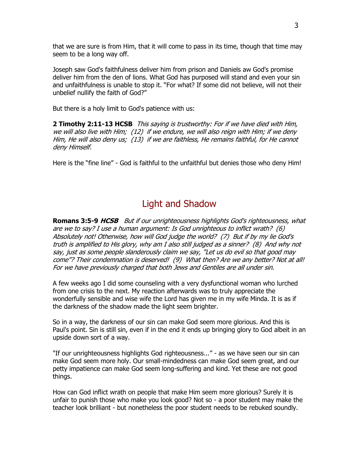that we are sure is from Him, that it will come to pass in its time, though that time may seem to be a long way off.

Joseph saw God's faithfulness deliver him from prison and Daniels aw God's promise deliver him from the den of lions. What God has purposed will stand and even your sin and unfaithfulness is unable to stop it. "For what? If some did not believe, will not their unbelief nullify the faith of God?"

But there is a holy limit to God's patience with us:

**2 Timothy 2:11-13 HCSB** This saying is trustworthy: For if we have died with Him, we will also live with Him; (12) if we endure, we will also reign with Him; if we deny Him, He will also deny us; (13) if we are faithless, He remains faithful, for He cannot deny Himself.

Here is the "fine line" - God is faithful to the unfaithful but denies those who deny Him!

# Light and Shadow

**Romans 3:5-9 HCSB** But if our unrighteousness highlights God's righteousness, what are we to say? I use a human argument: Is God unrighteous to inflict wrath? (6) Absolutely not! Otherwise, how will God judge the world? (7) But if by my lie God's truth is amplified to His glory, why am I also still judged as a sinner? (8) And why not say, just as some people slanderously claim we say, "Let us do evil so that good may come"? Their condemnation is deserved! (9) What then? Are we any better? Not at all! For we have previously charged that both Jews and Gentiles are all under sin.

A few weeks ago I did some counseling with a very dysfunctional woman who lurched from one crisis to the next. My reaction afterwards was to truly appreciate the wonderfully sensible and wise wife the Lord has given me in my wife Minda. It is as if the darkness of the shadow made the light seem brighter.

So in a way, the darkness of our sin can make God seem more glorious. And this is Paul's point. Sin is still sin, even if in the end it ends up bringing glory to God albeit in an upside down sort of a way.

"If our unrighteousness highlights God righteousness..." - as we have seen our sin can make God seem more holy. Our small-mindedness can make God seem great, and our petty impatience can make God seem long-suffering and kind. Yet these are not good things.

How can God inflict wrath on people that make Him seem more glorious? Surely it is unfair to punish those who make you look good? Not so - a poor student may make the teacher look brilliant - but nonetheless the poor student needs to be rebuked soundly.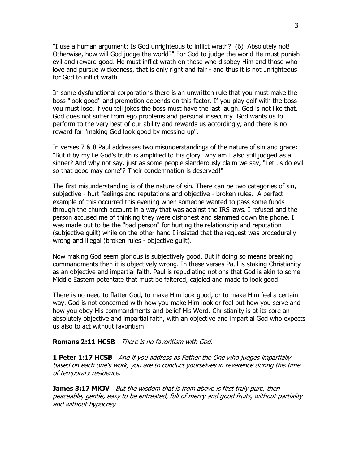"I use a human argument: Is God unrighteous to inflict wrath? (6) Absolutely not! Otherwise, how will God judge the world?" For God to judge the world He must punish evil and reward good. He must inflict wrath on those who disobey Him and those who love and pursue wickedness, that is only right and fair - and thus it is not unrighteous for God to inflict wrath.

In some dysfunctional corporations there is an unwritten rule that you must make the boss "look good" and promotion depends on this factor. If you play golf with the boss you must lose, if you tell jokes the boss must have the last laugh. God is not like that. God does not suffer from ego problems and personal insecurity. God wants us to perform to the very best of our ability and rewards us accordingly, and there is no reward for "making God look good by messing up".

In verses 7 & 8 Paul addresses two misunderstandings of the nature of sin and grace: "But if by my lie God's truth is amplified to His glory, why am I also still judged as a sinner? And why not say, just as some people slanderously claim we say, "Let us do evil so that good may come"? Their condemnation is deserved!"

The first misunderstanding is of the nature of sin. There can be two categories of sin, subjective - hurt feelings and reputations and objective - broken rules. A perfect example of this occurred this evening when someone wanted to pass some funds through the church account in a way that was against the IRS laws. I refused and the person accused me of thinking they were dishonest and slammed down the phone. I was made out to be the "bad person" for hurting the relationship and reputation (subjective guilt) while on the other hand I insisted that the request was procedurally wrong and illegal (broken rules - objective guilt).

Now making God seem glorious is subjectively good. But if doing so means breaking commandments then it is objectively wrong. In these verses Paul is staking Christianity as an objective and impartial faith. Paul is repudiating notions that God is akin to some Middle Eastern potentate that must be faltered, cajoled and made to look good.

There is no need to flatter God, to make Him look good, or to make Him feel a certain way. God is not concerned with how you make Him look or feel but how you serve and how you obey His commandments and belief His Word. Christianity is at its core an absolutely objective and impartial faith, with an objective and impartial God who expects us also to act without favoritism:

#### **Romans 2:11 HCSB** There is no favoritism with God.

**1 Peter 1:17 HCSB** And if you address as Father the One who judges impartially based on each one's work, you are to conduct yourselves in reverence during this time of temporary residence.

**James 3:17 MKJV** But the wisdom that is from above is first truly pure, then peaceable, gentle, easy to be entreated, full of mercy and good fruits, without partiality and without hypocrisy.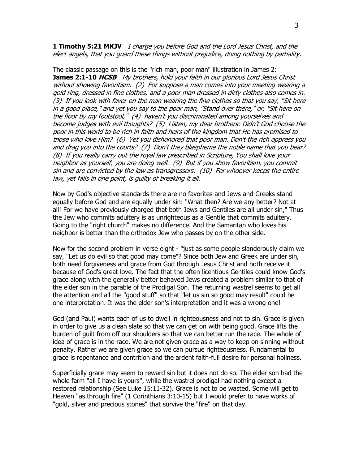**1 Timothy 5:21 MKJV** I charge you before God and the Lord Jesus Christ, and the elect angels, that you guard these things without prejudice, doing nothing by partiality.

The classic passage on this is the "rich man, poor man" illustration in James 2: **James 2:1-10 HCSB** My brothers, hold your faith in our glorious Lord Jesus Christ without showing favoritism. (2) For suppose a man comes into your meeting wearing a gold ring, dressed in fine clothes, and a poor man dressed in dirty clothes also comes in. (3) If you look with favor on the man wearing the fine clothes so that you say, "Sit here in a good place," and yet you say to the poor man, "Stand over there," or, "Sit here on the floor by my footstool," (4) haven't you discriminated among yourselves and become judges with evil thoughts? (5) Listen, my dear brothers: Didn't God choose the poor in this world to be rich in faith and heirs of the kingdom that He has promised to those who love Him? (6) Yet you dishonored that poor man. Don't the rich oppress you and drag you into the courts? (7) Don't they blaspheme the noble name that you bear? (8) If you really carry out the royal law prescribed in Scripture, You shall love your neighbor as yourself, you are doing well. (9) But if you show favoritism, you commit sin and are convicted by the law as transgressors. (10) For whoever keeps the entire law, yet fails in one point, is guilty of breaking it all.

Now by God's objective standards there are no favorites and Jews and Greeks stand equally before God and are equally under sin: "What then? Are we any better? Not at all! For we have previously charged that both Jews and Gentiles are all under sin," Thus the Jew who commits adultery is as unrighteous as a Gentile that commits adultery. Going to the "right church" makes no difference. And the Samaritan who loves his neighbor is better than the orthodox Jew who passes by on the other side.

Now for the second problem in verse eight - "just as some people slanderously claim we say, "Let us do evil so that good may come"? Since both Jew and Greek are under sin, both need forgiveness and grace from God through Jesus Christ and both receive it because of God's great love. The fact that the often licentious Gentiles could know God's grace along with the generally better behaved Jews created a problem similar to that of the elder son in the parable of the Prodigal Son. The returning wastrel seems to get all the attention and all the "good stuff" so that "let us sin so good may result" could be one interpretation. It was the elder son's interpretation and it was a wrong one!

God (and Paul) wants each of us to dwell in righteousness and not to sin. Grace is given in order to give us a clean slate so that we can get on with being good. Grace lifts the burden of guilt from off our shoulders so that we can better run the race. The whole of idea of grace is in the race. We are not given grace as a way to keep on sinning without penalty. Rather we are given grace so we can pursue righteousness. Fundamental to grace is repentance and contrition and the ardent faith-full desire for personal holiness.

Superficially grace may seem to reward sin but it does not do so. The elder son had the whole farm "all I have is yours", while the wastrel prodigal had nothing except a restored relationship (See Luke 15:11-32). Grace is not to be wasted. Some will get to Heaven "as through fire" (1 Corinthians 3:10-15) but I would prefer to have works of "gold, silver and precious stones" that survive the "fire" on that day.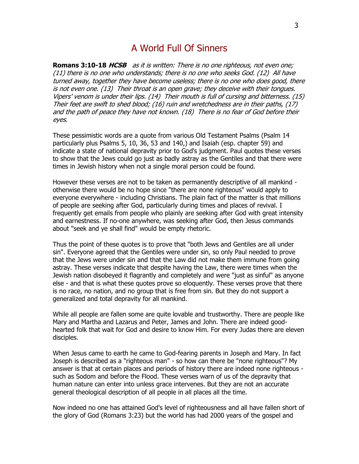#### A World Full Of Sinners

**Romans 3:10-18 HCSB** as it is written: There is no one righteous, not even one; (11) there is no one who understands; there is no one who seeks God. (12) All have turned away, together they have become useless; there is no one who does good, there is not even one. (13) Their throat is an open grave; they deceive with their tongues. Vipers' venom is under their lips. (14) Their mouth is full of cursing and bitterness. (15) Their feet are swift to shed blood; (16) ruin and wretchedness are in their paths, (17) and the path of peace they have not known. (18) There is no fear of God before their eyes.

These pessimistic words are a quote from various Old Testament Psalms (Psalm 14 particularly plus Psalms 5, 10, 36, 53 and 140,) and Isaiah (esp. chapter 59) and indicate a state of national depravity prior to God's judgment. Paul quotes these verses to show that the Jews could go just as badly astray as the Gentiles and that there were times in Jewish history when not a single moral person could be found.

However these verses are not to be taken as permanently descriptive of all mankind otherwise there would be no hope since "there are none righteous" would apply to everyone everywhere - including Christians. The plain fact of the matter is that millions of people are seeking after God, particularly during times and places of revival. I frequently get emails from people who plainly are seeking after God with great intensity and earnestness. If no-one anywhere, was seeking after God, then Jesus commands about "seek and ye shall find" would be empty rhetoric.

Thus the point of these quotes is to prove that "both Jews and Gentiles are all under sin". Everyone agreed that the Gentiles were under sin, so only Paul needed to prove that the Jews were under sin and that the Law did not make them immune from going astray. These verses indicate that despite having the Law, there were times when the Jewish nation disobeyed it flagrantly and completely and were "just as sinful" as anyone else - and that is what these quotes prove so eloquently. These verses prove that there is no race, no nation, and no group that is free from sin. But they do not support a generalized and total depravity for all mankind.

While all people are fallen some are quite lovable and trustworthy. There are people like Mary and Martha and Lazarus and Peter, James and John. There are indeed goodhearted folk that wait for God and desire to know Him. For every Judas there are eleven disciples.

When Jesus came to earth he came to God-fearing parents in Joseph and Mary. In fact Joseph is described as a "righteous man" - so how can there be "none righteous"? My answer is that at certain places and periods of history there are indeed none righteous such as Sodom and before the Flood. These verses warn of us of the depravity that human nature can enter into unless grace intervenes. But they are not an accurate general theological description of all people in all places all the time.

Now indeed no one has attained God's level of righteousness and all have fallen short of the glory of God (Romans 3:23) but the world has had 2000 years of the gospel and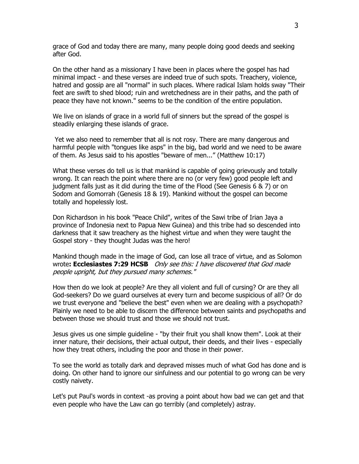grace of God and today there are many, many people doing good deeds and seeking after God.

On the other hand as a missionary I have been in places where the gospel has had minimal impact - and these verses are indeed true of such spots. Treachery, violence, hatred and gossip are all "normal" in such places. Where radical Islam holds sway "Their feet are swift to shed blood; ruin and wretchedness are in their paths, and the path of peace they have not known." seems to be the condition of the entire population.

We live on islands of grace in a world full of sinners but the spread of the gospel is steadily enlarging these islands of grace.

Yet we also need to remember that all is not rosy. There are many dangerous and harmful people with "tongues like asps" in the big, bad world and we need to be aware of them. As Jesus said to his apostles "beware of men..." (Matthew 10:17)

What these verses do tell us is that mankind is capable of going grievously and totally wrong. It can reach the point where there are no (or very few) good people left and judgment falls just as it did during the time of the Flood (See Genesis 6 & 7) or on Sodom and Gomorrah (Genesis 18 & 19). Mankind without the gospel can become totally and hopelessly lost.

Don Richardson in his book "Peace Child", writes of the Sawi tribe of Irian Jaya a province of Indonesia next to Papua New Guinea) and this tribe had so descended into darkness that it saw treachery as the highest virtue and when they were taught the Gospel story - they thought Judas was the hero!

Mankind though made in the image of God, can lose all trace of virtue, and as Solomon wrote**: Ecclesiastes 7:29 HCSB** Only see this: I have discovered that God made people upright, but they pursued many schemes."

How then do we look at people? Are they all violent and full of cursing? Or are they all God-seekers? Do we guard ourselves at every turn and become suspicious of all? Or do we trust everyone and "believe the best" even when we are dealing with a psychopath? Plainly we need to be able to discern the difference between saints and psychopaths and between those we should trust and those we should not trust.

Jesus gives us one simple guideline - "by their fruit you shall know them". Look at their inner nature, their decisions, their actual output, their deeds, and their lives - especially how they treat others, including the poor and those in their power.

To see the world as totally dark and depraved misses much of what God has done and is doing. On other hand to ignore our sinfulness and our potential to go wrong can be very costly naivety.

Let's put Paul's words in context -as proving a point about how bad we can get and that even people who have the Law can go terribly (and completely) astray.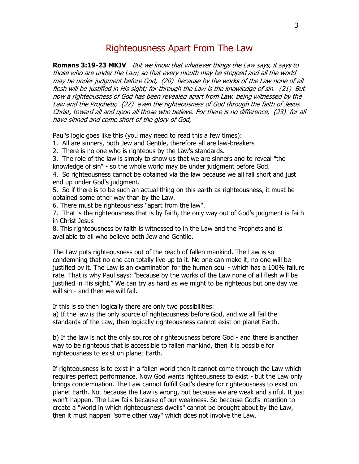#### Righteousness Apart From The Law

**Romans 3:19-23 MKJV** But we know that whatever things the Law says, it says to those who are under the Law; so that every mouth may be stopped and all the world may be under judgment before God, (20) because by the works of the Law none of all flesh will be justified in His sight; for through the Law is the knowledge of sin. (21) But now a righteousness of God has been revealed apart from Law, being witnessed by the Law and the Prophets; (22) even the righteousness of God through the faith of Jesus Christ, toward all and upon all those who believe. For there is no difference, (23) for all have sinned and come short of the glory of God,

Paul's logic goes like this (you may need to read this a few times):

1. All are sinners, both Jew and Gentile, therefore all are law-breakers

2. There is no one who is righteous by the Law's standards.

3. The role of the law is simply to show us that we are sinners and to reveal "the knowledge of sin" - so the whole world may be under judgment before God.

4. So righteousness cannot be obtained via the law because we all fall short and just end up under God's judgment.

5. So if there is to be such an actual thing on this earth as righteousness, it must be obtained some other way than by the Law.

6. There must be righteousness "apart from the law".

7. That is the righteousness that is by faith, the only way out of God's judgment is faith in Christ Jesus

8. This righteousness by faith is witnessed to in the Law and the Prophets and is available to all who believe both Jew and Gentile.

The Law puts righteousness out of the reach of fallen mankind. The Law is so condemning that no one can totally live up to it. No one can make it, no one will be justified by it. The Law is an examination for the human soul - which has a 100% failure rate. That is why Paul says: "because by the works of the Law none of all flesh will be justified in His sight." We can try as hard as we might to be righteous but one day we will sin - and then we will fail.

If this is so then logically there are only two possibilities:

a) If the law is the only source of righteousness before God, and we all fail the standards of the Law, then logically righteousness cannot exist on planet Earth.

b) If the law is not the only source of righteousness before God - and there is another way to be righteous that is accessible to fallen mankind, then it is possible for righteousness to exist on planet Earth.

If righteousness is to exist in a fallen world then it cannot come through the Law which requires perfect performance. Now God wants righteousness to exist - but the Law only brings condemnation. The Law cannot fulfill God's desire for righteousness to exist on planet Earth. Not because the Law is wrong, but because we are weak and sinful. It just won't happen. The Law fails because of our weakness. So because God's intention to create a "world in which righteousness dwells" cannot be brought about by the Law, then it must happen "some other way" which does not involve the Law.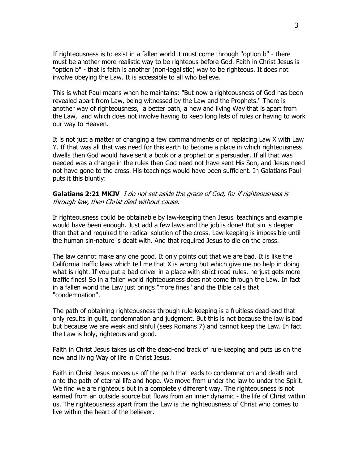If righteousness is to exist in a fallen world it must come through "option b" - there must be another more realistic way to be righteous before God. Faith in Christ Jesus is "option b" - that is faith is another (non-legalistic) way to be righteous. It does not involve obeying the Law. It is accessible to all who believe.

This is what Paul means when he maintains: "But now a righteousness of God has been revealed apart from Law, being witnessed by the Law and the Prophets." There is another way of righteousness, a better path, a new and living Way that is apart from the Law, and which does not involve having to keep long lists of rules or having to work our way to Heaven.

It is not just a matter of changing a few commandments or of replacing Law X with Law Y. If that was all that was need for this earth to become a place in which righteousness dwells then God would have sent a book or a prophet or a persuader. If all that was needed was a change in the rules then God need not have sent His Son, and Jesus need not have gone to the cross. His teachings would have been sufficient. In Galatians Paul puts it this bluntly:

#### **Galatians 2:21 MKJV** I do not set aside the grace of God, for if righteousness is through law, then Christ died without cause.

If righteousness could be obtainable by law-keeping then Jesus' teachings and example would have been enough. Just add a few laws and the job is done! But sin is deeper than that and required the radical solution of the cross. Law-keeping is impossible until the human sin-nature is dealt with. And that required Jesus to die on the cross.

The law cannot make any one good. It only points out that we are bad. It is like the California traffic laws which tell me that X is wrong but which give me no help in doing what is right. If you put a bad driver in a place with strict road rules, he just gets more traffic fines! So in a fallen world righteousness does not come through the Law. In fact in a fallen world the Law just brings "more fines" and the Bible calls that "condemnation".

The path of obtaining righteousness through rule-keeping is a fruitless dead-end that only results in guilt, condemnation and judgment. But this is not because the law is bad but because we are weak and sinful (sees Romans 7) and cannot keep the Law. In fact the Law is holy, righteous and good.

Faith in Christ Jesus takes us off the dead-end track of rule-keeping and puts us on the new and living Way of life in Christ Jesus.

Faith in Christ Jesus moves us off the path that leads to condemnation and death and onto the path of eternal life and hope. We move from under the law to under the Spirit. We find we are righteous but in a completely different way. The righteousness is not earned from an outside source but flows from an inner dynamic - the life of Christ within us. The righteousness apart from the Law is the righteousness of Christ who comes to live within the heart of the believer.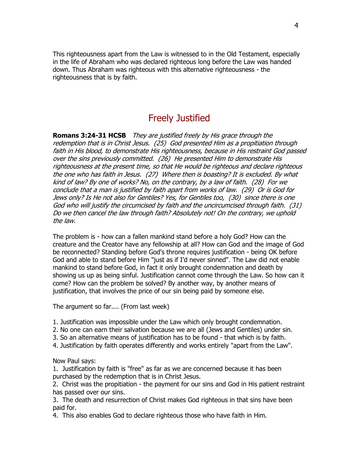This righteousness apart from the Law is witnessed to in the Old Testament, especially in the life of Abraham who was declared righteous long before the Law was handed down. Thus Abraham was righteous with this alternative righteousness - the righteousness that is by faith.

# Freely Justified

**Romans 3:24-31 HCSB** They are justified freely by His grace through the redemption that is in Christ Jesus. (25) God presented Him as a propitiation through faith in His blood, to demonstrate His righteousness, because in His restraint God passed over the sins previously committed. (26) He presented Him to demonstrate His righteousness at the present time, so that He would be righteous and declare righteous the one who has faith in Jesus. (27) Where then is boasting? It is excluded. By what kind of law? By one of works? No, on the contrary, by a law of faith. (28) For we conclude that a man is justified by faith apart from works of law. (29) Or is God for Jews only? Is He not also for Gentiles? Yes, for Gentiles too, (30) since there is one God who will justify the circumcised by faith and the uncircumcised through faith. (31) Do we then cancel the law through faith? Absolutely not! On the contrary, we uphold the law.

The problem is - how can a fallen mankind stand before a holy God? How can the creature and the Creator have any fellowship at all? How can God and the image of God be reconnected? Standing before God's throne requires justification - being OK before God and able to stand before Him "just as if I'd never sinned". The Law did not enable mankind to stand before God, in fact it only brought condemnation and death by showing us up as being sinful. Justification cannot come through the Law. So how can it come? How can the problem be solved? By another way, by another means of justification, that involves the price of our sin being paid by someone else.

The argument so far.... (From last week)

- 1. Justification was impossible under the Law which only brought condemnation.
- 2. No one can earn their salvation because we are all (Jews and Gentiles) under sin.
- 3. So an alternative means of justification has to be found that which is by faith.
- 4. Justification by faith operates differently and works entirely "apart from the Law".

Now Paul says:

1. Justification by faith is "free" as far as we are concerned because it has been purchased by the redemption that is in Christ Jesus.

2. Christ was the propitiation - the payment for our sins and God in His patient restraint has passed over our sins.

3. The death and resurrection of Christ makes God righteous in that sins have been paid for.

4. This also enables God to declare righteous those who have faith in Him.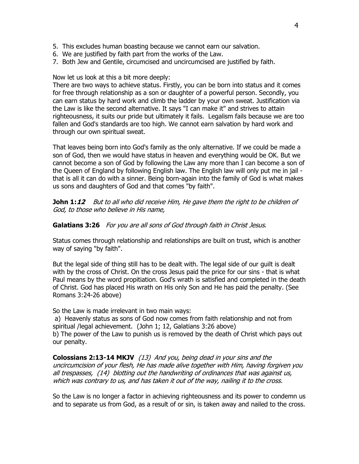- 5. This excludes human boasting because we cannot earn our salvation.
- 6. We are justified by faith part from the works of the Law.
- 7. Both Jew and Gentile, circumcised and uncircumcised are justified by faith.

#### Now let us look at this a bit more deeply:

There are two ways to achieve status. Firstly, you can be born into status and it comes for free through relationship as a son or daughter of a powerful person. Secondly, you can earn status by hard work and climb the ladder by your own sweat. Justification via the Law is like the second alternative. It says "I can make it" and strives to attain righteousness, it suits our pride but ultimately it fails. Legalism fails because we are too fallen and God's standards are too high. We cannot earn salvation by hard work and through our own spiritual sweat.

That leaves being born into God's family as the only alternative. If we could be made a son of God, then we would have status in heaven and everything would be OK. But we cannot become a son of God by following the Law any more than I can become a son of the Queen of England by following English law. The English law will only put me in jail that is all it can do with a sinner. Being born-again into the family of God is what makes us sons and daughters of God and that comes "by faith".

**John 1:***12* But to all who did receive Him, He gave them the right to be children of God, to those who believe in His name,

#### Galatians 3:26 For you are all sons of God through faith in Christ Jesus.

Status comes through relationship and relationships are built on trust, which is another way of saying "by faith".

But the legal side of thing still has to be dealt with. The legal side of our guilt is dealt with by the cross of Christ. On the cross Jesus paid the price for our sins - that is what Paul means by the word propitiation. God's wrath is satisfied and completed in the death of Christ. God has placed His wrath on His only Son and He has paid the penalty. (See Romans 3:24-26 above)

So the Law is made irrelevant in two main ways:

a) Heavenly status as sons of God now comes from faith relationship and not from spiritual /legal achievement. (John 1; 12, Galatians 3:26 above)

b) The power of the Law to punish us is removed by the death of Christ which pays out our penalty.

**Colossians 2:13-14 MKJV** (13) And you, being dead in your sins and the uncircumcision of your flesh, He has made alive together with Him, having forgiven you all trespasses, (14) blotting out the handwriting of ordinances that was against us, which was contrary to us, and has taken it out of the way, nailing it to the cross.

So the Law is no longer a factor in achieving righteousness and its power to condemn us and to separate us from God, as a result of or sin, is taken away and nailed to the cross.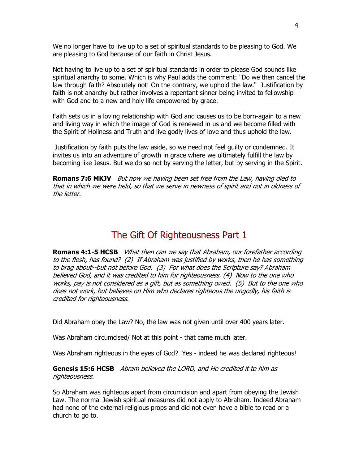We no longer have to live up to a set of spiritual standards to be pleasing to God. We are pleasing to God because of our faith in Christ Jesus.

Not having to live up to a set of spiritual standards in order to please God sounds like spiritual anarchy to some. Which is why Paul adds the comment: "Do we then cancel the law through faith? Absolutely not! On the contrary, we uphold the law." Justification by faith is not anarchy but rather involves a repentant sinner being invited to fellowship with God and to a new and holy life empowered by grace.

Faith sets us in a loving relationship with God and causes us to be born-again to a new and living way in which the image of God is renewed in us and we become filled with the Spirit of Holiness and Truth and live godly lives of love and thus uphold the law.

Justification by faith puts the law aside, so we need not feel guilty or condemned. It invites us into an adventure of growth in grace where we ultimately fulfill the law by becoming like Jesus. But we do so not by serving the letter, but by serving in the Spirit.

**Romans 7:6 MKJV** But now we having been set free from the Law, having died to that in which we were held, so that we serve in newness of spirit and not in oldness of the letter.

### The Gift Of Righteousness Part 1

**Romans 4:1-5 HCSB** What then can we say that Abraham, our forefather according to the flesh, has found? (2) If Abraham was justified by works, then he has something to brag about--but not before God. (3) For what does the Scripture say? Abraham believed God, and it was credited to him for righteousness. (4) Now to the one who works, pay is not considered as a gift, but as something owed. (5) But to the one who does not work, but believes on Him who declares righteous the ungodly, his faith is credited for righteousness.

Did Abraham obey the Law? No, the law was not given until over 400 years later.

Was Abraham circumcised/ Not at this point - that came much later.

Was Abraham righteous in the eyes of God? Yes - indeed he was declared righteous!

**Genesis 15:6 HCSB** Abram believed the LORD, and He credited it to him as righteousness.

So Abraham was righteous apart from circumcision and apart from obeying the Jewish Law. The normal Jewish spiritual measures did not apply to Abraham. Indeed Abraham had none of the external religious props and did not even have a bible to read or a church to go to.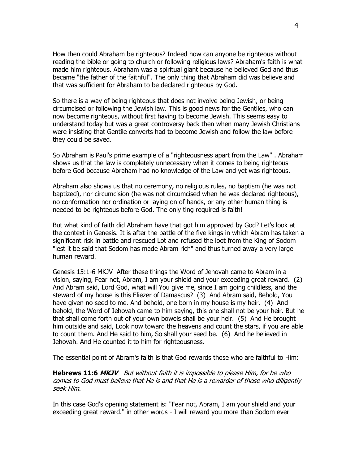How then could Abraham be righteous? Indeed how can anyone be righteous without reading the bible or going to church or following religious laws? Abraham's faith is what made him righteous. Abraham was a spiritual giant because he believed God and thus became "the father of the faithful". The only thing that Abraham did was believe and that was sufficient for Abraham to be declared righteous by God.

So there is a way of being righteous that does not involve being Jewish, or being circumcised or following the Jewish law. This is good news for the Gentiles, who can now become righteous, without first having to become Jewish. This seems easy to understand today but was a great controversy back then when many Jewish Christians were insisting that Gentile converts had to become Jewish and follow the law before they could be saved.

So Abraham is Paul's prime example of a "righteousness apart from the Law" . Abraham shows us that the law is completely unnecessary when it comes to being righteous before God because Abraham had no knowledge of the Law and yet was righteous.

Abraham also shows us that no ceremony, no religious rules, no baptism (he was not baptized), nor circumcision (he was not circumcised when he was declared righteous), no conformation nor ordination or laying on of hands, or any other human thing is needed to be righteous before God. The only ting required is faith!

But what kind of faith did Abraham have that got him approved by God? Let's look at the context in Genesis. It is after the battle of the five kings in which Abram has taken a significant risk in battle and rescued Lot and refused the loot from the King of Sodom "lest it be said that Sodom has made Abram rich" and thus turned away a very large human reward.

Genesis 15:1-6 MKJV After these things the Word of Jehovah came to Abram in a vision, saying, Fear not, Abram, I am your shield and your exceeding great reward. (2) And Abram said, Lord God, what will You give me, since I am going childless, and the steward of my house is this Eliezer of Damascus? (3) And Abram said, Behold, You have given no seed to me. And behold, one born in my house is my heir. (4) And behold, the Word of Jehovah came to him saying, this one shall not be your heir. But he that shall come forth out of your own bowels shall be your heir. (5) And He brought him outside and said, Look now toward the heavens and count the stars, if you are able to count them. And He said to him, So shall your seed be. (6) And he believed in Jehovah. And He counted it to him for righteousness.

The essential point of Abram's faith is that God rewards those who are faithful to Him:

**Hebrews 11:6 MKJV** But without faith it is impossible to please Him, for he who comes to God must believe that He is and that He is a rewarder of those who diligently seek Him.

In this case God's opening statement is: "Fear not, Abram, I am your shield and your exceeding great reward." in other words - I will reward you more than Sodom ever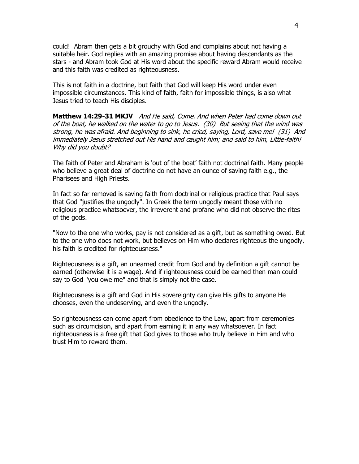could! Abram then gets a bit grouchy with God and complains about not having a suitable heir. God replies with an amazing promise about having descendants as the stars - and Abram took God at His word about the specific reward Abram would receive and this faith was credited as righteousness.

This is not faith in a doctrine, but faith that God will keep His word under even impossible circumstances. This kind of faith, faith for impossible things, is also what Jesus tried to teach His disciples.

**Matthew 14:29-31 MKJV** And He said, Come. And when Peter had come down out of the boat, he walked on the water to go to Jesus. (30) But seeing that the wind was strong, he was afraid. And beginning to sink, he cried, saying, Lord, save me! (31) And immediately Jesus stretched out His hand and caught him; and said to him, Little-faith! Why did you doubt?

The faith of Peter and Abraham is 'out of the boat' faith not doctrinal faith. Many people who believe a great deal of doctrine do not have an ounce of saving faith e.g., the Pharisees and High Priests.

In fact so far removed is saving faith from doctrinal or religious practice that Paul says that God "justifies the ungodly". In Greek the term ungodly meant those with no religious practice whatsoever, the irreverent and profane who did not observe the rites of the gods.

"Now to the one who works, pay is not considered as a gift, but as something owed. But to the one who does not work, but believes on Him who declares righteous the ungodly, his faith is credited for righteousness."

Righteousness is a gift, an unearned credit from God and by definition a gift cannot be earned (otherwise it is a wage). And if righteousness could be earned then man could say to God "you owe me" and that is simply not the case.

Righteousness is a gift and God in His sovereignty can give His gifts to anyone He chooses, even the undeserving, and even the ungodly.

So righteousness can come apart from obedience to the Law, apart from ceremonies such as circumcision, and apart from earning it in any way whatsoever. In fact righteousness is a free gift that God gives to those who truly believe in Him and who trust Him to reward them.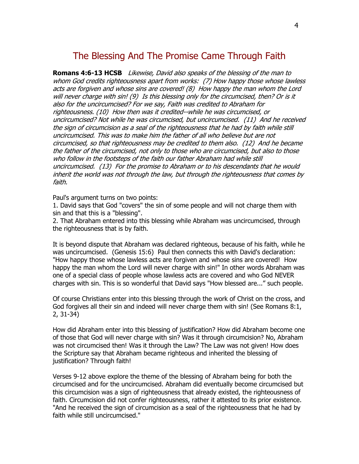# The Blessing And The Promise Came Through Faith

**Romans 4:6-13 HCSB** Likewise, David also speaks of the blessing of the man to whom God credits righteousness apart from works: (7) How happy those whose lawless acts are forgiven and whose sins are covered! (8) How happy the man whom the Lord will never charge with sin! (9) Is this blessing only for the circumcised, then? Or is it also for the uncircumcised? For we say, Faith was credited to Abraham for righteousness. (10) How then was it credited--while he was circumcised, or uncircumcised? Not while he was circumcised, but uncircumcised. (11) And he received the sign of circumcision as a seal of the righteousness that he had by faith while still uncircumcised. This was to make him the father of all who believe but are not circumcised, so that righteousness may be credited to them also. (12) And he became the father of the circumcised, not only to those who are circumcised, but also to those who follow in the footsteps of the faith our father Abraham had while still uncircumcised. (13) For the promise to Abraham or to his descendants that he would inherit the world was not through the law, but through the righteousness that comes by faith.

Paul's argument turns on two points:

1. David says that God "covers" the sin of some people and will not charge them with sin and that this is a "blessing".

2. That Abraham entered into this blessing while Abraham was uncircumcised, through the righteousness that is by faith.

It is beyond dispute that Abraham was declared righteous, because of his faith, while he was uncircumcised. (Genesis 15:6) Paul then connects this with David's declaration: "How happy those whose lawless acts are forgiven and whose sins are covered! How happy the man whom the Lord will never charge with sin!" In other words Abraham was one of a special class of people whose lawless acts are covered and who God NEVER charges with sin. This is so wonderful that David says "How blessed are..." such people.

Of course Christians enter into this blessing through the work of Christ on the cross, and God forgives all their sin and indeed will never charge them with sin! (See Romans 8:1, 2, 31-34)

How did Abraham enter into this blessing of justification? How did Abraham become one of those that God will never charge with sin? Was it through circumcision? No, Abraham was not circumcised then! Was it through the Law? The Law was not given! How does the Scripture say that Abraham became righteous and inherited the blessing of justification? Through faith!

Verses 9-12 above explore the theme of the blessing of Abraham being for both the circumcised and for the uncircumcised. Abraham did eventually become circumcised but this circumcision was a sign of righteousness that already existed, the righteousness of faith. Circumcision did not confer righteousness, rather it attested to its prior existence. "And he received the sign of circumcision as a seal of the righteousness that he had by faith while still uncircumcised."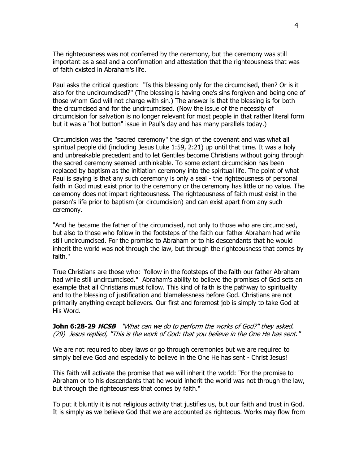The righteousness was not conferred by the ceremony, but the ceremony was still important as a seal and a confirmation and attestation that the righteousness that was of faith existed in Abraham's life.

Paul asks the critical question: "Is this blessing only for the circumcised, then? Or is it also for the uncircumcised?" (The blessing is having one's sins forgiven and being one of those whom God will not charge with sin.) The answer is that the blessing is for both the circumcised and for the uncircumcised. (Now the issue of the necessity of circumcision for salvation is no longer relevant for most people in that rather literal form but it was a "hot button" issue in Paul's day and has many parallels today.)

Circumcision was the "sacred ceremony" the sign of the covenant and was what all spiritual people did (including Jesus Luke 1:59, 2:21) up until that time. It was a holy and unbreakable precedent and to let Gentiles become Christians without going through the sacred ceremony seemed unthinkable. To some extent circumcision has been replaced by baptism as the initiation ceremony into the spiritual life. The point of what Paul is saying is that any such ceremony is only a seal - the righteousness of personal faith in God must exist prior to the ceremony or the ceremony has little or no value. The ceremony does not impart righteousness. The righteousness of faith must exist in the person's life prior to baptism (or circumcision) and can exist apart from any such ceremony.

"And he became the father of the circumcised, not only to those who are circumcised, but also to those who follow in the footsteps of the faith our father Abraham had while still uncircumcised. For the promise to Abraham or to his descendants that he would inherit the world was not through the law, but through the righteousness that comes by faith."

True Christians are those who: "follow in the footsteps of the faith our father Abraham had while still uncircumcised." Abraham's ability to believe the promises of God sets an example that all Christians must follow. This kind of faith is the pathway to spirituality and to the blessing of justification and blamelessness before God. Christians are not primarily anything except believers. Our first and foremost job is simply to take God at His Word.

**John 6:28-29 HCSB** "What can we do to perform the works of God?" they asked. (29) Jesus replied, "This is the work of God: that you believe in the One He has sent."

We are not required to obey laws or go through ceremonies but we are required to simply believe God and especially to believe in the One He has sent - Christ Jesus!

This faith will activate the promise that we will inherit the world: "For the promise to Abraham or to his descendants that he would inherit the world was not through the law, but through the righteousness that comes by faith."

To put it bluntly it is not religious activity that justifies us, but our faith and trust in God. It is simply as we believe God that we are accounted as righteous. Works may flow from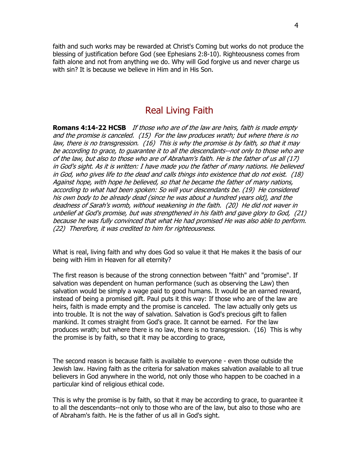faith and such works may be rewarded at Christ's Coming but works do not produce the blessing of justification before God (see Ephesians 2:8-10). Righteousness comes from faith alone and not from anything we do. Why will God forgive us and never charge us with sin? It is because we believe in Him and in His Son.

#### Real Living Faith

**Romans 4:14-22 HCSB** If those who are of the law are heirs, faith is made empty and the promise is canceled. (15) For the law produces wrath; but where there is no law, there is no transgression. (16) This is why the promise is by faith, so that it may be according to grace, to guarantee it to all the descendants--not only to those who are of the law, but also to those who are of Abraham's faith. He is the father of us all (17) in God's sight. As it is written: I have made you the father of many nations. He believed in God, who gives life to the dead and calls things into existence that do not exist. (18) Against hope, with hope he believed, so that he became the father of many nations, according to what had been spoken: So will your descendants be. (19) He considered his own body to be already dead (since he was about a hundred years old), and the deadness of Sarah's womb, without weakening in the faith. (20) He did not waver in unbelief at God's promise, but was strengthened in his faith and gave glory to God, (21) because he was fully convinced that what He had promised He was also able to perform. (22) Therefore, it was credited to him for righteousness.

What is real, living faith and why does God so value it that He makes it the basis of our being with Him in Heaven for all eternity?

The first reason is because of the strong connection between "faith" and "promise". If salvation was dependent on human performance (such as observing the Law) then salvation would be simply a wage paid to good humans. It would be an earned reward, instead of being a promised gift. Paul puts it this way: If those who are of the law are heirs, faith is made empty and the promise is canceled. The law actually only gets us into trouble. It is not the way of salvation. Salvation is God's precious gift to fallen mankind. It comes straight from God's grace. It cannot be earned. For the law produces wrath; but where there is no law, there is no transgression. (16) This is why the promise is by faith, so that it may be according to grace,

The second reason is because faith is available to everyone - even those outside the Jewish law. Having faith as the criteria for salvation makes salvation available to all true believers in God anywhere in the world, not only those who happen to be coached in a particular kind of religious ethical code.

This is why the promise is by faith, so that it may be according to grace, to guarantee it to all the descendants--not only to those who are of the law, but also to those who are of Abraham's faith. He is the father of us all in God's sight.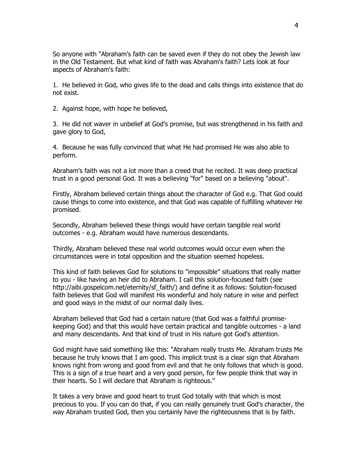So anyone with "Abraham's faith can be saved even if they do not obey the Jewish law in the Old Testament. But what kind of faith was Abraham's faith? Lets look at four aspects of Abraham's faith:

1. He believed in God, who gives life to the dead and calls things into existence that do not exist.

2. Against hope, with hope he believed,

3. He did not waver in unbelief at God's promise, but was strengthened in his faith and gave glory to God,

4. Because he was fully convinced that what He had promised He was also able to perform.

Abraham's faith was not a lot more than a creed that he recited. It was deep practical trust in a good personal God. It was a believing "for" based on a believing "about".

Firstly, Abraham believed certain things about the character of God e.g. That God could cause things to come into existence, and that God was capable of fulfilling whatever He promised.

Secondly, Abraham believed these things would have certain tangible real world outcomes - e.g. Abraham would have numerous descendants.

Thirdly, Abraham believed these real world outcomes would occur even when the circumstances were in total opposition and the situation seemed hopeless.

This kind of faith believes God for solutions to "impossible" situations that really matter to you - like having an heir did to Abraham. I call this solution-focused faith (see http://aibi.gospelcom.net/eternity/sf\_faith/) and define it as follows: Solution-focused faith believes that God will manifest His wonderful and holy nature in wise and perfect and good ways in the midst of our normal daily lives.

Abraham believed that God had a certain nature (that God was a faithful promisekeeping God) and that this would have certain practical and tangible outcomes - a land and many descendants. And that kind of trust in His nature got God's attention.

God might have said something like this: "Abraham really trusts Me. Abraham trusts Me because he truly knows that I am good. This implicit trust is a clear sign that Abraham knows right from wrong and good from evil and that he only follows that which is good. This is a sign of a true heart and a very good person, for few people think that way in their hearts. So I will declare that Abraham is righteous."

It takes a very brave and good heart to trust God totally with that which is most precious to you. If you can do that, if you can really genuinely trust God's character, the way Abraham trusted God, then you certainly have the righteousness that is by faith.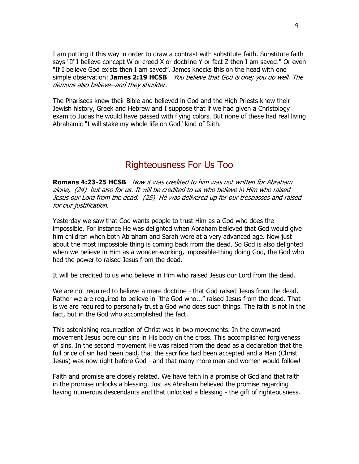I am putting it this way in order to draw a contrast with substitute faith. Substitute faith says "If I believe concept W or creed X or doctrine Y or fact Z then I am saved." Or even "If I believe God exists then I am saved". James knocks this on the head with one simple observation: **James 2:19 HCSB** You believe that God is one; you do well. The demons also believe--and they shudder.

The Pharisees knew their Bible and believed in God and the High Priests knew their Jewish history, Greek and Hebrew and I suppose that if we had given a Christology exam to Judas he would have passed with flying colors. But none of these had real living Abrahamic "I will stake my whole life on God" kind of faith.

## Righteousness For Us Too

**Romans 4:23-25 HCSB** Now it was credited to him was not written for Abraham alone, (24) but also for us. It will be credited to us who believe in Him who raised Jesus our Lord from the dead. (25) He was delivered up for our trespasses and raised for our justification.

Yesterday we saw that God wants people to trust Him as a God who does the impossible. For instance He was delighted when Abraham believed that God would give him children when both Abraham and Sarah were at a very advanced age. Now just about the most impossible thing is coming back from the dead. So God is also delighted when we believe in Him as a wonder-working, impossible-thing doing God, the God who had the power to raised Jesus from the dead.

It will be credited to us who believe in Him who raised Jesus our Lord from the dead.

We are not required to believe a mere doctrine - that God raised Jesus from the dead. Rather we are required to believe in "the God who..." raised Jesus from the dead. That is we are required to personally trust a God who does such things. The faith is not in the fact, but in the God who accomplished the fact.

This astonishing resurrection of Christ was in two movements. In the downward movement Jesus bore our sins in His body on the cross. This accomplished forgiveness of sins. In the second movement He was raised from the dead as a declaration that the full price of sin had been paid, that the sacrifice had been accepted and a Man (Christ Jesus) was now right before God - and that many more men and women would follow!

Faith and promise are closely related. We have faith in a promise of God and that faith in the promise unlocks a blessing. Just as Abraham believed the promise regarding having numerous descendants and that unlocked a blessing - the gift of righteousness.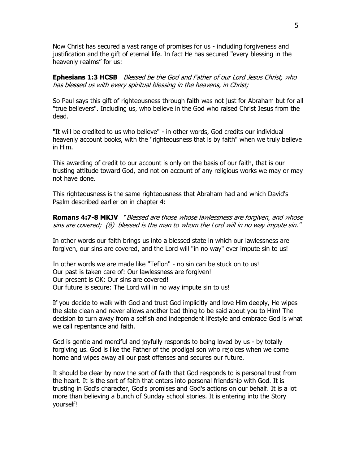Now Christ has secured a vast range of promises for us - including forgiveness and justification and the gift of eternal life. In fact He has secured "every blessing in the heavenly realms" for us:

**Ephesians 1:3 HCSB** Blessed be the God and Father of our Lord Jesus Christ, who has blessed us with every spiritual blessing in the heavens, in Christ;

So Paul says this gift of righteousness through faith was not just for Abraham but for all "true believers". Including us, who believe in the God who raised Christ Jesus from the dead.

"It will be credited to us who believe" - in other words, God credits our individual heavenly account books, with the "righteousness that is by faith" when we truly believe in Him.

This awarding of credit to our account is only on the basis of our faith, that is our trusting attitude toward God, and not on account of any religious works we may or may not have done.

This righteousness is the same righteousness that Abraham had and which David's Psalm described earlier on in chapter 4:

**Romans 4:7-8 MKJV** "Blessed are those whose lawlessness are forgiven, and whose sins are covered; (8) blessed is the man to whom the Lord will in no way impute sin."

In other words our faith brings us into a blessed state in which our lawlessness are forgiven, our sins are covered, and the Lord will "in no way" ever impute sin to us!

In other words we are made like "Teflon" - no sin can be stuck on to us! Our past is taken care of: Our lawlessness are forgiven! Our present is OK: Our sins are covered! Our future is secure: The Lord will in no way impute sin to us!

If you decide to walk with God and trust God implicitly and love Him deeply, He wipes the slate clean and never allows another bad thing to be said about you to Him! The decision to turn away from a selfish and independent lifestyle and embrace God is what we call repentance and faith.

God is gentle and merciful and joyfully responds to being loved by us - by totally forgiving us. God is like the Father of the prodigal son who rejoices when we come home and wipes away all our past offenses and secures our future.

It should be clear by now the sort of faith that God responds to is personal trust from the heart. It is the sort of faith that enters into personal friendship with God. It is trusting in God's character, God's promises and God's actions on our behalf. It is a lot more than believing a bunch of Sunday school stories. It is entering into the Story yourself!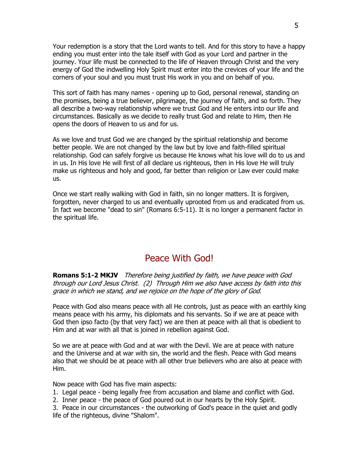Your redemption is a story that the Lord wants to tell. And for this story to have a happy ending you must enter into the tale itself with God as your Lord and partner in the journey. Your life must be connected to the life of Heaven through Christ and the very energy of God the indwelling Holy Spirit must enter into the crevices of your life and the corners of your soul and you must trust His work in you and on behalf of you.

This sort of faith has many names - opening up to God, personal renewal, standing on the promises, being a true believer, pilgrimage, the journey of faith, and so forth. They all describe a two-way relationship where we trust God and He enters into our life and circumstances. Basically as we decide to really trust God and relate to Him, then He opens the doors of Heaven to us and for us.

As we love and trust God we are changed by the spiritual relationship and become better people. We are not changed by the law but by love and faith-filled spiritual relationship. God can safely forgive us because He knows what his love will do to us and in us. In His love He will first of all declare us righteous, then in His love He will truly make us righteous and holy and good, far better than religion or Law ever could make us.

Once we start really walking with God in faith, sin no longer matters. It is forgiven, forgotten, never charged to us and eventually uprooted from us and eradicated from us. In fact we become "dead to sin" (Romans 6:5-11). It is no longer a permanent factor in the spiritual life.

## Peace With God!

**Romans 5:1-2 MKJV** Therefore being justified by faith, we have peace with God through our Lord Jesus Christ. (2) Through Him we also have access by faith into this grace in which we stand, and we rejoice on the hope of the glory of God.

Peace with God also means peace with all He controls, just as peace with an earthly king means peace with his army, his diplomats and his servants. So if we are at peace with God then ipso facto (by that very fact) we are then at peace with all that is obedient to Him and at war with all that is joined in rebellion against God.

So we are at peace with God and at war with the Devil. We are at peace with nature and the Universe and at war with sin, the world and the flesh. Peace with God means also that we should be at peace with all other true believers who are also at peace with Him.

Now peace with God has five main aspects:

1. Legal peace - being legally free from accusation and blame and conflict with God.

2. Inner peace - the peace of God poured out in our hearts by the Holy Spirit.

3. Peace in our circumstances - the outworking of God's peace in the quiet and godly life of the righteous, divine "Shalom".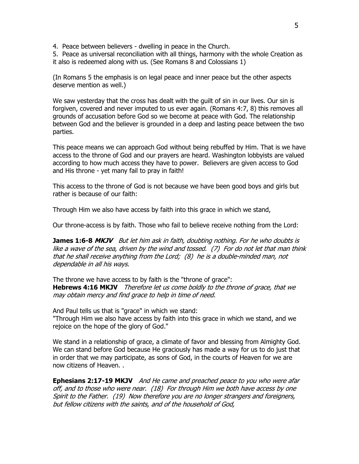4. Peace between believers - dwelling in peace in the Church.

5. Peace as universal reconciliation with all things, harmony with the whole Creation as it also is redeemed along with us. (See Romans 8 and Colossians 1)

(In Romans 5 the emphasis is on legal peace and inner peace but the other aspects deserve mention as well.)

We saw yesterday that the cross has dealt with the guilt of sin in our lives. Our sin is forgiven, covered and never imputed to us ever again. (Romans 4:7, 8) this removes all grounds of accusation before God so we become at peace with God. The relationship between God and the believer is grounded in a deep and lasting peace between the two parties.

This peace means we can approach God without being rebuffed by Him. That is we have access to the throne of God and our prayers are heard. Washington lobbyists are valued according to how much access they have to power. Believers are given access to God and His throne - yet many fail to pray in faith!

This access to the throne of God is not because we have been good boys and girls but rather is because of our faith:

Through Him we also have access by faith into this grace in which we stand,

Our throne-access is by faith. Those who fail to believe receive nothing from the Lord:

**James 1:6-8 MKJV** But let him ask in faith, doubting nothing. For he who doubts is like a wave of the sea, driven by the wind and tossed. (7) For do not let that man think that he shall receive anything from the Lord; (8) he is a double-minded man, not dependable in all his ways.

The throne we have access to by faith is the "throne of grace": **Hebrews 4:16 MKJV** Therefore let us come boldly to the throne of grace, that we may obtain mercy and find grace to help in time of need.

And Paul tells us that is "grace" in which we stand: "Through Him we also have access by faith into this grace in which we stand, and we rejoice on the hope of the glory of God."

We stand in a relationship of grace, a climate of favor and blessing from Almighty God. We can stand before God because He graciously has made a way for us to do just that in order that we may participate, as sons of God, in the courts of Heaven for we are now citizens of Heaven. .

**Ephesians 2:17-19 MKJV** And He came and preached peace to you who were afar off, and to those who were near. (18) For through Him we both have access by one Spirit to the Father. (19) Now therefore you are no longer strangers and foreigners, but fellow citizens with the saints, and of the household of God,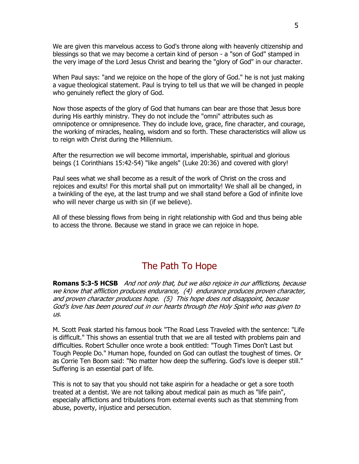We are given this marvelous access to God's throne along with heavenly citizenship and blessings so that we may become a certain kind of person - a "son of God" stamped in the very image of the Lord Jesus Christ and bearing the "glory of God" in our character.

When Paul says: "and we rejoice on the hope of the glory of God." he is not just making a vague theological statement. Paul is trying to tell us that we will be changed in people who genuinely reflect the glory of God.

Now those aspects of the glory of God that humans can bear are those that Jesus bore during His earthly ministry. They do not include the "omni" attributes such as omnipotence or omnipresence. They do include love, grace, fine character, and courage, the working of miracles, healing, wisdom and so forth. These characteristics will allow us to reign with Christ during the Millennium.

After the resurrection we will become immortal, imperishable, spiritual and glorious beings (1 Corinthians 15:42-54) "like angels" (Luke 20:36) and covered with glory!

Paul sees what we shall become as a result of the work of Christ on the cross and rejoices and exults! For this mortal shall put on immortality! We shall all be changed, in a twinkling of the eye, at the last trump and we shall stand before a God of infinite love who will never charge us with sin (if we believe).

All of these blessing flows from being in right relationship with God and thus being able to access the throne. Because we stand in grace we can rejoice in hope.

## The Path To Hope

**Romans 5:3-5 HCSB** And not only that, but we also rejoice in our afflictions, because we know that affliction produces endurance, (4) endurance produces proven character, and proven character produces hope. (5) This hope does not disappoint, because God's love has been poured out in our hearts through the Holy Spirit who was given to us.

M. Scott Peak started his famous book "The Road Less Traveled with the sentence: "Life is difficult." This shows an essential truth that we are all tested with problems pain and difficulties. Robert Schuller once wrote a book entitled: "Tough Times Don't Last but Tough People Do." Human hope, founded on God can outlast the toughest of times. Or as Corrie Ten Boom said: "No matter how deep the suffering. God's love is deeper still." Suffering is an essential part of life.

This is not to say that you should not take aspirin for a headache or get a sore tooth treated at a dentist. We are not talking about medical pain as much as "life pain", especially afflictions and tribulations from external events such as that stemming from abuse, poverty, injustice and persecution.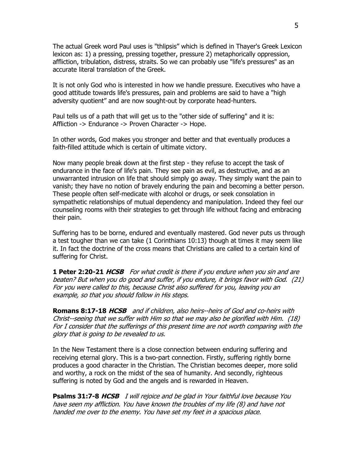The actual Greek word Paul uses is "thlipsis" which is defined in Thayer's Greek Lexicon lexicon as: 1) a pressing, pressing together, pressure 2) metaphorically oppression, affliction, tribulation, distress, straits. So we can probably use "life's pressures" as an accurate literal translation of the Greek.

It is not only God who is interested in how we handle pressure. Executives who have a good attitude towards life's pressures, pain and problems are said to have a "high adversity quotient" and are now sought-out by corporate head-hunters.

Paul tells us of a path that will get us to the "other side of suffering" and it is: Affliction -> Endurance -> Proven Character -> Hope.

In other words, God makes you stronger and better and that eventually produces a faith-filled attitude which is certain of ultimate victory.

Now many people break down at the first step - they refuse to accept the task of endurance in the face of life's pain. They see pain as evil, as destructive, and as an unwarranted intrusion on life that should simply go away. They simply want the pain to vanish; they have no notion of bravely enduring the pain and becoming a better person. These people often self-medicate with alcohol or drugs, or seek consolation in sympathetic relationships of mutual dependency and manipulation. Indeed they feel our counseling rooms with their strategies to get through life without facing and embracing their pain.

Suffering has to be borne, endured and eventually mastered. God never puts us through a test tougher than we can take (1 Corinthians 10:13) though at times it may seem like it. In fact the doctrine of the cross means that Christians are called to a certain kind of suffering for Christ.

**1 Peter 2:20-21 HCSB** For what credit is there if you endure when you sin and are beaten? But when you do good and suffer, if you endure, it brings favor with God. (21) For you were called to this, because Christ also suffered for you, leaving you an example, so that you should follow in His steps.

**Romans 8:17-18 HCSB** and if children, also heirs--heirs of God and co-heirs with Christ--seeing that we suffer with Him so that we may also be glorified with Him. (18) For I consider that the sufferings of this present time are not worth comparing with the glory that is going to be revealed to us.

In the New Testament there is a close connection between enduring suffering and receiving eternal glory. This is a two-part connection. Firstly, suffering rightly borne produces a good character in the Christian. The Christian becomes deeper, more solid and worthy, a rock on the midst of the sea of humanity. And secondly, righteous suffering is noted by God and the angels and is rewarded in Heaven.

**Psalms 31:7-8 HCSB** I will rejoice and be glad in Your faithful love because You have seen my affliction. You have known the troubles of my life (8) and have not handed me over to the enemy. You have set my feet in a spacious place.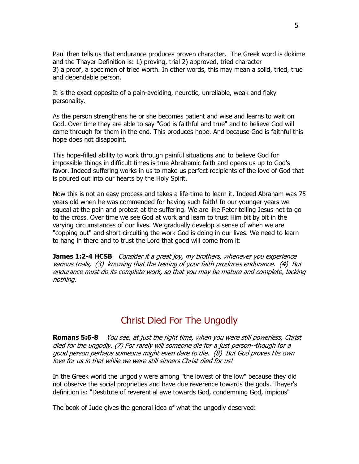Paul then tells us that endurance produces proven character. The Greek word is dokime and the Thayer Definition is: 1) proving, trial 2) approved, tried character 3) a proof, a specimen of tried worth. In other words, this may mean a solid, tried, true and dependable person.

It is the exact opposite of a pain-avoiding, neurotic, unreliable, weak and flaky personality.

As the person strengthens he or she becomes patient and wise and learns to wait on God. Over time they are able to say "God is faithful and true" and to believe God will come through for them in the end. This produces hope. And because God is faithful this hope does not disappoint.

This hope-filled ability to work through painful situations and to believe God for impossible things in difficult times is true Abrahamic faith and opens us up to God's favor. Indeed suffering works in us to make us perfect recipients of the love of God that is poured out into our hearts by the Holy Spirit.

Now this is not an easy process and takes a life-time to learn it. Indeed Abraham was 75 years old when he was commended for having such faith! In our younger years we squeal at the pain and protest at the suffering. We are like Peter telling Jesus not to go to the cross. Over time we see God at work and learn to trust Him bit by bit in the varying circumstances of our lives. We gradually develop a sense of when we are "copping out" and short-circuiting the work God is doing in our lives. We need to learn to hang in there and to trust the Lord that good will come from it:

**James 1:2-4 HCSB** Consider it a great joy, my brothers, whenever you experience various trials, (3) knowing that the testing of your faith produces endurance. (4) But endurance must do its complete work, so that you may be mature and complete, lacking nothing.

## Christ Died For The Ungodly

**Romans 5:6-8** You see, at just the right time, when you were still powerless, Christ died for the ungodly. (7) For rarely will someone die for a just person--though for a good person perhaps someone might even dare to die. (8) But God proves His own love for us in that while we were still sinners Christ died for us!

In the Greek world the ungodly were among "the lowest of the low" because they did not observe the social proprieties and have due reverence towards the gods. Thayer's definition is: "Destitute of reverential awe towards God, condemning God, impious"

The book of Jude gives the general idea of what the ungodly deserved: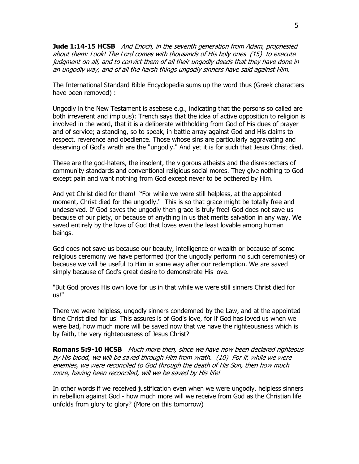**Jude 1:14-15 HCSB** And Enoch, in the seventh generation from Adam, prophesied about them: Look! The Lord comes with thousands of His holy ones (15) to execute judament on all, and to convict them of all their ungodly deeds that they have done in an ungodly way, and of all the harsh things ungodly sinners have said against Him.

The International Standard Bible Encyclopedia sums up the word thus (Greek characters have been removed) :

Ungodly in the New Testament is asebese e.g., indicating that the persons so called are both irreverent and impious): Trench says that the idea of active opposition to religion is involved in the word, that it is a deliberate withholding from God of His dues of prayer and of service; a standing, so to speak, in battle array against God and His claims to respect, reverence and obedience. Those whose sins are particularly aggravating and deserving of God's wrath are the "ungodly." And yet it is for such that Jesus Christ died.

These are the god-haters, the insolent, the vigorous atheists and the disrespecters of community standards and conventional religious social mores. They give nothing to God except pain and want nothing from God except never to be bothered by Him.

And yet Christ died for them! "For while we were still helpless, at the appointed moment, Christ died for the ungodly." This is so that grace might be totally free and undeserved. If God saves the ungodly then grace is truly free! God does not save us because of our piety, or because of anything in us that merits salvation in any way. We saved entirely by the love of God that loves even the least lovable among human beings.

God does not save us because our beauty, intelligence or wealth or because of some religious ceremony we have performed (for the ungodly perform no such ceremonies) or because we will be useful to Him in some way after our redemption. We are saved simply because of God's great desire to demonstrate His love.

"But God proves His own love for us in that while we were still sinners Christ died for us!"

There we were helpless, ungodly sinners condemned by the Law, and at the appointed time Christ died for us! This assures is of God's love, for if God has loved us when we were bad, how much more will be saved now that we have the righteousness which is by faith, the very righteousness of Jesus Christ?

**Romans 5:9-10 HCSB** Much more then, since we have now been declared righteous by His blood, we will be saved through Him from wrath. (10) For if, while we were enemies, we were reconciled to God through the death of His Son, then how much more, having been reconciled, will we be saved by His life!

In other words if we received justification even when we were ungodly, helpless sinners in rebellion against God - how much more will we receive from God as the Christian life unfolds from glory to glory? (More on this tomorrow)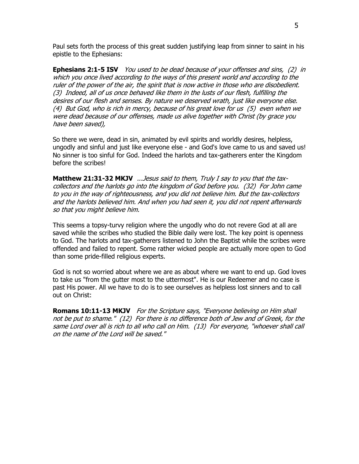Paul sets forth the process of this great sudden justifying leap from sinner to saint in his epistle to the Ephesians:

**Ephesians 2:1-5 ISV** You used to be dead because of your offenses and sins, (2) in which you once lived according to the ways of this present world and according to the ruler of the power of the air, the spirit that is now active in those who are disobedient. (3) Indeed, all of us once behaved like them in the lusts of our flesh, fulfilling the desires of our flesh and senses. By nature we deserved wrath, just like everyone else. (4) But God, who is rich in mercy, because of his great love for us (5) even when we were dead because of our offenses, made us alive together with Christ (by grace you have been saved),

So there we were, dead in sin, animated by evil spirits and worldly desires, helpless, ungodly and sinful and just like everyone else - and God's love came to us and saved us! No sinner is too sinful for God. Indeed the harlots and tax-gatherers enter the Kingdom before the scribes!

**Matthew 21:31-32 MKJV** ... Jesus said to them, Truly I say to you that the taxcollectors and the harlots go into the kingdom of God before you. (32) For John came to you in the way of righteousness, and you did not believe him. But the tax-collectors and the harlots believed him. And when you had seen it, you did not repent afterwards so that you might believe him.

This seems a topsy-turvy religion where the ungodly who do not revere God at all are saved while the scribes who studied the Bible daily were lost. The key point is openness to God. The harlots and tax-gatherers listened to John the Baptist while the scribes were offended and failed to repent. Some rather wicked people are actually more open to God than some pride-filled religious experts.

God is not so worried about where we are as about where we want to end up. God loves to take us "from the gutter most to the uttermost". He is our Redeemer and no case is past His power. All we have to do is to see ourselves as helpless lost sinners and to call out on Christ:

**Romans 10:11-13 MKJV** For the Scripture says, "Everyone believing on Him shall not be put to shame." (12) For there is no difference both of Jew and of Greek, for the same Lord over all is rich to all who call on Him. (13) For everyone, "whoever shall call on the name of the Lord will be saved."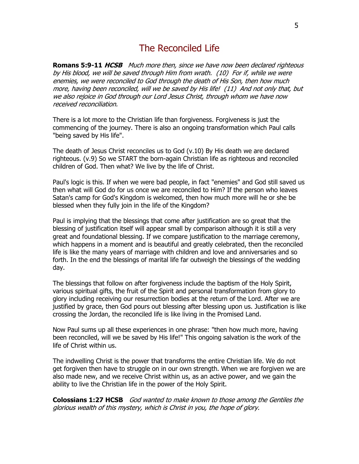## The Reconciled Life

**Romans 5:9-11 HCSB** Much more then, since we have now been declared righteous by His blood, we will be saved through Him from wrath. (10) For if, while we were enemies, we were reconciled to God through the death of His Son, then how much more, having been reconciled, will we be saved by His life! (11) And not only that, but we also rejoice in God through our Lord Jesus Christ, through whom we have now received reconciliation.

There is a lot more to the Christian life than forgiveness. Forgiveness is just the commencing of the journey. There is also an ongoing transformation which Paul calls "being saved by His life".

The death of Jesus Christ reconciles us to God (v.10) By His death we are declared righteous. (v.9) So we START the born-again Christian life as righteous and reconciled children of God. Then what? We live by the life of Christ.

Paul's logic is this. If when we were bad people, in fact "enemies" and God still saved us then what will God do for us once we are reconciled to Him? If the person who leaves Satan's camp for God's Kingdom is welcomed, then how much more will he or she be blessed when they fully join in the life of the Kingdom?

Paul is implying that the blessings that come after justification are so great that the blessing of justification itself will appear small by comparison although it is still a very great and foundational blessing. If we compare justification to the marriage ceremony, which happens in a moment and is beautiful and greatly celebrated, then the reconciled life is like the many years of marriage with children and love and anniversaries and so forth. In the end the blessings of marital life far outweigh the blessings of the wedding day.

The blessings that follow on after forgiveness include the baptism of the Holy Spirit, various spiritual gifts, the fruit of the Spirit and personal transformation from glory to glory including receiving our resurrection bodies at the return of the Lord. After we are justified by grace, then God pours out blessing after blessing upon us. Justification is like crossing the Jordan, the reconciled life is like living in the Promised Land.

Now Paul sums up all these experiences in one phrase: "then how much more, having been reconciled, will we be saved by His life!" This ongoing salvation is the work of the life of Christ within us.

The indwelling Christ is the power that transforms the entire Christian life. We do not get forgiven then have to struggle on in our own strength. When we are forgiven we are also made new, and we receive Christ within us, as an active power, and we gain the ability to live the Christian life in the power of the Holy Spirit.

**Colossians 1:27 HCSB** God wanted to make known to those among the Gentiles the glorious wealth of this mystery, which is Christ in you, the hope of glory.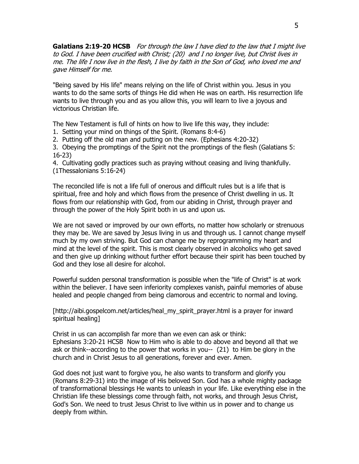**Galatians 2:19-20 HCSB** For through the law I have died to the law that I might live to God. I have been crucified with Christ; (20) and I no longer live, but Christ lives in me. The life I now live in the flesh, I live by faith in the Son of God, who loved me and gave Himself for me.

"Being saved by His life" means relying on the life of Christ within you. Jesus in you wants to do the same sorts of things He did when He was on earth. His resurrection life wants to live through you and as you allow this, you will learn to live a joyous and victorious Christian life.

The New Testament is full of hints on how to live life this way, they include:

- 1. Setting your mind on things of the Spirit. (Romans 8:4-6)
- 2. Putting off the old man and putting on the new. (Ephesians 4:20-32)

3. Obeying the promptings of the Spirit not the promptings of the flesh (Galatians 5: 16-23)

4. Cultivating godly practices such as praying without ceasing and living thankfully. (1Thessalonians 5:16-24)

The reconciled life is not a life full of onerous and difficult rules but is a life that is spiritual, free and holy and which flows from the presence of Christ dwelling in us. It flows from our relationship with God, from our abiding in Christ, through prayer and through the power of the Holy Spirit both in us and upon us.

We are not saved or improved by our own efforts, no matter how scholarly or strenuous they may be. We are saved by Jesus living in us and through us. I cannot change myself much by my own striving. But God can change me by reprogramming my heart and mind at the level of the spirit. This is most clearly observed in alcoholics who get saved and then give up drinking without further effort because their spirit has been touched by God and they lose all desire for alcohol.

Powerful sudden personal transformation is possible when the "life of Christ" is at work within the believer. I have seen inferiority complexes vanish, painful memories of abuse healed and people changed from being clamorous and eccentric to normal and loving.

[http://aibi.gospelcom.net/articles/heal\_my\_spirit\_prayer.html is a prayer for inward spiritual healing]

Christ in us can accomplish far more than we even can ask or think: Ephesians 3:20-21 HCSB Now to Him who is able to do above and beyond all that we ask or think--according to the power that works in you-- (21) to Him be glory in the church and in Christ Jesus to all generations, forever and ever. Amen.

God does not just want to forgive you, he also wants to transform and glorify you (Romans 8:29-31) into the image of His beloved Son. God has a whole mighty package of transformational blessings He wants to unleash in your life. Like everything else in the Christian life these blessings come through faith, not works, and through Jesus Christ, God's Son. We need to trust Jesus Christ to live within us in power and to change us deeply from within.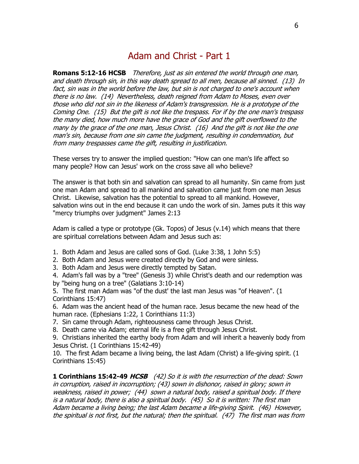## Adam and Christ - Part 1

**Romans 5:12-16 HCSB** Therefore, just as sin entered the world through one man, and death through sin, in this way death spread to all men, because all sinned. (13) In fact, sin was in the world before the law, but sin is not charged to one's account when there is no law. (14) Nevertheless, death reigned from Adam to Moses, even over those who did not sin in the likeness of Adam's transgression. He is a prototype of the Coming One. (15) But the gift is not like the trespass. For if by the one man's trespass the many died, how much more have the grace of God and the gift overflowed to the many by the grace of the one man, Jesus Christ. (16) And the gift is not like the one man's sin, because from one sin came the judgment, resulting in condemnation, but from many trespasses came the gift, resulting in justification.

These verses try to answer the implied question: "How can one man's life affect so many people? How can Jesus' work on the cross save all who believe?

The answer is that both sin and salvation can spread to all humanity. Sin came from just one man Adam and spread to all mankind and salvation came just from one man Jesus Christ. Likewise, salvation has the potential to spread to all mankind. However, salvation wins out in the end because it can undo the work of sin. James puts it this way "mercy triumphs over judgment" James 2:13

Adam is called a type or prototype (Gk. Topos) of Jesus (v.14) which means that there are spiritual correlations between Adam and Jesus such as:

- 1. Both Adam and Jesus are called sons of God. (Luke 3:38, 1 John 5:5)
- 2. Both Adam and Jesus were created directly by God and were sinless.
- 3. Both Adam and Jesus were directly tempted by Satan.

4. Adam's fall was by a "tree" (Genesis 3) while Christ's death and our redemption was by "being hung on a tree" (Galatians 3:10-14)

5. The first man Adam was "of the dust' the last man Jesus was "of Heaven". (1 Corinthians 15:47)

6. Adam was the ancient head of the human race. Jesus became the new head of the human race. (Ephesians 1:22, 1 Corinthians 11:3)

7. Sin came through Adam, righteousness came through Jesus Christ.

8. Death came via Adam; eternal life is a free gift through Jesus Christ.

9. Christians inherited the earthy body from Adam and will inherit a heavenly body from Jesus Christ. (1 Corinthians 15:42-49)

10. The first Adam became a living being, the last Adam (Christ) a life-giving spirit. (1 Corinthians 15:45)

**1 Corinthians 15:42-49 HCSB** (42) So it is with the resurrection of the dead: Sown in corruption, raised in incorruption; (43) sown in dishonor, raised in glory; sown in weakness, raised in power; (44) sown a natural body, raised a spiritual body. If there is a natural body, there is also a spiritual body. (45) So it is written: The first man Adam became a living being; the last Adam became a life-giving Spirit. (46) However, the spiritual is not first, but the natural; then the spiritual. (47) The first man was from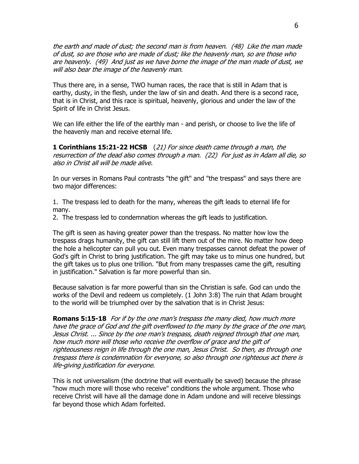the earth and made of dust; the second man is from heaven. (48) Like the man made of dust, so are those who are made of dust; like the heavenly man, so are those who are heavenly. (49) And just as we have borne the image of the man made of dust, we will also bear the image of the heavenly man.

Thus there are, in a sense, TWO human races, the race that is still in Adam that is earthy, dusty, in the flesh, under the law of sin and death. And there is a second race, that is in Christ, and this race is spiritual, heavenly, glorious and under the law of the Spirit of life in Christ Jesus.

We can life either the life of the earthly man - and perish, or choose to live the life of the heavenly man and receive eternal life.

**1 Corinthians 15:21-22 HCSB** (21) For since death came through a man, the resurrection of the dead also comes through a man. (22) For just as in Adam all die, so also in Christ all will be made alive.

In our verses in Romans Paul contrasts "the gift" and "the trespass" and says there are two major differences:

1. The trespass led to death for the many, whereas the gift leads to eternal life for many.

2. The trespass led to condemnation whereas the gift leads to justification.

The gift is seen as having greater power than the trespass. No matter how low the trespass drags humanity, the gift can still lift them out of the mire. No matter how deep the hole a helicopter can pull you out. Even many trespasses cannot defeat the power of God's gift in Christ to bring justification. The gift may take us to minus one hundred, but the gift takes us to plus one trillion. "But from many trespasses came the gift, resulting in justification." Salvation is far more powerful than sin.

Because salvation is far more powerful than sin the Christian is safe. God can undo the works of the Devil and redeem us completely. (1 John 3:8) The ruin that Adam brought to the world will be triumphed over by the salvation that is in Christ Jesus:

**Romans 5:15-18** For if by the one man's trespass the many died, how much more have the grace of God and the gift overflowed to the many by the grace of the one man, Jesus Christ. ... Since by the one man's trespass, death reigned through that one man, how much more will those who receive the overflow of grace and the gift of righteousness reign in life through the one man, Jesus Christ. So then, as through one trespass there is condemnation for everyone, so also through one righteous act there is life-giving justification for everyone.

This is not universalism (the doctrine that will eventually be saved) because the phrase "how much more will those who receive" conditions the whole argument. Those who receive Christ will have all the damage done in Adam undone and will receive blessings far beyond those which Adam forfeited.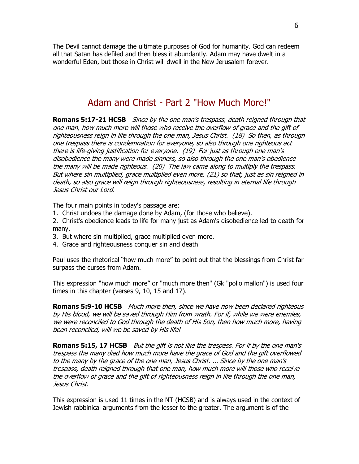The Devil cannot damage the ultimate purposes of God for humanity. God can redeem all that Satan has defiled and then bless it abundantly. Adam may have dwelt in a wonderful Eden, but those in Christ will dwell in the New Jerusalem forever.

## Adam and Christ - Part 2 "How Much More!"

**Romans 5:17-21 HCSB** Since by the one man's trespass, death reigned through that one man, how much more will those who receive the overflow of grace and the gift of righteousness reign in life through the one man, Jesus Christ. (18) So then, as through one trespass there is condemnation for everyone, so also through one righteous act there is life-giving justification for everyone. (19) For just as through one man's disobedience the many were made sinners, so also through the one man's obedience the many will be made righteous. (20) The law came along to multiply the trespass. But where sin multiplied, grace multiplied even more, (21) so that, just as sin reigned in death, so also grace will reign through righteousness, resulting in eternal life through Jesus Christ our Lord.

The four main points in today's passage are:

- 1. Christ undoes the damage done by Adam, (for those who believe).
- 2. Christ's obedience leads to life for many just as Adam's disobedience led to death for many.
- 3. But where sin multiplied, grace multiplied even more.
- 4. Grace and righteousness conquer sin and death

Paul uses the rhetorical "how much more" to point out that the blessings from Christ far surpass the curses from Adam.

This expression "how much more" or "much more then" (Gk "pollo mallon") is used four times in this chapter (verses 9, 10, 15 and 17).

**Romans 5:9-10 HCSB** Much more then, since we have now been declared righteous by His blood, we will be saved through Him from wrath. For if, while we were enemies, we were reconciled to God through the death of His Son, then how much more, having been reconciled, will we be saved by His life!

**Romans 5:15, 17 HCSB** But the gift is not like the trespass. For if by the one man's trespass the many died how much more have the grace of God and the gift overflowed to the many by the grace of the one man, Jesus Christ. ... Since by the one man's trespass, death reigned through that one man, how much more will those who receive the overflow of grace and the gift of righteousness reign in life through the one man, Jesus Christ.

This expression is used 11 times in the NT (HCSB) and is always used in the context of Jewish rabbinical arguments from the lesser to the greater. The argument is of the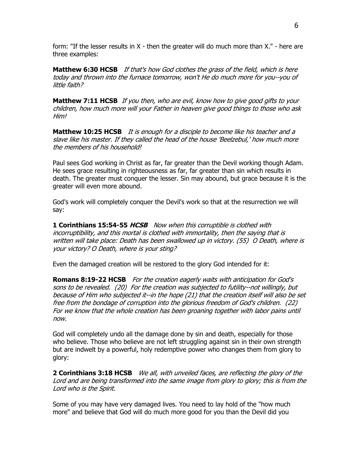form: "If the lesser results in X - then the greater will do much more than X." - here are three examples:

**Matthew 6:30 HCSB** If that's how God clothes the grass of the field, which is here today and thrown into the furnace tomorrow, won't He do much more for you--you of little faith?

**Matthew 7:11 HCSB** If you then, who are evil, know how to give good gifts to your children, how much more will your Father in heaven give good things to those who ask Him!

**Matthew 10:25 HCSB** It is enough for a disciple to become like his teacher and a slave like his master. If they called the head of the house 'Beelzebul,' how much more the members of his household!

Paul sees God working in Christ as far, far greater than the Devil working though Adam. He sees grace resulting in righteousness as far, far greater than sin which results in death. The greater must conquer the lesser. Sin may abound, but grace because it is the greater will even more abound.

God's work will completely conquer the Devil's work so that at the resurrection we will say:

**1 Corinthians 15:54-55 HCSB** Now when this corruptible is clothed with incorruptibility, and this mortal is clothed with immortality, then the saying that is written will take place: Death has been swallowed up in victory. (55) O Death, where is your victory? O Death, where is your sting?

Even the damaged creation will be restored to the glory God intended for it:

**Romans 8:19-22 HCSB** For the creation eagerly waits with anticipation for God's sons to be revealed. (20) For the creation was subjected to futility--not willingly, but because of Him who subjected it--in the hope (21) that the creation itself will also be set free from the bondage of corruption into the glorious freedom of God's children. (22) For we know that the whole creation has been groaning together with labor pains until now.

God will completely undo all the damage done by sin and death, especially for those who believe. Those who believe are not left struggling against sin in their own strength but are indwelt by a powerful, holy redemptive power who changes them from glory to glory:

**2 Corinthians 3:18 HCSB** We all, with unveiled faces, are reflecting the glory of the Lord and are being transformed into the same image from glory to glory; this is from the Lord who is the Spirit.

Some of you may have very damaged lives. You need to lay hold of the "how much more" and believe that God will do much more good for you than the Devil did you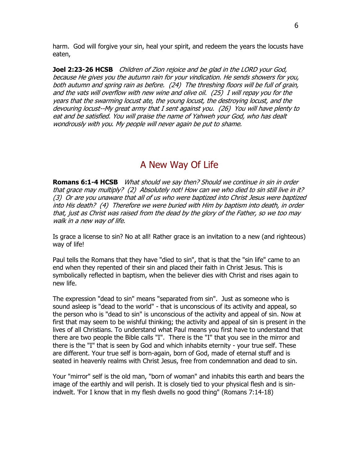harm. God will forgive your sin, heal your spirit, and redeem the years the locusts have eaten,

**Joel 2:23-26 HCSB** Children of Zion rejoice and be glad in the LORD your God, because He gives you the autumn rain for your vindication. He sends showers for you, both autumn and spring rain as before. (24) The threshing floors will be full of grain, and the vats will overflow with new wine and olive oil. (25) I will repay you for the years that the swarming locust ate, the young locust, the destroying locust, and the devouring locust--My great army that I sent against you. (26) You will have plenty to eat and be satisfied. You will praise the name of Yahweh your God, who has dealt wondrously with you. My people will never again be put to shame.

### A New Way Of Life

**Romans 6:1-4 HCSB** What should we say then? Should we continue in sin in order that grace may multiply? (2) Absolutely not! How can we who died to sin still live in it? (3) Or are you unaware that all of us who were baptized into Christ Jesus were baptized into His death? (4) Therefore we were buried with Him by baptism into death, in order that, just as Christ was raised from the dead by the glory of the Father, so we too may walk in a new way of life.

Is grace a license to sin? No at all! Rather grace is an invitation to a new (and righteous) way of life!

Paul tells the Romans that they have "died to sin", that is that the "sin life" came to an end when they repented of their sin and placed their faith in Christ Jesus. This is symbolically reflected in baptism, when the believer dies with Christ and rises again to new life.

The expression "dead to sin" means "separated from sin". Just as someone who is sound asleep is "dead to the world" - that is unconscious of its activity and appeal, so the person who is "dead to sin" is unconscious of the activity and appeal of sin. Now at first that may seem to be wishful thinking; the activity and appeal of sin is present in the lives of all Christians. To understand what Paul means you first have to understand that there are two people the Bible calls "I". There is the "I" that you see in the mirror and there is the "I" that is seen by God and which inhabits eternity - your true self. These are different. Your true self is born-again, born of God, made of eternal stuff and is seated in heavenly realms with Christ Jesus, free from condemnation and dead to sin.

Your "mirror" self is the old man, "born of woman" and inhabits this earth and bears the image of the earthly and will perish. It is closely tied to your physical flesh and is sinindwelt. 'For I know that in my flesh dwells no good thing" (Romans 7:14-18)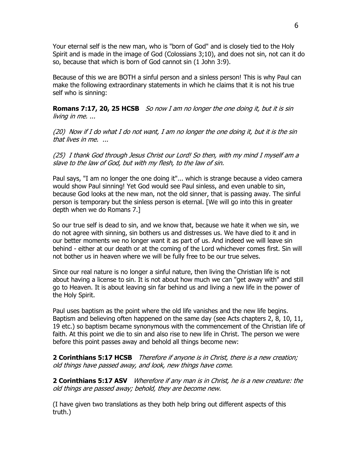Your eternal self is the new man, who is "born of God" and is closely tied to the Holy Spirit and is made in the image of God (Colossians 3;10), and does not sin, not can it do so, because that which is born of God cannot sin (1 John 3:9).

Because of this we are BOTH a sinful person and a sinless person! This is why Paul can make the following extraordinary statements in which he claims that it is not his true self who is sinning:

**Romans 7:17, 20, 25 HCSB** So now I am no longer the one doing it, but it is sin living in me. ...

 $(20)$  Now if I do what I do not want, I am no longer the one doing it, but it is the sin that lives in me. ...

(25) I thank God through Jesus Christ our Lord! So then, with my mind I myself am a slave to the law of God, but with my flesh, to the law of sin.

Paul says, "I am no longer the one doing it"... which is strange because a video camera would show Paul sinning! Yet God would see Paul sinless, and even unable to sin, because God looks at the new man, not the old sinner, that is passing away. The sinful person is temporary but the sinless person is eternal. [We will go into this in greater depth when we do Romans 7.]

So our true self is dead to sin, and we know that, because we hate it when we sin, we do not agree with sinning, sin bothers us and distresses us. We have died to it and in our better moments we no longer want it as part of us. And indeed we will leave sin behind - either at our death or at the coming of the Lord whichever comes first. Sin will not bother us in heaven where we will be fully free to be our true selves.

Since our real nature is no longer a sinful nature, then living the Christian life is not about having a license to sin. It is not about how much we can "get away with" and still go to Heaven. It is about leaving sin far behind us and living a new life in the power of the Holy Spirit.

Paul uses baptism as the point where the old life vanishes and the new life begins. Baptism and believing often happened on the same day (see Acts chapters 2, 8, 10, 11, 19 etc.) so baptism became synonymous with the commencement of the Christian life of faith. At this point we die to sin and also rise to new life in Christ. The person we were before this point passes away and behold all things become new:

**2 Corinthians 5:17 HCSB** Therefore if anyone is in Christ, there is a new creation; old things have passed away, and look, new things have come.

**2 Corinthians 5:17 ASV** Wherefore if any man is in Christ, he is a new creature: the old things are passed away; behold, they are become new.

(I have given two translations as they both help bring out different aspects of this truth.)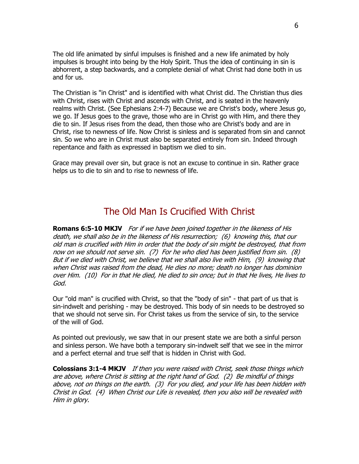The old life animated by sinful impulses is finished and a new life animated by holy impulses is brought into being by the Holy Spirit. Thus the idea of continuing in sin is abhorrent, a step backwards, and a complete denial of what Christ had done both in us and for us.

The Christian is "in Christ" and is identified with what Christ did. The Christian thus dies with Christ, rises with Christ and ascends with Christ, and is seated in the heavenly realms with Christ. (See Ephesians 2:4-7) Because we are Christ's body, where Jesus go, we go. If Jesus goes to the grave, those who are in Christ go with Him, and there they die to sin. If Jesus rises from the dead, then those who are Christ's body and are in Christ, rise to newness of life. Now Christ is sinless and is separated from sin and cannot sin. So we who are in Christ must also be separated entirely from sin. Indeed through repentance and faith as expressed in baptism we died to sin.

Grace may prevail over sin, but grace is not an excuse to continue in sin. Rather grace helps us to die to sin and to rise to newness of life.

## The Old Man Is Crucified With Christ

**Romans 6:5-10 MKJV** For if we have been joined together in the likeness of His death, we shall also be in the likeness of His resurrection; (6) knowing this, that our old man is crucified with Him in order that the body of sin might be destroyed, that from now on we should not serve sin. (7) For he who died has been justified from sin. (8) But if we died with Christ, we believe that we shall also live with Him, (9) knowing that when Christ was raised from the dead, He dies no more; death no longer has dominion over Him. (10) For in that He died, He died to sin once; but in that He lives, He lives to God.

Our "old man" is crucified with Christ, so that the "body of sin" - that part of us that is sin-indwelt and perishing - may be destroyed. This body of sin needs to be destroyed so that we should not serve sin. For Christ takes us from the service of sin, to the service of the will of God.

As pointed out previously, we saw that in our present state we are both a sinful person and sinless person. We have both a temporary sin-indwelt self that we see in the mirror and a perfect eternal and true self that is hidden in Christ with God.

**Colossians 3:1-4 MKJV** If then you were raised with Christ, seek those things which are above, where Christ is sitting at the right hand of God. (2) Be mindful of things above, not on things on the earth. (3) For you died, and your life has been hidden with Christ in God. (4) When Christ our Life is revealed, then you also will be revealed with Him in glory.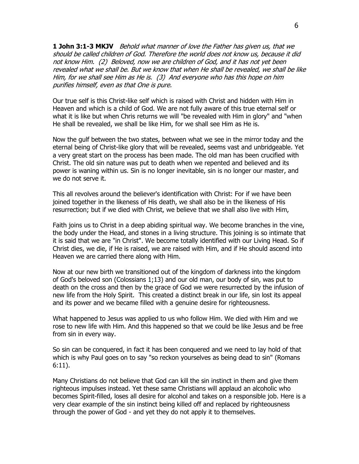**1 John 3:1-3 MKJV** Behold what manner of love the Father has given us, that we should be called children of God. Therefore the world does not know us, because it did not know Him. (2) Beloved, now we are children of God, and it has not yet been revealed what we shall be. But we know that when He shall be revealed, we shall be like Him, for we shall see Him as He is. (3) And everyone who has this hope on him purifies himself, even as that One is pure.

Our true self is this Christ-like self which is raised with Christ and hidden with Him in Heaven and which is a child of God. We are not fully aware of this true eternal self or what it is like but when Chris returns we will "be revealed with Him in glory" and "when He shall be revealed, we shall be like Him, for we shall see Him as He is.

Now the gulf between the two states, between what we see in the mirror today and the eternal being of Christ-like glory that will be revealed, seems vast and unbridgeable. Yet a very great start on the process has been made. The old man has been crucified with Christ. The old sin nature was put to death when we repented and believed and its power is waning within us. Sin is no longer inevitable, sin is no longer our master, and we do not serve it.

This all revolves around the believer's identification with Christ: For if we have been joined together in the likeness of His death, we shall also be in the likeness of His resurrection; but if we died with Christ, we believe that we shall also live with Him,

Faith joins us to Christ in a deep abiding spiritual way. We become branches in the vine, the body under the Head, and stones in a living structure. This joining is so intimate that it is said that we are "in Christ". We become totally identified with our Living Head. So if Christ dies, we die, if He is raised, we are raised with Him, and if He should ascend into Heaven we are carried there along with Him.

Now at our new birth we transitioned out of the kingdom of darkness into the kingdom of God's beloved son (Colossians 1;13) and our old man, our body of sin, was put to death on the cross and then by the grace of God we were resurrected by the infusion of new life from the Holy Spirit. This created a distinct break in our life, sin lost its appeal and its power and we became filled with a genuine desire for righteousness.

What happened to Jesus was applied to us who follow Him. We died with Him and we rose to new life with Him. And this happened so that we could be like Jesus and be free from sin in every way.

So sin can be conquered, in fact it has been conquered and we need to lay hold of that which is why Paul goes on to say "so reckon yourselves as being dead to sin" (Romans 6:11).

Many Christians do not believe that God can kill the sin instinct in them and give them righteous impulses instead. Yet these same Christians will applaud an alcoholic who becomes Spirit-filled, loses all desire for alcohol and takes on a responsible job. Here is a very clear example of the sin instinct being killed off and replaced by righteousness through the power of God - and yet they do not apply it to themselves.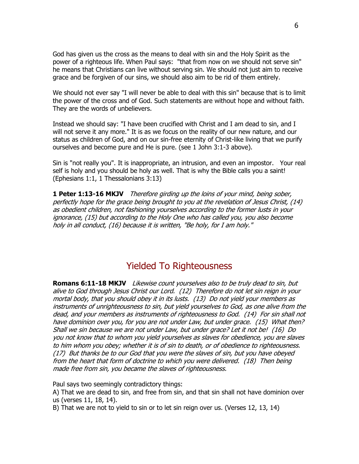God has given us the cross as the means to deal with sin and the Holy Spirit as the power of a righteous life. When Paul says: "that from now on we should not serve sin" he means that Christians can live without serving sin. We should not just aim to receive grace and be forgiven of our sins, we should also aim to be rid of them entirely.

We should not ever say "I will never be able to deal with this sin" because that is to limit the power of the cross and of God. Such statements are without hope and without faith. They are the words of unbelievers.

Instead we should say: "I have been crucified with Christ and I am dead to sin, and I will not serve it any more." It is as we focus on the reality of our new nature, and our status as children of God, and on our sin-free eternity of Christ-like living that we purify ourselves and become pure and He is pure. (see 1 John 3:1-3 above).

Sin is "not really you". It is inappropriate, an intrusion, and even an impostor. Your real self is holy and you should be holy as well. That is why the Bible calls you a saint! (Ephesians 1:1, 1 Thessalonians 3:13)

**1 Peter 1:13-16 MKJV** Therefore girding up the loins of your mind, being sober, perfectly hope for the grace being brought to you at the revelation of Jesus Christ, (14) as obedient children, not fashioning yourselves according to the former lusts in your ignorance, (15) but according to the Holy One who has called you, you also become holy in all conduct, (16) because it is written, "Be holy, for I am holy."

## Yielded To Righteousness

**Romans 6:11-18 MKJV** Likewise count yourselves also to be truly dead to sin, but alive to God through Jesus Christ our Lord. (12) Therefore do not let sin reign in your mortal body, that you should obey it in its lusts. (13) Do not yield your members as instruments of unrighteousness to sin, but yield yourselves to God, as one alive from the dead, and your members as instruments of righteousness to God. (14) For sin shall not have dominion over you, for you are not under Law, but under grace. (15) What then? Shall we sin because we are not under Law, but under grace? Let it not be! (16) Do you not know that to whom you yield yourselves as slaves for obedience, you are slaves to him whom you obey; whether it is of sin to death, or of obedience to righteousness. (17) But thanks be to our God that you were the slaves of sin, but you have obeyed from the heart that form of doctrine to which you were delivered. (18) Then being made free from sin, you became the slaves of righteousness.

Paul says two seemingly contradictory things:

A) That we are dead to sin, and free from sin, and that sin shall not have dominion over us (verses 11, 18, 14).

B) That we are not to yield to sin or to let sin reign over us. (Verses 12, 13, 14)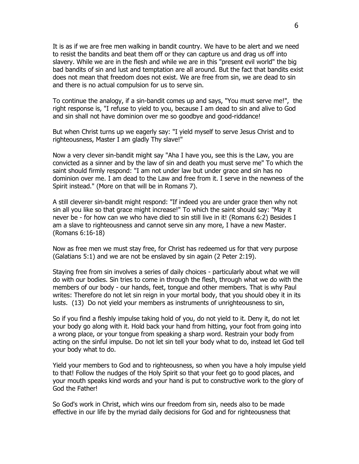It is as if we are free men walking in bandit country. We have to be alert and we need to resist the bandits and beat them off or they can capture us and drag us off into slavery. While we are in the flesh and while we are in this "present evil world" the big bad bandits of sin and lust and temptation are all around. But the fact that bandits exist does not mean that freedom does not exist. We are free from sin, we are dead to sin and there is no actual compulsion for us to serve sin.

To continue the analogy, if a sin-bandit comes up and says, "You must serve me!", the right response is, "I refuse to yield to you, because I am dead to sin and alive to God and sin shall not have dominion over me so goodbye and good-riddance!

But when Christ turns up we eagerly say: "I yield myself to serve Jesus Christ and to righteousness, Master I am gladly Thy slave!"

Now a very clever sin-bandit might say "Aha I have you, see this is the Law, you are convicted as a sinner and by the law of sin and death you must serve me" To which the saint should firmly respond: "I am not under law but under grace and sin has no dominion over me. I am dead to the Law and free from it. I serve in the newness of the Spirit instead." (More on that will be in Romans 7).

A still cleverer sin-bandit might respond: "If indeed you are under grace then why not sin all you like so that grace might increase!" To which the saint should say: "May it never be - for how can we who have died to sin still live in it! (Romans 6:2) Besides I am a slave to righteousness and cannot serve sin any more, I have a new Master. (Romans 6:16-18)

Now as free men we must stay free, for Christ has redeemed us for that very purpose (Galatians 5:1) and we are not be enslaved by sin again (2 Peter 2:19).

Staying free from sin involves a series of daily choices - particularly about what we will do with our bodies. Sin tries to come in through the flesh, through what we do with the members of our body - our hands, feet, tongue and other members. That is why Paul writes: Therefore do not let sin reign in your mortal body, that you should obey it in its lusts. (13) Do not yield your members as instruments of unrighteousness to sin,

So if you find a fleshly impulse taking hold of you, do not yield to it. Deny it, do not let your body go along with it. Hold back your hand from hitting, your foot from going into a wrong place, or your tongue from speaking a sharp word. Restrain your body from acting on the sinful impulse. Do not let sin tell your body what to do, instead let God tell your body what to do.

Yield your members to God and to righteousness, so when you have a holy impulse yield to that! Follow the nudges of the Holy Spirit so that your feet go to good places, and your mouth speaks kind words and your hand is put to constructive work to the glory of God the Father!

So God's work in Christ, which wins our freedom from sin, needs also to be made effective in our life by the myriad daily decisions for God and for righteousness that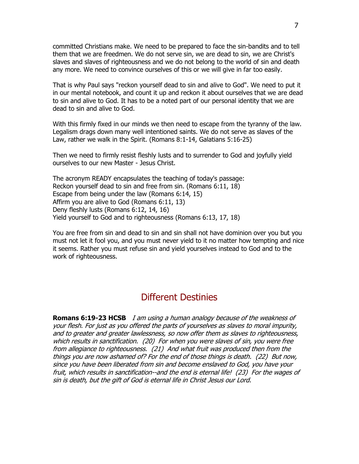committed Christians make. We need to be prepared to face the sin-bandits and to tell them that we are freedmen. We do not serve sin, we are dead to sin, we are Christ's slaves and slaves of righteousness and we do not belong to the world of sin and death any more. We need to convince ourselves of this or we will give in far too easily.

That is why Paul says "reckon yourself dead to sin and alive to God". We need to put it in our mental notebook, and count it up and reckon it about ourselves that we are dead to sin and alive to God. It has to be a noted part of our personal identity that we are dead to sin and alive to God.

With this firmly fixed in our minds we then need to escape from the tyranny of the law. Legalism drags down many well intentioned saints. We do not serve as slaves of the Law, rather we walk in the Spirit. (Romans 8:1-14, Galatians 5:16-25)

Then we need to firmly resist fleshly lusts and to surrender to God and joyfully yield ourselves to our new Master - Jesus Christ.

The acronym READY encapsulates the teaching of today's passage: Reckon yourself dead to sin and free from sin. (Romans 6:11, 18) Escape from being under the law (Romans 6:14, 15) Affirm you are alive to God (Romans 6:11, 13) Deny fleshly lusts (Romans 6:12, 14, 16) Yield yourself to God and to righteousness (Romans 6:13, 17, 18)

You are free from sin and dead to sin and sin shall not have dominion over you but you must not let it fool you, and you must never yield to it no matter how tempting and nice it seems. Rather you must refuse sin and yield yourselves instead to God and to the work of righteousness.

## Different Destinies

**Romans 6:19-23 HCSB** I am using a human analogy because of the weakness of your flesh. For just as you offered the parts of yourselves as slaves to moral impurity, and to greater and greater lawlessness, so now offer them as slaves to righteousness, which results in sanctification. (20) For when you were slaves of sin, you were free from allegiance to righteousness. (21) And what fruit was produced then from the things you are now ashamed of? For the end of those things is death. (22) But now, since you have been liberated from sin and become enslaved to God, you have your fruit, which results in sanctification--and the end is eternal life! (23) For the wages of sin is death, but the gift of God is eternal life in Christ Jesus our Lord.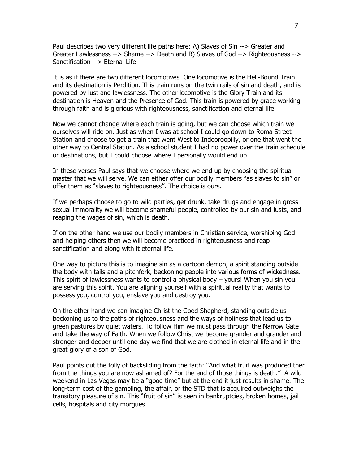Paul describes two very different life paths here: A) Slaves of Sin --> Greater and Greater Lawlessness --> Shame --> Death and B) Slaves of God --> Righteousness --> Sanctification --> Eternal Life

It is as if there are two different locomotives. One locomotive is the Hell-Bound Train and its destination is Perdition. This train runs on the twin rails of sin and death, and is powered by lust and lawlessness. The other locomotive is the Glory Train and its destination is Heaven and the Presence of God. This train is powered by grace working through faith and is glorious with righteousness, sanctification and eternal life.

Now we cannot change where each train is going, but we can choose which train we ourselves will ride on. Just as when I was at school I could go down to Roma Street Station and choose to get a train that went West to Indooroopilly, or one that went the other way to Central Station. As a school student I had no power over the train schedule or destinations, but I could choose where I personally would end up.

In these verses Paul says that we choose where we end up by choosing the spiritual master that we will serve. We can either offer our bodily members "as slaves to sin" or offer them as "slaves to righteousness". The choice is ours.

If we perhaps choose to go to wild parties, get drunk, take drugs and engage in gross sexual immorality we will become shameful people, controlled by our sin and lusts, and reaping the wages of sin, which is death.

If on the other hand we use our bodily members in Christian service, worshiping God and helping others then we will become practiced in righteousness and reap sanctification and along with it eternal life.

One way to picture this is to imagine sin as a cartoon demon, a spirit standing outside the body with tails and a pitchfork, beckoning people into various forms of wickedness. This spirit of lawlessness wants to control a physical body – yours! When you sin you are serving this spirit. You are aligning yourself with a spiritual reality that wants to possess you, control you, enslave you and destroy you.

On the other hand we can imagine Christ the Good Shepherd, standing outside us beckoning us to the paths of righteousness and the ways of holiness that lead us to green pastures by quiet waters. To follow Him we must pass through the Narrow Gate and take the way of Faith. When we follow Christ we become grander and grander and stronger and deeper until one day we find that we are clothed in eternal life and in the great glory of a son of God.

Paul points out the folly of backsliding from the faith: "And what fruit was produced then from the things you are now ashamed of? For the end of those things is death." A wild weekend in Las Vegas may be a "good time" but at the end it just results in shame. The long-term cost of the gambling, the affair, or the STD that is acquired outweighs the transitory pleasure of sin. This "fruit of sin" is seen in bankruptcies, broken homes, jail cells, hospitals and city morgues.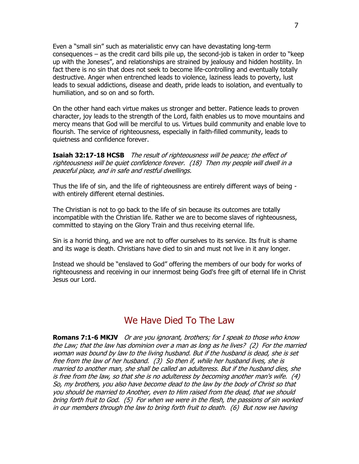Even a "small sin" such as materialistic envy can have devastating long-term consequences – as the credit card bills pile up, the second-job is taken in order to "keep up with the Joneses", and relationships are strained by jealousy and hidden hostility. In fact there is no sin that does not seek to become life-controlling and eventually totally destructive. Anger when entrenched leads to violence, laziness leads to poverty, lust leads to sexual addictions, disease and death, pride leads to isolation, and eventually to humiliation, and so on and so forth.

On the other hand each virtue makes us stronger and better. Patience leads to proven character, joy leads to the strength of the Lord, faith enables us to move mountains and mercy means that God will be merciful to us. Virtues build community and enable love to flourish. The service of righteousness, especially in faith-filled community, leads to quietness and confidence forever.

**Isaiah 32:17-18 HCSB** The result of righteousness will be peace; the effect of righteousness will be quiet confidence forever. (18) Then my people will dwell in a peaceful place, and in safe and restful dwellings.

Thus the life of sin, and the life of righteousness are entirely different ways of being with entirely different eternal destinies.

The Christian is not to go back to the life of sin because its outcomes are totally incompatible with the Christian life. Rather we are to become slaves of righteousness, committed to staying on the Glory Train and thus receiving eternal life.

Sin is a horrid thing, and we are not to offer ourselves to its service. Its fruit is shame and its wage is death. Christians have died to sin and must not live in it any longer.

Instead we should be "enslaved to God" offering the members of our body for works of righteousness and receiving in our innermost being God's free gift of eternal life in Christ Jesus our Lord.

## We Have Died To The Law

**Romans 7:1-6 MKJV** Or are you ignorant, brothers; for I speak to those who know the Law; that the law has dominion over a man as long as he lives? (2) For the married woman was bound by law to the living husband. But if the husband is dead, she is set free from the law of her husband. (3) So then if, while her husband lives, she is married to another man, she shall be called an adulteress. But if the husband dies, she is free from the law, so that she is no adulteress by becoming another man's wife. (4) So, my brothers, you also have become dead to the law by the body of Christ so that you should be married to Another, even to Him raised from the dead, that we should bring forth fruit to God. (5) For when we were in the flesh, the passions of sin worked in our members through the law to bring forth fruit to death. (6) But now we having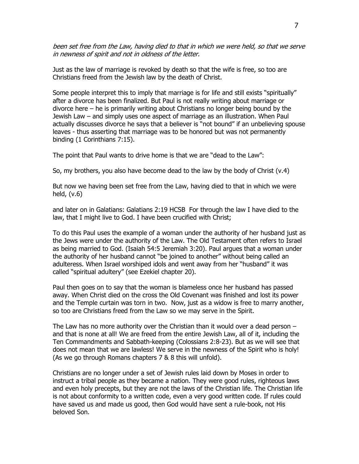been set free from the Law, having died to that in which we were held, so that we serve in newness of spirit and not in oldness of the letter.

Just as the law of marriage is revoked by death so that the wife is free, so too are Christians freed from the Jewish law by the death of Christ.

Some people interpret this to imply that marriage is for life and still exists "spiritually" after a divorce has been finalized. But Paul is not really writing about marriage or divorce here – he is primarily writing about Christians no longer being bound by the Jewish Law – and simply uses one aspect of marriage as an illustration. When Paul actually discusses divorce he says that a believer is "not bound" if an unbelieving spouse leaves - thus asserting that marriage was to be honored but was not permanently binding (1 Corinthians 7:15).

The point that Paul wants to drive home is that we are "dead to the Law":

So, my brothers, you also have become dead to the law by the body of Christ (v.4)

But now we having been set free from the Law, having died to that in which we were held, (v.6)

and later on in Galatians: Galatians 2:19 HCSB For through the law I have died to the law, that I might live to God. I have been crucified with Christ;

To do this Paul uses the example of a woman under the authority of her husband just as the Jews were under the authority of the Law. The Old Testament often refers to Israel as being married to God. (Isaiah 54:5 Jeremiah 3:20). Paul argues that a woman under the authority of her husband cannot "be joined to another" without being called an adulteress. When Israel worshiped idols and went away from her "husband" it was called "spiritual adultery" (see Ezekiel chapter 20).

Paul then goes on to say that the woman is blameless once her husband has passed away. When Christ died on the cross the Old Covenant was finished and lost its power and the Temple curtain was torn in two. Now, just as a widow is free to marry another, so too are Christians freed from the Law so we may serve in the Spirit.

The Law has no more authority over the Christian than it would over a dead person  $$ and that is none at all! We are freed from the entire Jewish Law, all of it, including the Ten Commandments and Sabbath-keeping (Colossians 2:8-23). But as we will see that does not mean that we are lawless! We serve in the newness of the Spirit who is holy! (As we go through Romans chapters 7 & 8 this will unfold).

Christians are no longer under a set of Jewish rules laid down by Moses in order to instruct a tribal people as they became a nation. They were good rules, righteous laws and even holy precepts, but they are not the laws of the Christian life. The Christian life is not about conformity to a written code, even a very good written code. If rules could have saved us and made us good, then God would have sent a rule-book, not His beloved Son.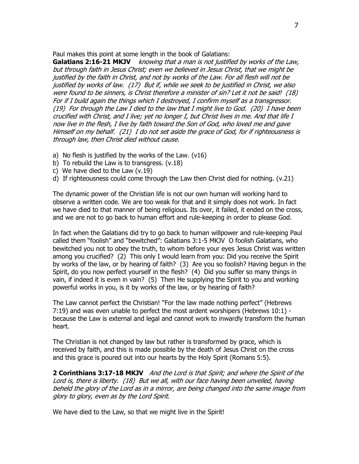Paul makes this point at some length in the book of Galatians:

**Galatians 2:16-21 MKJV** knowing that a man is not justified by works of the Law, but through faith in Jesus Christ; even we believed in Jesus Christ, that we might be justified by the faith in Christ, and not by works of the Law. For all flesh will not be justified by works of law. (17) But if, while we seek to be justified in Christ, we also were found to be sinners, is Christ therefore a minister of sin? Let it not be said! (18) For if I build again the things which I destroyed, I confirm myself as a transgressor. (19) For through the Law I died to the law that I might live to God. (20) I have been crucified with Christ, and I live; yet no longer I, but Christ lives in me. And that life I now live in the flesh, I live by faith toward the Son of God, who loved me and gave Himself on my behalf. (21) I do not set aside the grace of God, for if righteousness is through law, then Christ died without cause.

- a) No flesh is justified by the works of the Law. (v16)
- b) To rebuild the Law is to transgress. (v.18)
- c) We have died to the Law (v.19)
- d) If righteousness could come through the Law then Christ died for nothing. (v.21)

The dynamic power of the Christian life is not our own human will working hard to observe a written code. We are too weak for that and it simply does not work. In fact we have died to that manner of being religious. Its over, it failed, it ended on the cross, and we are not to go back to human effort and rule-keeping in order to please God.

In fact when the Galatians did try to go back to human willpower and rule-keeping Paul called them "foolish" and "bewitched": Galatians 3:1-5 MKJV O foolish Galatians, who bewitched you not to obey the truth, to whom before your eyes Jesus Christ was written among you crucified? (2) This only I would learn from you: Did you receive the Spirit by works of the law, or by hearing of faith? (3) Are you so foolish? Having begun in the Spirit, do you now perfect yourself in the flesh? (4) Did you suffer so many things in vain, if indeed it is even in vain? (5) Then He supplying the Spirit to you and working powerful works in you, is it by works of the law, or by hearing of faith?

The Law cannot perfect the Christian! "For the law made nothing perfect" (Hebrews 7:19) and was even unable to perfect the most ardent worshipers (Hebrews 10:1) because the Law is external and legal and cannot work to inwardly transform the human heart.

The Christian is not changed by law but rather is transformed by grace, which is received by faith, and this is made possible by the death of Jesus Christ on the cross and this grace is poured out into our hearts by the Holy Spirit (Romans 5:5).

**2 Corinthians 3:17-18 MKJV** And the Lord is that Spirit; and where the Spirit of the Lord is, there is liberty. (18) But we all, with our face having been unveiled, having beheld the glory of the Lord as in a mirror, are being changed into the same image from glory to glory, even as by the Lord Spirit.

We have died to the Law, so that we might live in the Spirit!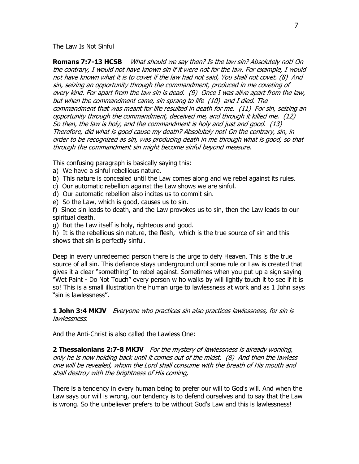The Law Is Not Sinful

**Romans 7:7-13 HCSB** What should we say then? Is the law sin? Absolutely not! On the contrary, I would not have known sin if it were not for the law. For example, I would not have known what it is to covet if the law had not said, You shall not covet. (8) And sin, seizing an opportunity through the commandment, produced in me coveting of every kind. For apart from the law sin is dead. (9) Once I was alive apart from the law, but when the commandment came, sin sprang to life (10) and I died. The commandment that was meant for life resulted in death for me. (11) For sin, seizing an opportunity through the commandment, deceived me, and through it killed me. (12) So then, the law is holy, and the commandment is holy and just and good. (13) Therefore, did what is good cause my death? Absolutely not! On the contrary, sin, in order to be recognized as sin, was producing death in me through what is good, so that through the commandment sin might become sinful beyond measure.

This confusing paragraph is basically saying this:

- a) We have a sinful rebellious nature.
- b) This nature is concealed until the Law comes along and we rebel against its rules.
- c) Our automatic rebellion against the Law shows we are sinful.
- d) Our automatic rebellion also incites us to commit sin.
- e) So the Law, which is good, causes us to sin.

f) Since sin leads to death, and the Law provokes us to sin, then the Law leads to our spiritual death.

g) But the Law itself is holy, righteous and good.

h) It is the rebellious sin nature, the flesh, which is the true source of sin and this shows that sin is perfectly sinful.

Deep in every unredeemed person there is the urge to defy Heaven. This is the true source of all sin. This defiance stays underground until some rule or Law is created that gives it a clear "something" to rebel against. Sometimes when you put up a sign saying "Wet Paint - Do Not Touch" every person w ho walks by will lightly touch it to see if it is so! This is a small illustration the human urge to lawlessness at work and as 1 John says "sin is lawlessness".

**1 John 3:4 MKJV** Everyone who practices sin also practices lawlessness, for sin is lawlessness.

And the Anti-Christ is also called the Lawless One:

**2 Thessalonians 2:7-8 MKJV** For the mystery of lawlessness is already working, only he is now holding back until it comes out of the midst. (8) And then the lawless one will be revealed, whom the Lord shall consume with the breath of His mouth and shall destroy with the brightness of His coming,

There is a tendency in every human being to prefer our will to God's will. And when the Law says our will is wrong, our tendency is to defend ourselves and to say that the Law is wrong. So the unbeliever prefers to be without God's Law and this is lawlessness!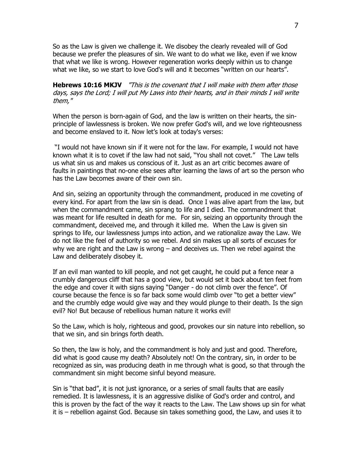So as the Law is given we challenge it. We disobey the clearly revealed will of God because we prefer the pleasures of sin. We want to do what we like, even if we know that what we like is wrong. However regeneration works deeply within us to change what we like, so we start to love God's will and it becomes "written on our hearts".

**Hebrews 10:16 MKJV** This is the covenant that I will make with them after those days, says the Lord; I will put My Laws into their hearts, and in their minds I will write them,"

When the person is born-again of God, and the law is written on their hearts, the sinprinciple of lawlessness is broken. We now prefer God's will, and we love righteousness and become enslaved to it. Now let's look at today's verses:

"I would not have known sin if it were not for the law. For example, I would not have known what it is to covet if the law had not said, "You shall not covet." The Law tells us what sin us and makes us conscious of it. Just as an art critic becomes aware of faults in paintings that no-one else sees after learning the laws of art so the person who has the Law becomes aware of their own sin.

And sin, seizing an opportunity through the commandment, produced in me coveting of every kind. For apart from the law sin is dead. Once I was alive apart from the law, but when the commandment came, sin sprang to life and I died. The commandment that was meant for life resulted in death for me. For sin, seizing an opportunity through the commandment, deceived me, and through it killed me. When the Law is given sin springs to life, our lawlessness jumps into action, and we rationalize away the Law. We do not like the feel of authority so we rebel. And sin makes up all sorts of excuses for why we are right and the Law is wrong – and deceives us. Then we rebel against the Law and deliberately disobey it.

If an evil man wanted to kill people, and not get caught, he could put a fence near a crumbly dangerous cliff that has a good view, but would set it back about ten feet from the edge and cover it with signs saying "Danger - do not climb over the fence". Of course because the fence is so far back some would climb over "to get a better view" and the crumbly edge would give way and they would plunge to their death. Is the sign evil? No! But because of rebellious human nature it works evil!

So the Law, which is holy, righteous and good, provokes our sin nature into rebellion, so that we sin, and sin brings forth death.

So then, the law is holy, and the commandment is holy and just and good. Therefore, did what is good cause my death? Absolutely not! On the contrary, sin, in order to be recognized as sin, was producing death in me through what is good, so that through the commandment sin might become sinful beyond measure.

Sin is "that bad", it is not just ignorance, or a series of small faults that are easily remedied. It is lawlessness, it is an aggressive dislike of God's order and control, and this is proven by the fact of the way it reacts to the Law. The Law shows up sin for what it is – rebellion against God. Because sin takes something good, the Law, and uses it to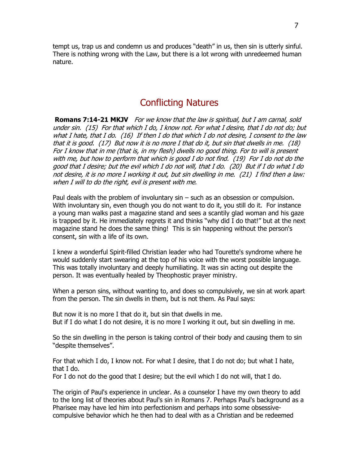tempt us, trap us and condemn us and produces "death" in us, then sin is utterly sinful. There is nothing wrong with the Law, but there is a lot wrong with unredeemed human nature.

### Conflicting Natures

**Romans 7:14-21 MKJV** For we know that the law is spiritual, but I am carnal, sold under sin. (15) For that which I do, I know not. For what I desire, that I do not do; but what I hate, that I do. (16) If then I do that which I do not desire, I consent to the law that it is good. (17) But now it is no more I that do it, but sin that dwells in me. (18) For I know that in me (that is, in my flesh) dwells no good thing. For to will is present with me, but how to perform that which is good I do not find. (19) For I do not do the good that I desire; but the evil which I do not will, that I do. (20) But if I do what I do not desire, it is no more I working it out, but sin dwelling in me. (21) I find then a law: when I will to do the right, evil is present with me.

Paul deals with the problem of involuntary sin – such as an obsession or compulsion. With involuntary sin, even though you do not want to do it, you still do it. For instance a young man walks past a magazine stand and sees a scantily glad woman and his gaze is trapped by it. He immediately regrets it and thinks "why did I do that!" but at the next magazine stand he does the same thing! This is sin happening without the person's consent, sin with a life of its own.

I knew a wonderful Spirit-filled Christian leader who had Tourette's syndrome where he would suddenly start swearing at the top of his voice with the worst possible language. This was totally involuntary and deeply humiliating. It was sin acting out despite the person. It was eventually healed by Theophostic prayer ministry.

When a person sins, without wanting to, and does so compulsively, we sin at work apart from the person. The sin dwells in them, but is not them. As Paul says:

But now it is no more I that do it, but sin that dwells in me. But if I do what I do not desire, it is no more I working it out, but sin dwelling in me.

So the sin dwelling in the person is taking control of their body and causing them to sin "despite themselves".

For that which I do, I know not. For what I desire, that I do not do; but what I hate, that I do.

For I do not do the good that I desire; but the evil which I do not will, that I do.

The origin of Paul's experience in unclear. As a counselor I have my own theory to add to the long list of theories about Paul's sin in Romans 7. Perhaps Paul's background as a Pharisee may have led him into perfectionism and perhaps into some obsessivecompulsive behavior which he then had to deal with as a Christian and be redeemed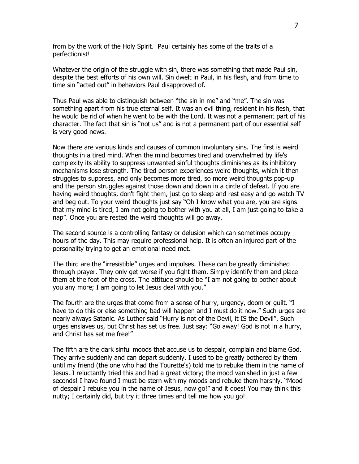from by the work of the Holy Spirit. Paul certainly has some of the traits of a perfectionist!

Whatever the origin of the struggle with sin, there was something that made Paul sin, despite the best efforts of his own will. Sin dwelt in Paul, in his flesh, and from time to time sin "acted out" in behaviors Paul disapproved of.

Thus Paul was able to distinguish between "the sin in me" and "me". The sin was something apart from his true eternal self. It was an evil thing, resident in his flesh, that he would be rid of when he went to be with the Lord. It was not a permanent part of his character. The fact that sin is "not us" and is not a permanent part of our essential self is very good news.

Now there are various kinds and causes of common involuntary sins. The first is weird thoughts in a tired mind. When the mind becomes tired and overwhelmed by life's complexity its ability to suppress unwanted sinful thoughts diminishes as its inhibitory mechanisms lose strength. The tired person experiences weird thoughts, which it then struggles to suppress, and only becomes more tired, so more weird thoughts pop-up and the person struggles against those down and down in a circle of defeat. If you are having weird thoughts, don't fight them, just go to sleep and rest easy and go watch TV and beg out. To your weird thoughts just say "Oh I know what you are, you are signs that my mind is tired, I am not going to bother with you at all, I am just going to take a nap". Once you are rested the weird thoughts will go away.

The second source is a controlling fantasy or delusion which can sometimes occupy hours of the day. This may require professional help. It is often an injured part of the personality trying to get an emotional need met.

The third are the "irresistible" urges and impulses. These can be greatly diminished through prayer. They only get worse if you fight them. Simply identify them and place them at the foot of the cross. The attitude should be "I am not going to bother about you any more; I am going to let Jesus deal with you."

The fourth are the urges that come from a sense of hurry, urgency, doom or guilt. "I have to do this or else something bad will happen and I must do it now." Such urges are nearly always Satanic. As Luther said "Hurry is not of the Devil, it IS the Devil". Such urges enslaves us, but Christ has set us free. Just say: "Go away! God is not in a hurry, and Christ has set me free!"

The fifth are the dark sinful moods that accuse us to despair, complain and blame God. They arrive suddenly and can depart suddenly. I used to be greatly bothered by them until my friend (the one who had the Tourette's) told me to rebuke them in the name of Jesus. I reluctantly tried this and had a great victory; the mood vanished in just a few seconds! I have found I must be stern with my moods and rebuke them harshly. "Mood of despair I rebuke you in the name of Jesus, now go!" and it does! You may think this nutty; I certainly did, but try it three times and tell me how you go!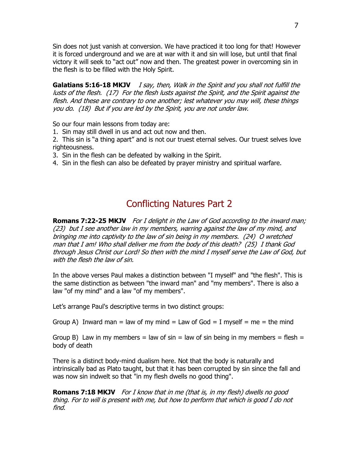Sin does not just vanish at conversion. We have practiced it too long for that! However it is forced underground and we are at war with it and sin will lose, but until that final victory it will seek to "act out" now and then. The greatest power in overcoming sin in the flesh is to be filled with the Holy Spirit.

**Galatians 5:16-18 MKJV** I say, then, Walk in the Spirit and you shall not fulfill the lusts of the flesh. (17) For the flesh lusts against the Spirit, and the Spirit against the flesh. And these are contrary to one another; lest whatever you may will, these things you do. (18) But if you are led by the Spirit, you are not under law.

So our four main lessons from today are:

1. Sin may still dwell in us and act out now and then.

2. This sin is "a thing apart" and is not our truest eternal selves. Our truest selves love righteousness.

3. Sin in the flesh can be defeated by walking in the Spirit.

4. Sin in the flesh can also be defeated by prayer ministry and spiritual warfare.

# Conflicting Natures Part 2

**Romans 7:22-25 MKJV** For I delight in the Law of God according to the inward man; (23) but I see another law in my members, warring against the law of my mind, and bringing me into captivity to the law of sin being in my members. (24) O wretched man that I am! Who shall deliver me from the body of this death? (25) I thank God through Jesus Christ our Lord! So then with the mind I myself serve the Law of God, but with the flesh the law of sin.

In the above verses Paul makes a distinction between "I myself" and "the flesh". This is the same distinction as between "the inward man" and "my members". There is also a law "of my mind" and a law "of my members".

Let's arrange Paul's descriptive terms in two distinct groups:

Group A) Inward man = law of my mind = Law of God = I myself = me = the mind

Group B) Law in my members = law of sin = law of sin being in my members = flesh = body of death

There is a distinct body-mind dualism here. Not that the body is naturally and intrinsically bad as Plato taught, but that it has been corrupted by sin since the fall and was now sin indwelt so that "in my flesh dwells no good thing".

**Romans 7:18 MKJV** For I know that in me (that is, in my flesh) dwells no good thing. For to will is present with me, but how to perform that which is good I do not find.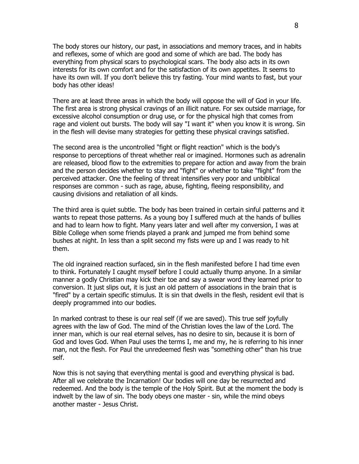The body stores our history, our past, in associations and memory traces, and in habits and reflexes, some of which are good and some of which are bad. The body has everything from physical scars to psychological scars. The body also acts in its own interests for its own comfort and for the satisfaction of its own appetites. It seems to have its own will. If you don't believe this try fasting. Your mind wants to fast, but your body has other ideas!

There are at least three areas in which the body will oppose the will of God in your life. The first area is strong physical cravings of an illicit nature. For sex outside marriage, for excessive alcohol consumption or drug use, or for the physical high that comes from rage and violent out bursts. The body will say "I want it" when you know it is wrong. Sin in the flesh will devise many strategies for getting these physical cravings satisfied.

The second area is the uncontrolled "fight or flight reaction" which is the body's response to perceptions of threat whether real or imagined. Hormones such as adrenalin are released, blood flow to the extremities to prepare for action and away from the brain and the person decides whether to stay and "fight" or whether to take "flight" from the perceived attacker. One the feeling of threat intensifies very poor and unbiblical responses are common - such as rage, abuse, fighting, fleeing responsibility, and causing divisions and retaliation of all kinds.

The third area is quiet subtle. The body has been trained in certain sinful patterns and it wants to repeat those patterns. As a young boy I suffered much at the hands of bullies and had to learn how to fight. Many years later and well after my conversion, I was at Bible College when some friends played a prank and jumped me from behind some bushes at night. In less than a split second my fists were up and I was ready to hit them.

The old ingrained reaction surfaced, sin in the flesh manifested before I had time even to think. Fortunately I caught myself before I could actually thump anyone. In a similar manner a godly Christian may kick their toe and say a swear word they learned prior to conversion. It just slips out, it is just an old pattern of associations in the brain that is "fired" by a certain specific stimulus. It is sin that dwells in the flesh, resident evil that is deeply programmed into our bodies.

In marked contrast to these is our real self (if we are saved). This true self joyfully agrees with the law of God. The mind of the Christian loves the law of the Lord. The inner man, which is our real eternal selves, has no desire to sin, because it is born of God and loves God. When Paul uses the terms I, me and my, he is referring to his inner man, not the flesh. For Paul the unredeemed flesh was "something other" than his true self.

Now this is not saying that everything mental is good and everything physical is bad. After all we celebrate the Incarnation! Our bodies will one day be resurrected and redeemed. And the body is the temple of the Holy Spirit. But at the moment the body is indwelt by the law of sin. The body obeys one master - sin, while the mind obeys another master - Jesus Christ.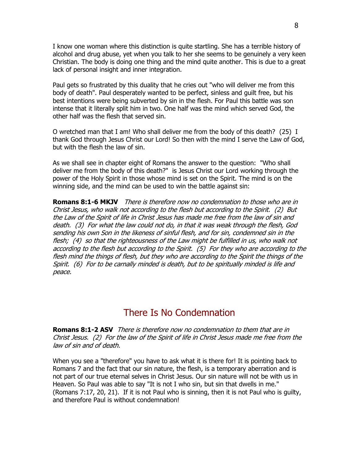I know one woman where this distinction is quite startling. She has a terrible history of alcohol and drug abuse, yet when you talk to her she seems to be genuinely a very keen Christian. The body is doing one thing and the mind quite another. This is due to a great lack of personal insight and inner integration.

Paul gets so frustrated by this duality that he cries out "who will deliver me from this body of death". Paul desperately wanted to be perfect, sinless and guilt free, but his best intentions were being subverted by sin in the flesh. For Paul this battle was son intense that it literally split him in two. One half was the mind which served God, the other half was the flesh that served sin.

O wretched man that I am! Who shall deliver me from the body of this death? (25) I thank God through Jesus Christ our Lord! So then with the mind I serve the Law of God, but with the flesh the law of sin.

As we shall see in chapter eight of Romans the answer to the question: "Who shall deliver me from the body of this death?" is Jesus Christ our Lord working through the power of the Holy Spirit in those whose mind is set on the Spirit. The mind is on the winning side, and the mind can be used to win the battle against sin:

**Romans 8:1-6 MKJV** There is therefore now no condemnation to those who are in Christ Jesus, who walk not according to the flesh but according to the Spirit. (2) But the Law of the Spirit of life in Christ Jesus has made me free from the law of sin and death. (3) For what the law could not do, in that it was weak through the flesh, God sending his own Son in the likeness of sinful flesh, and for sin, condemned sin in the flesh; (4) so that the righteousness of the Law might be fulfilled in us, who walk not according to the flesh but according to the Spirit. (5) For they who are according to the flesh mind the things of flesh, but they who are according to the Spirit the things of the Spirit. (6) For to be carnally minded is death, but to be spiritually minded is life and peace.

## There Is No Condemnation

**Romans 8:1-2 ASV** There is therefore now no condemnation to them that are in Christ Jesus. (2) For the law of the Spirit of life in Christ Jesus made me free from the law of sin and of death.

When you see a "therefore" you have to ask what it is there for! It is pointing back to Romans 7 and the fact that our sin nature, the flesh, is a temporary aberration and is not part of our true eternal selves in Christ Jesus. Our sin nature will not be with us in Heaven. So Paul was able to say "It is not I who sin, but sin that dwells in me." (Romans 7:17, 20, 21). If it is not Paul who is sinning, then it is not Paul who is guilty, and therefore Paul is without condemnation!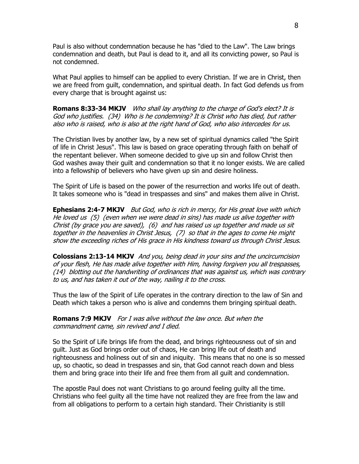Paul is also without condemnation because he has "died to the Law". The Law brings condemnation and death, but Paul is dead to it, and all its convicting power, so Paul is not condemned.

What Paul applies to himself can be applied to every Christian. If we are in Christ, then we are freed from guilt, condemnation, and spiritual death. In fact God defends us from every charge that is brought against us:

**Romans 8:33-34 MKJV** Who shall lay anything to the charge of God's elect? It is God who justifies. (34) Who is he condemning? It is Christ who has died, but rather also who is raised, who is also at the right hand of God, who also intercedes for us.

The Christian lives by another law, by a new set of spiritual dynamics called "the Spirit of life in Christ Jesus". This law is based on grace operating through faith on behalf of the repentant believer. When someone decided to give up sin and follow Christ then God washes away their guilt and condemnation so that it no longer exists. We are called into a fellowship of believers who have given up sin and desire holiness.

The Spirit of Life is based on the power of the resurrection and works life out of death. It takes someone who is "dead in trespasses and sins" and makes them alive in Christ.

**Ephesians 2:4-7 MKJV** But God, who is rich in mercy, for His great love with which He loved us (5) (even when we were dead in sins) has made us alive together with Christ (by grace you are saved), (6) and has raised us up together and made us sit together in the heavenlies in Christ Jesus, (7) so that in the ages to come He might show the exceeding riches of His grace in His kindness toward us through Christ Jesus.

**Colossians 2:13-14 MKJV** And you, being dead in your sins and the uncircumcision of your flesh, He has made alive together with Him, having forgiven you all trespasses, (14) blotting out the handwriting of ordinances that was against us, which was contrary to us, and has taken it out of the way, nailing it to the cross.

Thus the law of the Spirit of Life operates in the contrary direction to the law of Sin and Death which takes a person who is alive and condemns them bringing spiritual death.

**Romans 7:9 MKJV** For I was alive without the law once. But when the commandment came, sin revived and I died.

So the Spirit of Life brings life from the dead, and brings righteousness out of sin and guilt. Just as God brings order out of chaos, He can bring life out of death and righteousness and holiness out of sin and iniquity. This means that no one is so messed up, so chaotic, so dead in trespasses and sin, that God cannot reach down and bless them and bring grace into their life and free them from all guilt and condemnation.

The apostle Paul does not want Christians to go around feeling guilty all the time. Christians who feel guilty all the time have not realized they are free from the law and from all obligations to perform to a certain high standard. Their Christianity is still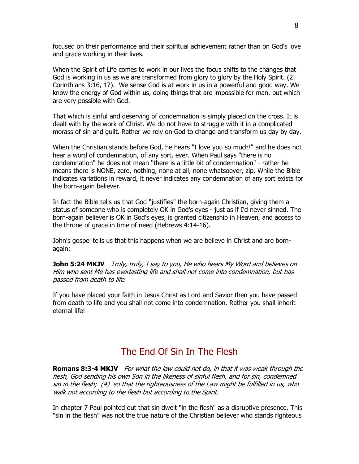focused on their performance and their spiritual achievement rather than on God's love and grace working in their lives.

When the Spirit of Life comes to work in our lives the focus shifts to the changes that God is working in us as we are transformed from glory to glory by the Holy Spirit. (2 Corinthians 3:16, 17). We sense God is at work in us in a powerful and good way. We know the energy of God within us, doing things that are impossible for man, but which are very possible with God.

That which is sinful and deserving of condemnation is simply placed on the cross. It is dealt with by the work of Christ. We do not have to struggle with it in a complicated morass of sin and guilt. Rather we rely on God to change and transform us day by day.

When the Christian stands before God, he hears "I love you so much!" and he does not hear a word of condemnation, of any sort, ever. When Paul says "there is no condemnation" he does not mean "there is a little bit of condemnation" - rather he means there is NONE, zero, nothing, none at all, none whatsoever, zip. While the Bible indicates variations in reward, it never indicates any condemnation of any sort exists for the born-again believer.

In fact the Bible tells us that God "justifies" the born-again Christian, giving them a status of someone who is completely OK in God's eyes - just as if I'd never sinned. The born-again believer is OK in God's eyes, is granted citizenship in Heaven, and access to the throne of grace in time of need (Hebrews 4:14-16).

John's gospel tells us that this happens when we are believe in Christ and are bornagain:

**John 5:24 MKJV** Truly, truly, I say to you, He who hears My Word and believes on Him who sent Me has everlasting life and shall not come into condemnation, but has passed from death to life.

If you have placed your faith in Jesus Christ as Lord and Savior then you have passed from death to life and you shall not come into condemnation. Rather you shall inherit eternal life!

## The End Of Sin In The Flesh

**Romans 8:3-4 MKJV** For what the law could not do, in that it was weak through the flesh, God sending his own Son in the likeness of sinful flesh, and for sin, condemned sin in the flesh; (4) so that the righteousness of the Law might be fulfilled in us, who walk not according to the flesh but according to the Spirit.

In chapter 7 Paul pointed out that sin dwelt "in the flesh" as a disruptive presence. This "sin in the flesh" was not the true nature of the Christian believer who stands righteous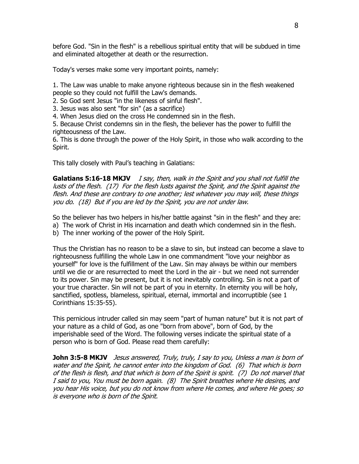before God. "Sin in the flesh" is a rebellious spiritual entity that will be subdued in time and eliminated altogether at death or the resurrection.

Today's verses make some very important points, namely:

1. The Law was unable to make anyone righteous because sin in the flesh weakened people so they could not fulfill the Law's demands.

2. So God sent Jesus "in the likeness of sinful flesh".

3. Jesus was also sent "for sin" (as a sacrifice)

4. When Jesus died on the cross He condemned sin in the flesh.

5. Because Christ condemns sin in the flesh, the believer has the power to fulfill the righteousness of the Law.

6. This is done through the power of the Holy Spirit, in those who walk according to the Spirit.

This tally closely with Paul's teaching in Galatians:

**Galatians 5:16-18 MKJV** I say, then, walk in the Spirit and you shall not fulfill the lusts of the flesh. (17) For the flesh lusts against the Spirit, and the Spirit against the flesh. And these are contrary to one another; lest whatever you may will, these things you do. (18) But if you are led by the Spirit, you are not under law.

So the believer has two helpers in his/her battle against "sin in the flesh" and they are:

a) The work of Christ in His incarnation and death which condemned sin in the flesh.

b) The inner working of the power of the Holy Spirit.

Thus the Christian has no reason to be a slave to sin, but instead can become a slave to righteousness fulfilling the whole Law in one commandment "love your neighbor as yourself" for love is the fulfillment of the Law. Sin may always be within our members until we die or are resurrected to meet the Lord in the air - but we need not surrender to its power. Sin may be present, but it is not inevitably controlling. Sin is not a part of your true character. Sin will not be part of you in eternity. In eternity you will be holy, sanctified, spotless, blameless, spiritual, eternal, immortal and incorruptible (see 1 Corinthians 15:35-55).

This pernicious intruder called sin may seem "part of human nature" but it is not part of your nature as a child of God, as one "born from above", born of God, by the imperishable seed of the Word. The following verses indicate the spiritual state of a person who is born of God. Please read them carefully:

**John 3:5-8 MKJV** Jesus answered, Truly, truly, I say to you, Unless a man is born of water and the Spirit, he cannot enter into the kingdom of God. (6) That which is born of the flesh is flesh, and that which is born of the Spirit is spirit. (7) Do not marvel that I said to you, You must be born again. (8) The Spirit breathes where He desires, and you hear His voice, but you do not know from where He comes, and where He goes; so is everyone who is born of the Spirit.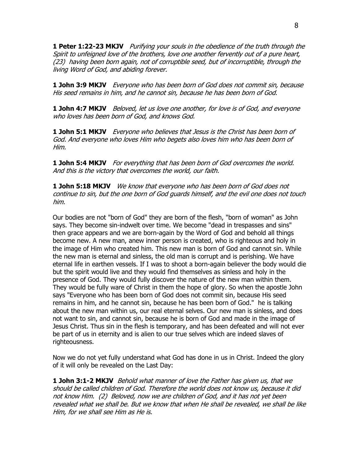**1 Peter 1:22-23 MKJV** Purifying your souls in the obedience of the truth through the Spirit to unfeigned love of the brothers, love one another fervently out of a pure heart, (23) having been born again, not of corruptible seed, but of incorruptible, through the living Word of God, and abiding forever.

**1 John 3:9 MKJV** Everyone who has been born of God does not commit sin, because His seed remains in him, and he cannot sin, because he has been born of God.

**1 John 4:7 MKJV** Beloved, let us love one another, for love is of God, and everyone who loves has been born of God, and knows God.

**1 John 5:1 MKJV** Everyone who believes that Jesus is the Christ has been born of God. And everyone who loves Him who begets also loves him who has been born of Him.

**1 John 5:4 MKJV** For everything that has been born of God overcomes the world. And this is the victory that overcomes the world, our faith.

**1 John 5:18 MKJV** We know that everyone who has been born of God does not continue to sin, but the one born of God guards himself, and the evil one does not touch him.

Our bodies are not "born of God" they are born of the flesh, "born of woman" as John says. They become sin-indwelt over time. We become "dead in trespasses and sins" then grace appears and we are born-again by the Word of God and behold all things become new. A new man, anew inner person is created, who is righteous and holy in the image of Him who created him. This new man is born of God and cannot sin. While the new man is eternal and sinless, the old man is corrupt and is perishing. We have eternal life in earthen vessels. If I was to shoot a born-again believer the body would die but the spirit would live and they would find themselves as sinless and holy in the presence of God. They would fully discover the nature of the new man within them. They would be fully ware of Christ in them the hope of glory. So when the apostle John says "Everyone who has been born of God does not commit sin, because His seed remains in him, and he cannot sin, because he has been born of God." he is talking about the new man within us, our real eternal selves. Our new man is sinless, and does not want to sin, and cannot sin, because he is born of God and made in the image of Jesus Christ. Thus sin in the flesh is temporary, and has been defeated and will not ever be part of us in eternity and is alien to our true selves which are indeed slaves of righteousness.

Now we do not yet fully understand what God has done in us in Christ. Indeed the glory of it will only be revealed on the Last Day:

**1 John 3:1-2 MKJV** Behold what manner of love the Father has given us, that we should be called children of God. Therefore the world does not know us, because it did not know Him. (2) Beloved, now we are children of God, and it has not yet been revealed what we shall be. But we know that when He shall be revealed, we shall be like Him, for we shall see Him as He is.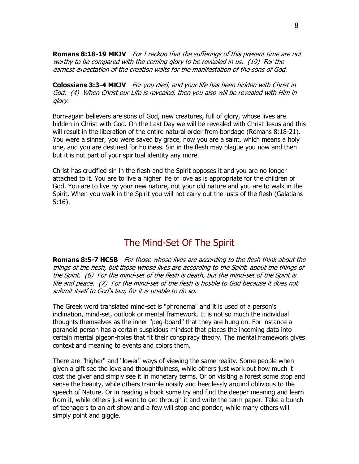**Romans 8:18-19 MKJV** For I reckon that the sufferings of this present time are not worthy to be compared with the coming glory to be revealed in us. (19) For the earnest expectation of the creation waits for the manifestation of the sons of God.

**Colossians 3:3-4 MKJV** For you died, and your life has been hidden with Christ in God. (4) When Christ our Life is revealed, then you also will be revealed with Him in glory.

Born-again believers are sons of God, new creatures, full of glory, whose lives are hidden in Christ with God. On the Last Day we will be revealed with Christ Jesus and this will result in the liberation of the entire natural order from bondage (Romans 8:18-21). You were a sinner, you were saved by grace, now you are a saint, which means a holy one, and you are destined for holiness. Sin in the flesh may plague you now and then but it is not part of your spiritual identity any more.

Christ has crucified sin in the flesh and the Spirit opposes it and you are no longer attached to it. You are to live a higher life of love as is appropriate for the children of God. You are to live by your new nature, not your old nature and you are to walk in the Spirit. When you walk in the Spirit you will not carry out the lusts of the flesh (Galatians 5:16).

### The Mind-Set Of The Spirit

**Romans 8:5-7 HCSB** For those whose lives are according to the flesh think about the things of the flesh, but those whose lives are according to the Spirit, about the things of the Spirit. (6) For the mind-set of the flesh is death, but the mind-set of the Spirit is life and peace. (7) For the mind-set of the flesh is hostile to God because it does not submit itself to God's law, for it is unable to do so.

The Greek word translated mind-set is "phronema" and it is used of a person's inclination, mind-set, outlook or mental framework. It is not so much the individual thoughts themselves as the inner "peg-board" that they are hung on. For instance a paranoid person has a certain suspicious mindset that places the incoming data into certain mental pigeon-holes that fit their conspiracy theory. The mental framework gives context and meaning to events and colors them.

There are "higher" and "lower" ways of viewing the same reality. Some people when given a gift see the love and thoughtfulness, while others just work out how much it cost the giver and simply see it in monetary terms. Or on visiting a forest some stop and sense the beauty, while others trample noisily and heedlessly around oblivious to the speech of Nature. Or in reading a book some try and find the deeper meaning and learn from it, while others just want to get through it and write the term paper. Take a bunch of teenagers to an art show and a few will stop and ponder, while many others will simply point and giggle.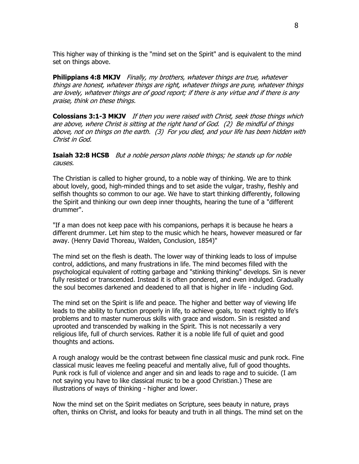This higher way of thinking is the "mind set on the Spirit" and is equivalent to the mind set on things above.

**Philippians 4:8 MKJV** Finally, my brothers, whatever things are true, whatever things are honest, whatever things are right, whatever things are pure, whatever things are lovely, whatever things are of good report; if there is any virtue and if there is any praise, think on these things.

**Colossians 3:1-3 MKJV** If then you were raised with Christ, seek those things which are above, where Christ is sitting at the right hand of God. (2) Be mindful of things above, not on things on the earth. (3) For you died, and your life has been hidden with Christ in God.

**Isaiah 32:8 HCSB** But a noble person plans noble things; he stands up for noble causes.

The Christian is called to higher ground, to a noble way of thinking. We are to think about lovely, good, high-minded things and to set aside the vulgar, trashy, fleshly and selfish thoughts so common to our age. We have to start thinking differently, following the Spirit and thinking our own deep inner thoughts, hearing the tune of a "different drummer".

"If a man does not keep pace with his companions, perhaps it is because he hears a different drummer. Let him step to the music which he hears, however measured or far away. (Henry David Thoreau, Walden, Conclusion, 1854)"

The mind set on the flesh is death. The lower way of thinking leads to loss of impulse control, addictions, and many frustrations in life. The mind becomes filled with the psychological equivalent of rotting garbage and "stinking thinking" develops. Sin is never fully resisted or transcended. Instead it is often pondered, and even indulged. Gradually the soul becomes darkened and deadened to all that is higher in life - including God.

The mind set on the Spirit is life and peace. The higher and better way of viewing life leads to the ability to function properly in life, to achieve goals, to react rightly to life's problems and to master numerous skills with grace and wisdom. Sin is resisted and uprooted and transcended by walking in the Spirit. This is not necessarily a very religious life, full of church services. Rather it is a noble life full of quiet and good thoughts and actions.

A rough analogy would be the contrast between fine classical music and punk rock. Fine classical music leaves me feeling peaceful and mentally alive, full of good thoughts. Punk rock is full of violence and anger and sin and leads to rage and to suicide. (I am not saying you have to like classical music to be a good Christian.) These are illustrations of ways of thinking - higher and lower.

Now the mind set on the Spirit mediates on Scripture, sees beauty in nature, prays often, thinks on Christ, and looks for beauty and truth in all things. The mind set on the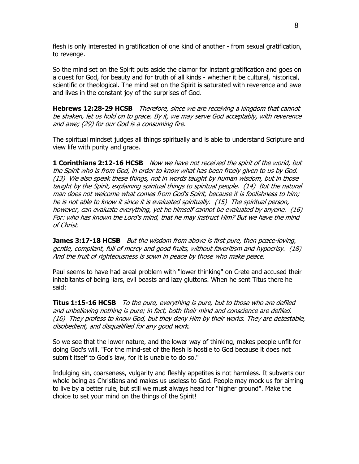flesh is only interested in gratification of one kind of another - from sexual gratification, to revenge.

So the mind set on the Spirit puts aside the clamor for instant gratification and goes on a quest for God, for beauty and for truth of all kinds - whether it be cultural, historical, scientific or theological. The mind set on the Spirit is saturated with reverence and awe and lives in the constant joy of the surprises of God.

**Hebrews 12:28-29 HCSB** Therefore, since we are receiving a kingdom that cannot be shaken, let us hold on to grace. By it, we may serve God acceptably, with reverence and awe; (29) for our God is a consuming fire.

The spiritual mindset judges all things spiritually and is able to understand Scripture and view life with purity and grace.

**1 Corinthians 2:12-16 HCSB** Now we have not received the spirit of the world, but the Spirit who is from God, in order to know what has been freely given to us by God. (13) We also speak these things, not in words taught by human wisdom, but in those taught by the Spirit, explaining spiritual things to spiritual people. (14) But the natural man does not welcome what comes from God's Spirit, because it is foolishness to him; he is not able to know it since it is evaluated spiritually. (15) The spiritual person, however, can evaluate everything, yet he himself cannot be evaluated by anyone. (16) For: who has known the Lord's mind, that he may instruct Him? But we have the mind of Christ.

**James 3:17-18 HCSB** But the wisdom from above is first pure, then peace-loving, gentle, compliant, full of mercy and good fruits, without favoritism and hypocrisy. (18) And the fruit of righteousness is sown in peace by those who make peace.

Paul seems to have had areal problem with "lower thinking" on Crete and accused their inhabitants of being liars, evil beasts and lazy gluttons. When he sent Titus there he said:

**Titus 1:15-16 HCSB** To the pure, everything is pure, but to those who are defiled and unbelieving nothing is pure; in fact, both their mind and conscience are defiled. (16) They profess to know God, but they deny Him by their works. They are detestable, disobedient, and disqualified for any good work.

So we see that the lower nature, and the lower way of thinking, makes people unfit for doing God's will. "For the mind-set of the flesh is hostile to God because it does not submit itself to God's law, for it is unable to do so."

Indulging sin, coarseness, vulgarity and fleshly appetites is not harmless. It subverts our whole being as Christians and makes us useless to God. People may mock us for aiming to live by a better rule, but still we must always head for "higher ground". Make the choice to set your mind on the things of the Spirit!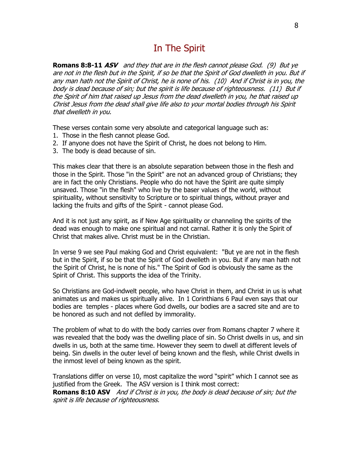### In The Spirit

**Romans 8:8-11 ASV** and they that are in the flesh cannot please God. (9) But ye are not in the flesh but in the Spirit, if so be that the Spirit of God dwelleth in you. But if any man hath not the Spirit of Christ, he is none of his. (10) And if Christ is in you, the body is dead because of sin; but the spirit is life because of righteousness. (11) But if the Spirit of him that raised up Jesus from the dead dwelleth in you, he that raised up Christ Jesus from the dead shall give life also to your mortal bodies through his Spirit that dwelleth in you.

These verses contain some very absolute and categorical language such as:

- 1. Those in the flesh cannot please God.
- 2. If anyone does not have the Spirit of Christ, he does not belong to Him.
- 3. The body is dead because of sin.

This makes clear that there is an absolute separation between those in the flesh and those in the Spirit. Those "in the Spirit" are not an advanced group of Christians; they are in fact the only Christians. People who do not have the Spirit are quite simply unsaved. Those "in the flesh" who live by the baser values of the world, without spirituality, without sensitivity to Scripture or to spiritual things, without prayer and lacking the fruits and gifts of the Spirit - cannot please God.

And it is not just any spirit, as if New Age spirituality or channeling the spirits of the dead was enough to make one spiritual and not carnal. Rather it is only the Spirit of Christ that makes alive. Christ must be in the Christian.

In verse 9 we see Paul making God and Christ equivalent: "But ye are not in the flesh but in the Spirit, if so be that the Spirit of God dwelleth in you. But if any man hath not the Spirit of Christ, he is none of his." The Spirit of God is obviously the same as the Spirit of Christ. This supports the idea of the Trinity.

So Christians are God-indwelt people, who have Christ in them, and Christ in us is what animates us and makes us spiritually alive. In 1 Corinthians 6 Paul even says that our bodies are temples - places where God dwells, our bodies are a sacred site and are to be honored as such and not defiled by immorality.

The problem of what to do with the body carries over from Romans chapter 7 where it was revealed that the body was the dwelling place of sin. So Christ dwells in us, and sin dwells in us, both at the same time. However they seem to dwell at different levels of being. Sin dwells in the outer level of being known and the flesh, while Christ dwells in the inmost level of being known as the spirit.

Translations differ on verse 10, most capitalize the word "spirit" which I cannot see as justified from the Greek. The ASV version is I think most correct: **Romans 8:10 ASV** And if Christ is in you, the body is dead because of sin; but the spirit is life because of righteousness.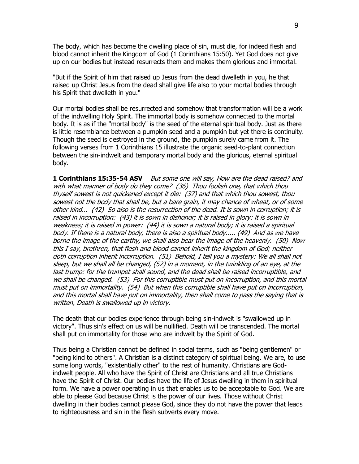The body, which has become the dwelling place of sin, must die, for indeed flesh and blood cannot inherit the Kingdom of God (1 Corinthians 15:50). Yet God does not give up on our bodies but instead resurrects them and makes them glorious and immortal.

"But if the Spirit of him that raised up Jesus from the dead dwelleth in you, he that raised up Christ Jesus from the dead shall give life also to your mortal bodies through his Spirit that dwelleth in you."

Our mortal bodies shall be resurrected and somehow that transformation will be a work of the indwelling Holy Spirit. The immortal body is somehow connected to the mortal body. It is as if the "mortal body" is the seed of the eternal spiritual body. Just as there is little resemblance between a pumpkin seed and a pumpkin but yet there is continuity. Though the seed is destroyed in the ground, the pumpkin surely came from it. The following verses from 1 Corinthians 15 illustrate the organic seed-to-plant connection between the sin-indwelt and temporary mortal body and the glorious, eternal spiritual body.

**1 Corinthians 15:35-54 ASV** But some one will say, How are the dead raised? and with what manner of body do they come? (36) Thou foolish one, that which thou thyself sowest is not quickened except it die: (37) and that which thou sowest, thou sowest not the body that shall be, but a bare grain, it may chance of wheat, or of some other kind... (42) So also is the resurrection of the dead. It is sown in corruption; it is raised in incorruption: (43) it is sown in dishonor; it is raised in glory: it is sown in weakness; it is raised in power: (44) it is sown a natural body; it is raised a spiritual body. If there is a natural body, there is also a spiritual body..... (49) And as we have borne the image of the earthy, we shall also bear the image of the heavenly. (50) Now this I say, brethren, that flesh and blood cannot inherit the kingdom of God; neither doth corruption inherit incorruption. (51) Behold, I tell you a mystery: We all shall not sleep, but we shall all be changed, (52) in a moment, in the twinkling of an eye, at the last trump: for the trumpet shall sound, and the dead shall be raised incorruptible, and we shall be changed. (53) For this corruptible must put on incorruption, and this mortal must put on immortality. (54) But when this corruptible shall have put on incorruption, and this mortal shall have put on immortality, then shall come to pass the saying that is written, Death is swallowed up in victory.

The death that our bodies experience through being sin-indwelt is "swallowed up in victory". Thus sin's effect on us will be nullified. Death will be transcended. The mortal shall put on immortality for those who are indwelt by the Spirit of God.

Thus being a Christian cannot be defined in social terms, such as "being gentlemen" or "being kind to others". A Christian is a distinct category of spiritual being. We are, to use some long words, "existentially other" to the rest of humanity. Christians are Godindwelt people. All who have the Spirit of Christ are Christians and all true Christians have the Spirit of Christ. Our bodies have the life of Jesus dwelling in them in spiritual form. We have a power operating in us that enables us to be acceptable to God. We are able to please God because Christ is the power of our lives. Those without Christ dwelling in their bodies cannot please God, since they do not have the power that leads to righteousness and sin in the flesh subverts every move.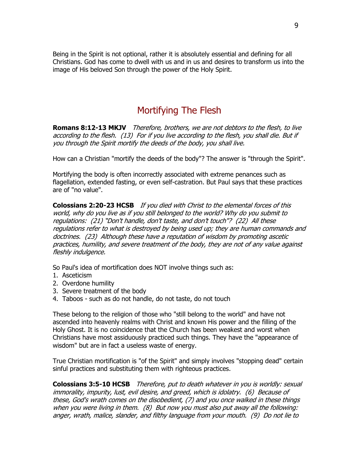Being in the Spirit is not optional, rather it is absolutely essential and defining for all Christians. God has come to dwell with us and in us and desires to transform us into the image of His beloved Son through the power of the Holy Spirit.

## Mortifying The Flesh

**Romans 8:12-13 MKJV** Therefore, brothers, we are not debtors to the flesh, to live according to the flesh. (13) For if you live according to the flesh, you shall die. But if you through the Spirit mortify the deeds of the body, you shall live.

How can a Christian "mortify the deeds of the body"? The answer is "through the Spirit".

Mortifying the body is often incorrectly associated with extreme penances such as flagellation, extended fasting, or even self-castration. But Paul says that these practices are of "no value".

**Colossians 2:20-23 HCSB** If you died with Christ to the elemental forces of this world, why do you live as if you still belonged to the world? Why do you submit to regulations: (21) "Don't handle, don't taste, and don't touch"? (22) All these regulations refer to what is destroyed by being used up; they are human commands and doctrines. (23) Although these have a reputation of wisdom by promoting ascetic practices, humility, and severe treatment of the body, they are not of any value against fleshly indulgence.

So Paul's idea of mortification does NOT involve things such as:

- 1. Asceticism
- 2. Overdone humility
- 3. Severe treatment of the body
- 4. Taboos such as do not handle, do not taste, do not touch

These belong to the religion of those who "still belong to the world" and have not ascended into heavenly realms with Christ and known His power and the filling of the Holy Ghost. It is no coincidence that the Church has been weakest and worst when Christians have most assiduously practiced such things. They have the "appearance of wisdom" but are in fact a useless waste of energy.

True Christian mortification is "of the Spirit" and simply involves "stopping dead" certain sinful practices and substituting them with righteous practices.

**Colossians 3:5-10 HCSB** Therefore, put to death whatever in you is worldly: sexual immorality, impurity, lust, evil desire, and greed, which is idolatry. (6) Because of these, God's wrath comes on the disobedient, (7) and you once walked in these things when you were living in them. (8) But now you must also put away all the following: anger, wrath, malice, slander, and filthy language from your mouth. (9) Do not lie to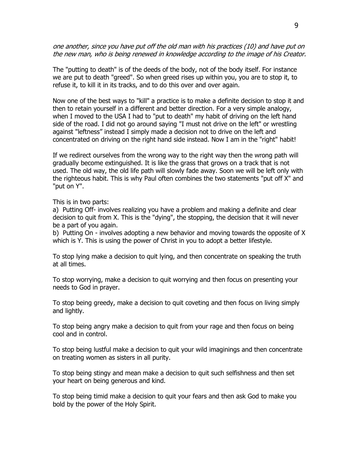one another, since you have put off the old man with his practices (10) and have put on the new man, who is being renewed in knowledge according to the image of his Creator.

The "putting to death" is of the deeds of the body, not of the body itself. For instance we are put to death "greed". So when greed rises up within you, you are to stop it, to refuse it, to kill it in its tracks, and to do this over and over again.

Now one of the best ways to "kill" a practice is to make a definite decision to stop it and then to retain yourself in a different and better direction. For a very simple analogy, when I moved to the USA I had to "put to death" my habit of driving on the left hand side of the road. I did not go around saying "I must not drive on the left" or wrestling against "leftness" instead I simply made a decision not to drive on the left and concentrated on driving on the right hand side instead. Now I am in the "right" habit!

If we redirect ourselves from the wrong way to the right way then the wrong path will gradually become extinguished. It is like the grass that grows on a track that is not used. The old way, the old life path will slowly fade away. Soon we will be left only with the righteous habit. This is why Paul often combines the two statements "put off X" and "put on Y".

This is in two parts:

a) Putting Off- involves realizing you have a problem and making a definite and clear decision to quit from X. This is the "dying", the stopping, the decision that it will never be a part of you again.

b) Putting On - involves adopting a new behavior and moving towards the opposite of X which is Y. This is using the power of Christ in you to adopt a better lifestyle.

To stop lying make a decision to quit lying, and then concentrate on speaking the truth at all times.

To stop worrying, make a decision to quit worrying and then focus on presenting your needs to God in prayer.

To stop being greedy, make a decision to quit coveting and then focus on living simply and lightly.

To stop being angry make a decision to quit from your rage and then focus on being cool and in control.

To stop being lustful make a decision to quit your wild imaginings and then concentrate on treating women as sisters in all purity.

To stop being stingy and mean make a decision to quit such selfishness and then set your heart on being generous and kind.

To stop being timid make a decision to quit your fears and then ask God to make you bold by the power of the Holy Spirit.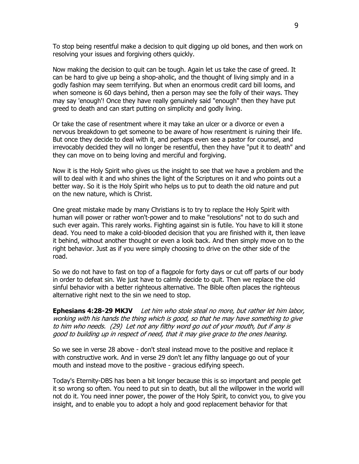To stop being resentful make a decision to quit digging up old bones, and then work on resolving your issues and forgiving others quickly.

Now making the decision to quit can be tough. Again let us take the case of greed. It can be hard to give up being a shop-aholic, and the thought of living simply and in a godly fashion may seem terrifying. But when an enormous credit card bill looms, and when someone is 60 days behind, then a person may see the folly of their ways. They may say 'enough'! Once they have really genuinely said "enough" then they have put greed to death and can start putting on simplicity and godly living.

Or take the case of resentment where it may take an ulcer or a divorce or even a nervous breakdown to get someone to be aware of how resentment is ruining their life. But once they decide to deal with it, and perhaps even see a pastor for counsel, and irrevocably decided they will no longer be resentful, then they have "put it to death" and they can move on to being loving and merciful and forgiving.

Now it is the Holy Spirit who gives us the insight to see that we have a problem and the will to deal with it and who shines the light of the Scriptures on it and who points out a better way. So it is the Holy Spirit who helps us to put to death the old nature and put on the new nature, which is Christ.

One great mistake made by many Christians is to try to replace the Holy Spirit with human will power or rather won't-power and to make "resolutions" not to do such and such ever again. This rarely works. Fighting against sin is futile. You have to kill it stone dead. You need to make a cold-blooded decision that you are finished with it, then leave it behind, without another thought or even a look back. And then simply move on to the right behavior. Just as if you were simply choosing to drive on the other side of the road.

So we do not have to fast on top of a flagpole for forty days or cut off parts of our body in order to defeat sin. We just have to calmly decide to quit. Then we replace the old sinful behavior with a better righteous alternative. The Bible often places the righteous alternative right next to the sin we need to stop.

**Ephesians 4:28-29 MKJV** Let him who stole steal no more, but rather let him labor, working with his hands the thing which is good, so that he may have something to give to him who needs. (29) Let not any filthy word go out of your mouth, but if any is good to building up in respect of need, that it may give grace to the ones hearing.

So we see in verse 28 above - don't steal instead move to the positive and replace it with constructive work. And in verse 29 don't let any filthy language go out of your mouth and instead move to the positive - gracious edifying speech.

Today's Eternity-DBS has been a bit longer because this is so important and people get it so wrong so often. You need to put sin to death, but all the willpower in the world will not do it. You need inner power, the power of the Holy Spirit, to convict you, to give you insight, and to enable you to adopt a holy and good replacement behavior for that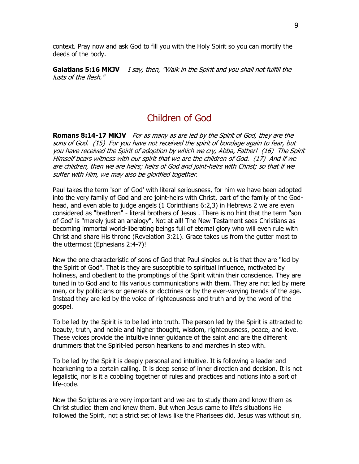context. Pray now and ask God to fill you with the Holy Spirit so you can mortify the deeds of the body.

**Galatians 5:16 MKJV** I say, then, "Walk in the Spirit and you shall not fulfill the lusts of the flesh."

## Children of God

**Romans 8:14-17 MKJV** For as many as are led by the Spirit of God, they are the sons of God. (15) For you have not received the spirit of bondage again to fear, but you have received the Spirit of adoption by which we cry, Abba, Father! (16) The Spirit Himself bears witness with our spirit that we are the children of God. (17) And if we are children, then we are heirs; heirs of God and joint-heirs with Christ; so that if we suffer with Him, we may also be glorified together.

Paul takes the term 'son of God' with literal seriousness, for him we have been adopted into the very family of God and are joint-heirs with Christ, part of the family of the Godhead, and even able to judge angels (1 Corinthians 6:2,3) in Hebrews 2 we are even considered as "brethren" - literal brothers of Jesus . There is no hint that the term "son of God' is "merely just an analogy". Not at all! The New Testament sees Christians as becoming immortal world-liberating beings full of eternal glory who will even rule with Christ and share His throne (Revelation 3:21). Grace takes us from the gutter most to the uttermost (Ephesians 2:4-7)!

Now the one characteristic of sons of God that Paul singles out is that they are "led by the Spirit of God". That is they are susceptible to spiritual influence, motivated by holiness, and obedient to the promptings of the Spirit within their conscience. They are tuned in to God and to His various communications with them. They are not led by mere men, or by politicians or generals or doctrines or by the ever-varying trends of the age. Instead they are led by the voice of righteousness and truth and by the word of the gospel.

To be led by the Spirit is to be led into truth. The person led by the Spirit is attracted to beauty, truth, and noble and higher thought, wisdom, righteousness, peace, and love. These voices provide the intuitive inner guidance of the saint and are the different drummers that the Spirit-led person hearkens to and marches in step with.

To be led by the Spirit is deeply personal and intuitive. It is following a leader and hearkening to a certain calling. It is deep sense of inner direction and decision. It is not legalistic, nor is it a cobbling together of rules and practices and notions into a sort of life-code.

Now the Scriptures are very important and we are to study them and know them as Christ studied them and knew them. But when Jesus came to life's situations He followed the Spirit, not a strict set of laws like the Pharisees did. Jesus was without sin,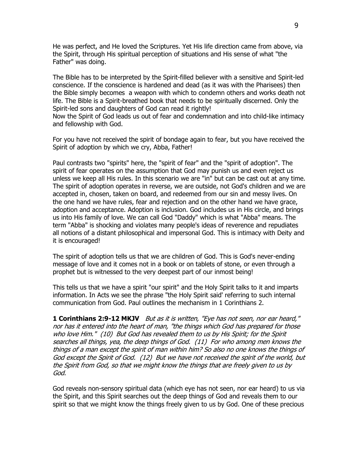He was perfect, and He loved the Scriptures. Yet His life direction came from above, via the Spirit, through His spiritual perception of situations and His sense of what "the Father" was doing.

The Bible has to be interpreted by the Spirit-filled believer with a sensitive and Spirit-led conscience. If the conscience is hardened and dead (as it was with the Pharisees) then the Bible simply becomes a weapon with which to condemn others and works death not life. The Bible is a Spirit-breathed book that needs to be spiritually discerned. Only the Spirit-led sons and daughters of God can read it rightly!

Now the Spirit of God leads us out of fear and condemnation and into child-like intimacy and fellowship with God.

For you have not received the spirit of bondage again to fear, but you have received the Spirit of adoption by which we cry, Abba, Father!

Paul contrasts two "spirits" here, the "spirit of fear" and the "spirit of adoption". The spirit of fear operates on the assumption that God may punish us and even reject us unless we keep all His rules. In this scenario we are "in" but can be cast out at any time. The spirit of adoption operates in reverse, we are outside, not God's children and we are accepted in, chosen, taken on board, and redeemed from our sin and messy lives. On the one hand we have rules, fear and rejection and on the other hand we have grace, adoption and acceptance. Adoption is inclusion. God includes us in His circle, and brings us into His family of love. We can call God "Daddy" which is what "Abba" means. The term "Abba" is shocking and violates many people's ideas of reverence and repudiates all notions of a distant philosophical and impersonal God. This is intimacy with Deity and it is encouraged!

The spirit of adoption tells us that we are children of God. This is God's never-ending message of love and it comes not in a book or on tablets of stone, or even through a prophet but is witnessed to the very deepest part of our inmost being!

This tells us that we have a spirit "our spirit" and the Holy Spirit talks to it and imparts information. In Acts we see the phrase "the Holy Spirit said' referring to such internal communication from God. Paul outlines the mechanism in 1 Corinthians 2.

**1 Corinthians 2:9-12 MKJV** But as it is written, "Eye has not seen, nor ear heard," nor has it entered into the heart of man, "the things which God has prepared for those who love Him." (10) But God has revealed them to us by His Spirit; for the Spirit searches all things, yea, the deep things of God. (11) For who among men knows the things of a man except the spirit of man within him? So also no one knows the things of God except the Spirit of God. (12) But we have not received the spirit of the world, but the Spirit from God, so that we might know the things that are freely given to us by God.

God reveals non-sensory spiritual data (which eye has not seen, nor ear heard) to us via the Spirit, and this Spirit searches out the deep things of God and reveals them to our spirit so that we might know the things freely given to us by God. One of these precious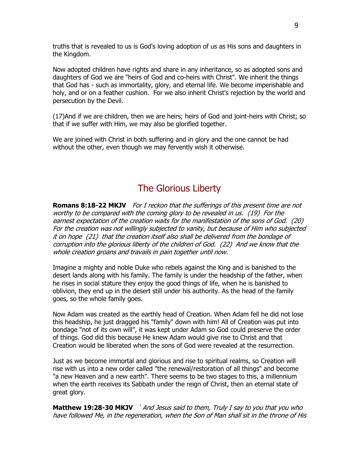truths that is revealed to us is God's loving adoption of us as His sons and daughters in the Kingdom.

Now adopted children have rights and share in any inheritance, so as adopted sons and daughters of God we are "heirs of God and co-heirs with Christ". We inherit the things that God has - such as immortality, glory, and eternal life. We become imperishable and holy, and or on a feather cushion. For we also inherit Christ's rejection by the world and persecution by the Devil.

(17)And if we are children, then we are heirs; heirs of God and joint-heirs with Christ; so that if we suffer with Him, we may also be glorified together.

We are joined with Christ in both suffering and in glory and the one cannot be had without the other, even though we may fervently wish it otherwise.

### The Glorious Liberty

**Romans 8:18-22 MKJV** For I reckon that the sufferings of this present time are not worthy to be compared with the coming glory to be revealed in us. (19) For the earnest expectation of the creation waits for the manifestation of the sons of God. (20) For the creation was not willingly subjected to vanity, but because of Him who subjected it on hope (21) that the creation itself also shall be delivered from the bondage of corruption into the glorious liberty of the children of God. (22) And we know that the whole creation groans and travails in pain together until now.

Imagine a mighty and noble Duke who rebels against the King and is banished to the desert lands along with his family. The family is under the headship of the father, when he rises in social stature they enjoy the good things of life, when he is banished to oblivion, they end up in the desert still under his authority. As the head of the family goes, so the whole family goes.

Now Adam was created as the earthly head of Creation. When Adam fell he did not lose this headship, he just dragged his "family" down with him! All of Creation was put into bondage "not of its own will", it was kept under Adam so God could preserve the order of things. God did this because He knew Adam would give rise to Christ and that Creation would be liberated when the sons of God were revealed at the resurrection.

Just as we become immortal and glorious and rise to spiritual realms, so Creation will rise with us into a new order called "the renewal/restoration of all things" and become "a new Heaven and a new earth". There seems to be two stages to this, a millennium when the earth receives its Sabbath under the reign of Christ, then an eternal state of great glory.

**Matthew 19:28-30 MKJV** `And Jesus said to them, Truly I say to you that you who have followed Me, in the regeneration, when the Son of Man shall sit in the throne of His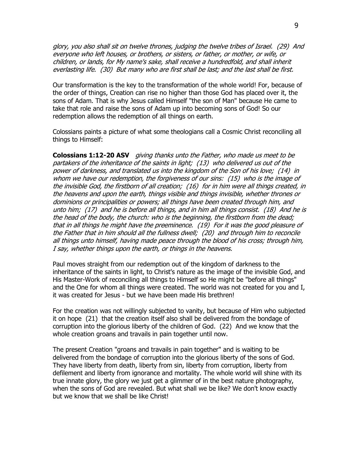glory, you also shall sit on twelve thrones, judging the twelve tribes of Israel. (29) And everyone who left houses, or brothers, or sisters, or father, or mother, or wife, or children, or lands, for My name's sake, shall receive a hundredfold, and shall inherit everlasting life. (30) But many who are first shall be last; and the last shall be first.

Our transformation is the key to the transformation of the whole world! For, because of the order of things, Creation can rise no higher than those God has placed over it, the sons of Adam. That is why Jesus called Himself "the son of Man" because He came to take that role and raise the sons of Adam up into becoming sons of God! So our redemption allows the redemption of all things on earth.

Colossians paints a picture of what some theologians call a Cosmic Christ reconciling all things to Himself:

**Colossians 1:12-20 ASV** giving thanks unto the Father, who made us meet to be partakers of the inheritance of the saints in light; (13) who delivered us out of the power of darkness, and translated us into the kingdom of the Son of his love; (14) in whom we have our redemption, the forgiveness of our sins: (15) who is the image of the invisible God, the firstborn of all creation; (16) for in him were all things created, in the heavens and upon the earth, things visible and things invisible, whether thrones or dominions or principalities or powers; all things have been created through him, and unto him; (17) and he is before all things, and in him all things consist. (18) And he is the head of the body, the church: who is the beginning, the firstborn from the dead; that in all things he might have the preeminence. (19) For it was the good pleasure of the Father that in him should all the fullness dwell; (20) and through him to reconcile all things unto himself, having made peace through the blood of his cross; through him, I say, whether things upon the earth, or things in the heavens.

Paul moves straight from our redemption out of the kingdom of darkness to the inheritance of the saints in light, to Christ's nature as the image of the invisible God, and His Master-Work of reconciling all things to Himself so He might be "before all things" and the One for whom all things were created. The world was not created for you and I, it was created for Jesus - but we have been made His brethren!

For the creation was not willingly subjected to vanity, but because of Him who subjected it on hope (21) that the creation itself also shall be delivered from the bondage of corruption into the glorious liberty of the children of God. (22) And we know that the whole creation groans and travails in pain together until now.

The present Creation "groans and travails in pain together" and is waiting to be delivered from the bondage of corruption into the glorious liberty of the sons of God. They have liberty from death, liberty from sin, liberty from corruption, liberty from defilement and liberty from ignorance and mortality. The whole world will shine with its true innate glory, the glory we just get a glimmer of in the best nature photography, when the sons of God are revealed. But what shall we be like? We don't know exactly but we know that we shall be like Christ!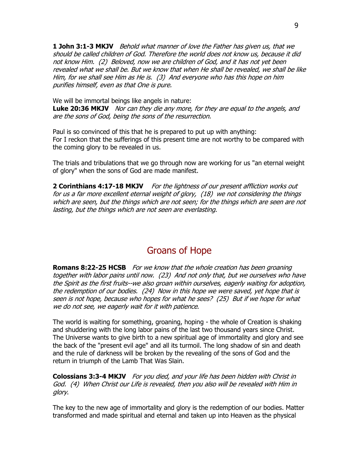**1 John 3:1-3 MKJV** Behold what manner of love the Father has given us, that we should be called children of God. Therefore the world does not know us, because it did not know Him. (2) Beloved, now we are children of God, and it has not yet been revealed what we shall be. But we know that when He shall be revealed, we shall be like Him, for we shall see Him as He is. (3) And everyone who has this hope on him purifies himself, even as that One is pure.

We will be immortal beings like angels in nature:

**Luke 20:36 MKJV** Nor can they die any more, for they are equal to the angels, and are the sons of God, being the sons of the resurrection.

Paul is so convinced of this that he is prepared to put up with anything: For I reckon that the sufferings of this present time are not worthy to be compared with the coming glory to be revealed in us.

The trials and tribulations that we go through now are working for us "an eternal weight of glory" when the sons of God are made manifest.

**2 Corinthians 4:17-18 MKJV** For the lightness of our present affliction works out for us a far more excellent eternal weight of glory, (18) we not considering the things which are seen, but the things which are not seen; for the things which are seen are not lasting, but the things which are not seen are everlasting.

## Groans of Hope

**Romans 8:22-25 HCSB** For we know that the whole creation has been groaning together with labor pains until now. (23) And not only that, but we ourselves who have the Spirit as the first fruits--we also groan within ourselves, eagerly waiting for adoption, the redemption of our bodies. (24) Now in this hope we were saved, yet hope that is seen is not hope, because who hopes for what he sees? (25) But if we hope for what we do not see, we eagerly wait for it with patience.

The world is waiting for something, groaning, hoping - the whole of Creation is shaking and shuddering with the long labor pains of the last two thousand years since Christ. The Universe wants to give birth to a new spiritual age of immortality and glory and see the back of the "present evil age" and all its turmoil. The long shadow of sin and death and the rule of darkness will be broken by the revealing of the sons of God and the return in triumph of the Lamb That Was Slain.

**Colossians 3:3-4 MKJV** For you died, and your life has been hidden with Christ in God. (4) When Christ our Life is revealed, then you also will be revealed with Him in glory.

The key to the new age of immortality and glory is the redemption of our bodies. Matter transformed and made spiritual and eternal and taken up into Heaven as the physical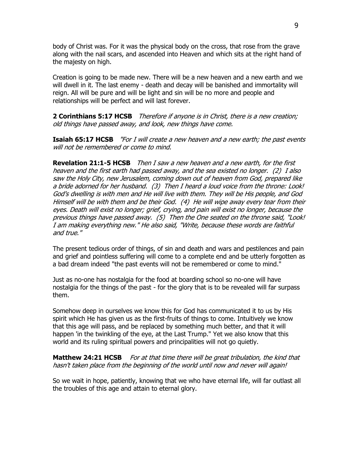body of Christ was. For it was the physical body on the cross, that rose from the grave along with the nail scars, and ascended into Heaven and which sits at the right hand of the majesty on high.

Creation is going to be made new. There will be a new heaven and a new earth and we will dwell in it. The last enemy - death and decay will be banished and immortality will reign. All will be pure and will be light and sin will be no more and people and relationships will be perfect and will last forever.

**2 Corinthians 5:17 HCSB** Therefore if anyone is in Christ, there is a new creation; old things have passed away, and look, new things have come.

**Isaiah 65:17 HCSB** "For I will create a new heaven and a new earth; the past events will not be remembered or come to mind.

**Revelation 21:1-5 HCSB** Then I saw a new heaven and a new earth, for the first heaven and the first earth had passed away, and the sea existed no longer. (2) I also saw the Holy City, new Jerusalem, coming down out of heaven from God, prepared like a bride adorned for her husband. (3) Then I heard a loud voice from the throne: Look! God's dwelling is with men and He will live with them. They will be His people, and God Himself will be with them and be their God. (4) He will wipe away every tear from their eyes. Death will exist no longer; grief, crying, and pain will exist no longer, because the previous things have passed away. (5) Then the One seated on the throne said, "Look! I am making everything new." He also said, "Write, because these words are faithful and true."

The present tedious order of things, of sin and death and wars and pestilences and pain and grief and pointless suffering will come to a complete end and be utterly forgotten as a bad dream indeed "the past events will not be remembered or come to mind."

Just as no-one has nostalgia for the food at boarding school so no-one will have nostalgia for the things of the past - for the glory that is to be revealed will far surpass them.

Somehow deep in ourselves we know this for God has communicated it to us by His spirit which He has given us as the first-fruits of things to come. Intuitively we know that this age will pass, and be replaced by something much better, and that it will happen 'in the twinkling of the eye, at the Last Trump." Yet we also know that this world and its ruling spiritual powers and principalities will not go quietly.

**Matthew 24:21 HCSB** For at that time there will be great tribulation, the kind that hasn't taken place from the beginning of the world until now and never will again!

So we wait in hope, patiently, knowing that we who have eternal life, will far outlast all the troubles of this age and attain to eternal glory.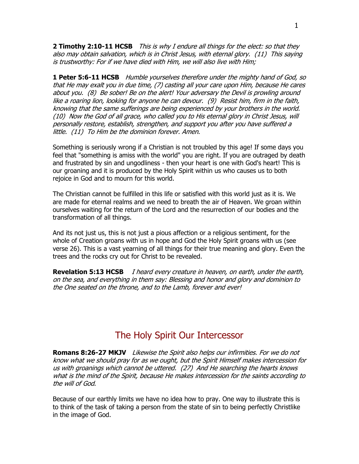**2 Timothy 2:10-11 HCSB** This is why I endure all things for the elect: so that they also may obtain salvation, which is in Christ Jesus, with eternal glory. (11) This saying is trustworthy: For if we have died with Him, we will also live with Him;

**1 Peter 5:6-11 HCSB** Humble yourselves therefore under the mighty hand of God, so that He may exalt you in due time, (7) casting all your care upon Him, because He cares about you. (8) Be sober! Be on the alert! Your adversary the Devil is prowling around like a roaring lion, looking for anyone he can devour. (9) Resist him, firm in the faith, knowing that the same sufferings are being experienced by your brothers in the world. (10) Now the God of all grace, who called you to His eternal glory in Christ Jesus, will personally restore, establish, strengthen, and support you after you have suffered a little. (11) To Him be the dominion forever. Amen.

Something is seriously wrong if a Christian is not troubled by this age! If some days you feel that "something is amiss with the world" you are right. If you are outraged by death and frustrated by sin and ungodliness - then your heart is one with God's heart! This is our groaning and it is produced by the Holy Spirit within us who causes us to both rejoice in God and to mourn for this world.

The Christian cannot be fulfilled in this life or satisfied with this world just as it is. We are made for eternal realms and we need to breath the air of Heaven. We groan within ourselves waiting for the return of the Lord and the resurrection of our bodies and the transformation of all things.

And its not just us, this is not just a pious affection or a religious sentiment, for the whole of Creation groans with us in hope and God the Holy Spirit groans with us (see verse 26). This is a vast yearning of all things for their true meaning and glory. Even the trees and the rocks cry out for Christ to be revealed.

**Revelation 5:13 HCSB** I heard every creature in heaven, on earth, under the earth, on the sea, and everything in them say: Blessing and honor and glory and dominion to the One seated on the throne, and to the Lamb, forever and ever!

#### The Holy Spirit Our Intercessor

**Romans 8:26-27 MKJV** Likewise the Spirit also helps our infirmities. For we do not know what we should pray for as we ought, but the Spirit Himself makes intercession for us with groanings which cannot be uttered. (27) And He searching the hearts knows what is the mind of the Spirit, because He makes intercession for the saints according to the will of God.

Because of our earthly limits we have no idea how to pray. One way to illustrate this is to think of the task of taking a person from the state of sin to being perfectly Christlike in the image of God.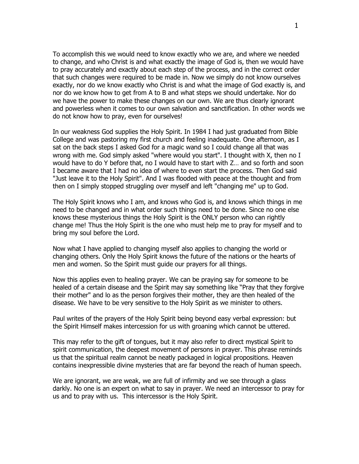To accomplish this we would need to know exactly who we are, and where we needed to change, and who Christ is and what exactly the image of God is, then we would have to pray accurately and exactly about each step of the process, and in the correct order that such changes were required to be made in. Now we simply do not know ourselves exactly, nor do we know exactly who Christ is and what the image of God exactly is, and nor do we know how to get from A to B and what steps we should undertake. Nor do we have the power to make these changes on our own. We are thus clearly ignorant and powerless when it comes to our own salvation and sanctification. In other words we do not know how to pray, even for ourselves!

In our weakness God supplies the Holy Spirit. In 1984 I had just graduated from Bible College and was pastoring my first church and feeling inadequate. One afternoon, as I sat on the back steps I asked God for a magic wand so I could change all that was wrong with me. God simply asked "where would you start". I thought with X, then no I would have to do Y before that, no I would have to start with Z… and so forth and soon I became aware that I had no idea of where to even start the process. Then God said "Just leave it to the Holy Spirit". And I was flooded with peace at the thought and from then on I simply stopped struggling over myself and left "changing me" up to God.

The Holy Spirit knows who I am, and knows who God is, and knows which things in me need to be changed and in what order such things need to be done. Since no one else knows these mysterious things the Holy Spirit is the ONLY person who can rightly change me! Thus the Holy Spirit is the one who must help me to pray for myself and to bring my soul before the Lord.

Now what I have applied to changing myself also applies to changing the world or changing others. Only the Holy Spirit knows the future of the nations or the hearts of men and women. So the Spirit must guide our prayers for all things.

Now this applies even to healing prayer. We can be praying say for someone to be healed of a certain disease and the Spirit may say something like "Pray that they forgive their mother" and lo as the person forgives their mother, they are then healed of the disease. We have to be very sensitive to the Holy Spirit as we minister to others.

Paul writes of the prayers of the Holy Spirit being beyond easy verbal expression: but the Spirit Himself makes intercession for us with groaning which cannot be uttered.

This may refer to the gift of tongues, but it may also refer to direct mystical Spirit to spirit communication, the deepest movement of persons in prayer. This phrase reminds us that the spiritual realm cannot be neatly packaged in logical propositions. Heaven contains inexpressible divine mysteries that are far beyond the reach of human speech.

We are ignorant, we are weak, we are full of infirmity and we see through a glass darkly. No one is an expert on what to say in prayer. We need an intercessor to pray for us and to pray with us. This intercessor is the Holy Spirit.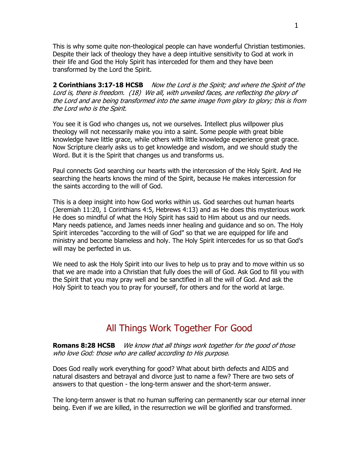2 This is why some quite non-theological people can have wonderful Christian testimonies. Despite their lack of theology they have a deep intuitive sensitivity to God at work in their life and God the Holy Spirit has interceded for them and they have been transformed by the Lord the Spirit.

**2 Corinthians 3:17-18 HCSB** Now the Lord is the Spirit; and where the Spirit of the Lord is, there is freedom. (18) We all, with unveiled faces, are reflecting the glory of the Lord and are being transformed into the same image from glory to glory; this is from the Lord who is the Spirit.

You see it is God who changes us, not we ourselves. Intellect plus willpower plus theology will not necessarily make you into a saint. Some people with great bible knowledge have little grace, while others with little knowledge experience great grace. Now Scripture clearly asks us to get knowledge and wisdom, and we should study the Word. But it is the Spirit that changes us and transforms us.

Paul connects God searching our hearts with the intercession of the Holy Spirit. And He searching the hearts knows the mind of the Spirit, because He makes intercession for the saints according to the will of God.

This is a deep insight into how God works within us. God searches out human hearts (Jeremiah 11:20, 1 Corinthians 4:5, Hebrews 4:13) and as He does this mysterious work He does so mindful of what the Holy Spirit has said to Him about us and our needs. Mary needs patience, and James needs inner healing and guidance and so on. The Holy Spirit intercedes "according to the will of God" so that we are equipped for life and ministry and become blameless and holy. The Holy Spirit intercedes for us so that God's will may be perfected in us.

We need to ask the Holy Spirit into our lives to help us to pray and to move within us so that we are made into a Christian that fully does the will of God. Ask God to fill you with the Spirit that you may pray well and be sanctified in all the will of God. And ask the Holy Spirit to teach you to pray for yourself, for others and for the world at large.

### All Things Work Together For Good

**Romans 8:28 HCSB** We know that all things work together for the good of those who love God: those who are called according to His purpose.

Does God really work everything for good? What about birth defects and AIDS and natural disasters and betrayal and divorce just to name a few? There are two sets of answers to that question - the long-term answer and the short-term answer.

The long-term answer is that no human suffering can permanently scar our eternal inner being. Even if we are killed, in the resurrection we will be glorified and transformed.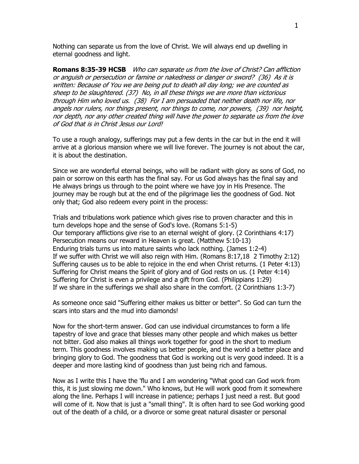Nothing can separate us from the love of Christ. We will always end up dwelling in eternal goodness and light.

**Romans 8:35-39 HCSB** Who can separate us from the love of Christ? Can affliction or anguish or persecution or famine or nakedness or danger or sword? (36) As it is written: Because of You we are being put to death all day long; we are counted as sheep to be slaughtered. (37) No, in all these things we are more than victorious through Him who loved us. (38) For I am persuaded that neither death nor life, nor angels nor rulers, nor things present, nor things to come, nor powers, (39) nor height, nor depth, nor any other created thing will have the power to separate us from the love of God that is in Christ Jesus our Lord!

To use a rough analogy, sufferings may put a few dents in the car but in the end it will arrive at a glorious mansion where we will live forever. The journey is not about the car, it is about the destination.

Since we are wonderful eternal beings, who will be radiant with glory as sons of God, no pain or sorrow on this earth has the final say. For us God always has the final say and He always brings us through to the point where we have joy in His Presence. The journey may be rough but at the end of the pilgrimage lies the goodness of God. Not only that; God also redeem every point in the process:

Trials and tribulations work patience which gives rise to proven character and this in turn develops hope and the sense of God's love. (Romans 5:1-5) Our temporary afflictions give rise to an eternal weight of glory. (2 Corinthians 4:17) Persecution means our reward in Heaven is great. (Matthew 5:10-13) Enduring trials turns us into mature saints who lack nothing. (James 1:2-4) If we suffer with Christ we will also reign with Him. (Romans 8:17,18 2 Timothy 2:12) Suffering causes us to be able to rejoice in the end when Christ returns. (1 Peter 4:13) Suffering for Christ means the Spirit of glory and of God rests on us. (1 Peter 4:14) Suffering for Christ is even a privilege and a gift from God. (Philippians 1:29) If we share in the sufferings we shall also share in the comfort. (2 Corinthians 1:3-7)

As someone once said "Suffering either makes us bitter or better". So God can turn the scars into stars and the mud into diamonds!

Now for the short-term answer. God can use individual circumstances to form a life tapestry of love and grace that blesses many other people and which makes us better not bitter. God also makes all things work together for good in the short to medium term. This goodness involves making us better people, and the world a better place and bringing glory to God. The goodness that God is working out is very good indeed. It is a deeper and more lasting kind of goodness than just being rich and famous.

Now as I write this I have the 'flu and I am wondering "What good can God work from this, it is just slowing me down." Who knows, but He will work good from it somewhere along the line. Perhaps I will increase in patience; perhaps I just need a rest. But good will come of it. Now that is just a "small thing". It is often hard to see God working good out of the death of a child, or a divorce or some great natural disaster or personal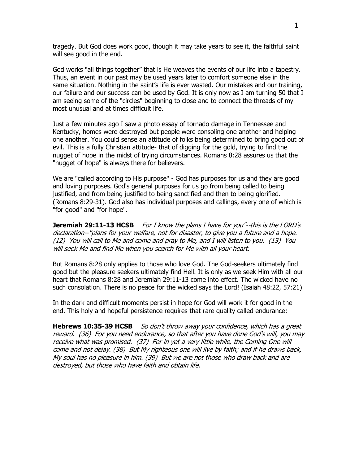4 tragedy. But God does work good, though it may take years to see it, the faithful saint will see good in the end.

God works "all things together" that is He weaves the events of our life into a tapestry. Thus, an event in our past may be used years later to comfort someone else in the same situation. Nothing in the saint's life is ever wasted. Our mistakes and our training, our failure and our success can be used by God. It is only now as I am turning 50 that I am seeing some of the "circles" beginning to close and to connect the threads of my most unusual and at times difficult life.

Just a few minutes ago I saw a photo essay of tornado damage in Tennessee and Kentucky, homes were destroyed but people were consoling one another and helping one another. You could sense an attitude of folks being determined to bring good out of evil. This is a fully Christian attitude- that of digging for the gold, trying to find the nugget of hope in the midst of trying circumstances. Romans 8:28 assures us that the "nugget of hope" is always there for believers.

We are "called according to His purpose" - God has purposes for us and they are good and loving purposes. God's general purposes for us go from being called to being justified, and from being justified to being sanctified and then to being glorified. (Romans 8:29-31). God also has individual purposes and callings, every one of which is "for good" and "for hope".

**Jeremiah 29:11-13 HCSB** For I know the plans I have for you"--this is the LORD's declaration--"plans for your welfare, not for disaster, to give you a future and a hope. (12) You will call to Me and come and pray to Me, and I will listen to you. (13) You will seek Me and find Me when you search for Me with all your heart.

But Romans 8:28 only applies to those who love God. The God-seekers ultimately find good but the pleasure seekers ultimately find Hell. It is only as we seek Him with all our heart that Romans 8:28 and Jeremiah 29:11-13 come into effect. The wicked have no such consolation. There is no peace for the wicked says the Lord! (Isaiah 48:22, 57:21)

In the dark and difficult moments persist in hope for God will work it for good in the end. This holy and hopeful persistence requires that rare quality called endurance:

**Hebrews 10:35-39 HCSB** So don't throw away your confidence, which has a great reward. (36) For you need endurance, so that after you have done God's will, you may receive what was promised. (37) For in yet a very little while, the Coming One will come and not delay. (38) But My righteous one will live by faith; and if he draws back, My soul has no pleasure in him. (39) But we are not those who draw back and are destroyed, but those who have faith and obtain life.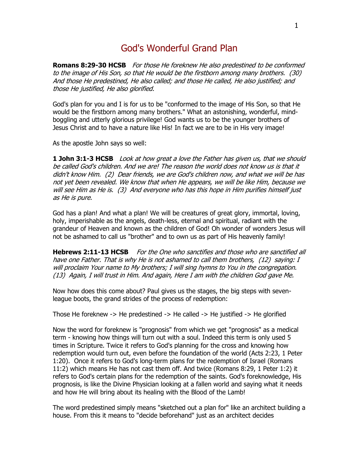### God's Wonderful Grand Plan

**Romans 8:29-30 HCSB** For those He foreknew He also predestined to be conformed to the image of His Son, so that He would be the firstborn among many brothers. (30) And those He predestined, He also called; and those He called, He also justified; and those He justified, He also glorified.

God's plan for you and I is for us to be "conformed to the image of His Son, so that He would be the firstborn among many brothers." What an astonishing, wonderful, mindboggling and utterly glorious privilege! God wants us to be the younger brothers of Jesus Christ and to have a nature like His! In fact we are to be in His very image!

As the apostle John says so well:

**1 John 3:1-3 HCSB** Look at how great a love the Father has given us, that we should be called God's children. And we are! The reason the world does not know us is that it didn't know Him. (2) Dear friends, we are God's children now, and what we will be has not yet been revealed. We know that when He appears, we will be like Him, because we will see Him as He is. (3) And everyone who has this hope in Him purifies himself just as He is pure.

God has a plan! And what a plan! We will be creatures of great glory, immortal, loving, holy, imperishable as the angels, death-less, eternal and spiritual, radiant with the grandeur of Heaven and known as the children of God! Oh wonder of wonders Jesus will not be ashamed to call us "brother" and to own us as part of His heavenly family!

**Hebrews 2:11-13 HCSB** For the One who sanctifies and those who are sanctified all have one Father. That is why He is not ashamed to call them brothers, (12) saying: I will proclaim Your name to My brothers; I will sing hymns to You in the congregation. (13) Again, I will trust in Him. And again, Here I am with the children God gave Me.

Now how does this come about? Paul gives us the stages, the big steps with sevenleague boots, the grand strides of the process of redemption:

Those He foreknew -> He predestined -> He called -> He justified -> He glorified

Now the word for foreknew is "prognosis" from which we get "prognosis" as a medical term - knowing how things will turn out with a soul. Indeed this term is only used 5 times in Scripture. Twice it refers to God's planning for the cross and knowing how redemption would turn out, even before the foundation of the world (Acts 2:23, 1 Peter 1:20). Once it refers to God's long-term plans for the redemption of Israel (Romans 11:2) which means He has not cast them off. And twice (Romans 8:29, 1 Peter 1:2) it refers to God's certain plans for the redemption of the saints. God's foreknowledge, His prognosis, is like the Divine Physician looking at a fallen world and saying what it needs and how He will bring about its healing with the Blood of the Lamb!

The word predestined simply means "sketched out a plan for" like an architect building a house. From this it means to "decide beforehand" just as an architect decides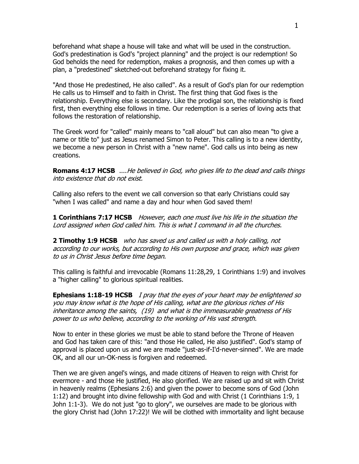beforehand what shape a house will take and what will be used in the construction. God's predestination is God's "project planning" and the project is our redemption! So God beholds the need for redemption, makes a prognosis, and then comes up with a plan, a "predestined" sketched-out beforehand strategy for fixing it.

"And those He predestined, He also called". As a result of God's plan for our redemption He calls us to Himself and to faith in Christ. The first thing that God fixes is the relationship. Everything else is secondary. Like the prodigal son, the relationship is fixed first, then everything else follows in time. Our redemption is a series of loving acts that follows the restoration of relationship.

The Greek word for "called" mainly means to "call aloud" but can also mean "to give a name or title to" just as Jesus renamed Simon to Peter. This calling is to a new identity, we become a new person in Christ with a "new name". God calls us into being as new creations.

**Romans 4:17 HCSB** ....He believed in God, who gives life to the dead and calls things into existence that do not exist.

Calling also refers to the event we call conversion so that early Christians could say "when I was called" and name a day and hour when God saved them!

**1 Corinthians 7:17 HCSB** However, each one must live his life in the situation the Lord assigned when God called him. This is what I command in all the churches.

**2 Timothy 1:9 HCSB** who has saved us and called us with a holy calling, not according to our works, but according to His own purpose and grace, which was given to us in Christ Jesus before time began.

This calling is faithful and irrevocable (Romans 11:28,29, 1 Corinthians 1:9) and involves a "higher calling" to glorious spiritual realities.

**Ephesians 1:18-19 HCSB** I pray that the eyes of your heart may be enlightened so you may know what is the hope of His calling, what are the glorious riches of His inheritance among the saints, (19) and what is the immeasurable greatness of His power to us who believe, according to the working of His vast strength.

Now to enter in these glories we must be able to stand before the Throne of Heaven and God has taken care of this: "and those He called, He also justified". God's stamp of approval is placed upon us and we are made "just-as-if-I'd-never-sinned". We are made OK, and all our un-OK-ness is forgiven and redeemed.

Then we are given angel's wings, and made citizens of Heaven to reign with Christ for evermore - and those He justified, He also glorified. We are raised up and sit with Christ in heavenly realms (Ephesians 2:6) and given the power to become sons of God (John 1:12) and brought into divine fellowship with God and with Christ (1 Corinthians 1:9, 1 John 1:1-3). We do not just "go to glory", we ourselves are made to be glorious with the glory Christ had (John 17:22)! We will be clothed with immortality and light because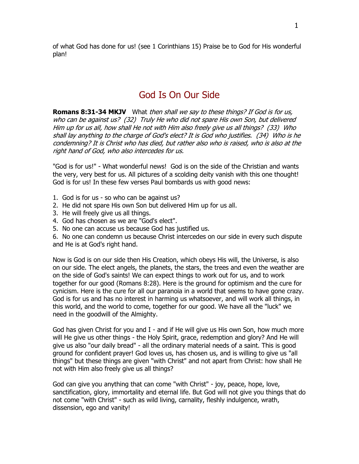7 of what God has done for us! (see 1 Corinthians 15) Praise be to God for His wonderful plan!

### God Is On Our Side

**Romans 8:31-34 MKJV** What then shall we say to these things? If God is for us, who can be against us? (32) Truly He who did not spare His own Son, but delivered Him up for us all, how shall He not with Him also freely give us all things? (33) Who shall lay anything to the charge of God's elect? It is God who justifies. (34) Who is he condemning? It is Christ who has died, but rather also who is raised, who is also at the right hand of God, who also intercedes for us.

"God is for us!" - What wonderful news! God is on the side of the Christian and wants the very, very best for us. All pictures of a scolding deity vanish with this one thought! God is for us! In these few verses Paul bombards us with good news:

- 1. God is for us so who can be against us?
- 2. He did not spare His own Son but delivered Him up for us all.
- 3. He will freely give us all things.
- 4. God has chosen as we are "God's elect".
- 5. No one can accuse us because God has justified us.

6. No one can condemn us because Christ intercedes on our side in every such dispute and He is at God's right hand.

Now is God is on our side then His Creation, which obeys His will, the Universe, is also on our side. The elect angels, the planets, the stars, the trees and even the weather are on the side of God's saints! We can expect things to work out for us, and to work together for our good (Romans 8:28). Here is the ground for optimism and the cure for cynicism. Here is the cure for all our paranoia in a world that seems to have gone crazy. God is for us and has no interest in harming us whatsoever, and will work all things, in this world, and the world to come, together for our good. We have all the "luck" we need in the goodwill of the Almighty.

God has given Christ for you and I - and if He will give us His own Son, how much more will He give us other things - the Holy Spirit, grace, redemption and glory? And He will give us also "our daily bread" - all the ordinary material needs of a saint. This is good ground for confident prayer! God loves us, has chosen us, and is willing to give us "all things" but these things are given "with Christ" and not apart from Christ: how shall He not with Him also freely give us all things?

God can give you anything that can come "with Christ" - joy, peace, hope, love, sanctification, glory, immortality and eternal life. But God will not give you things that do not come "with Christ" - such as wild living, carnality, fleshly indulgence, wrath, dissension, ego and vanity!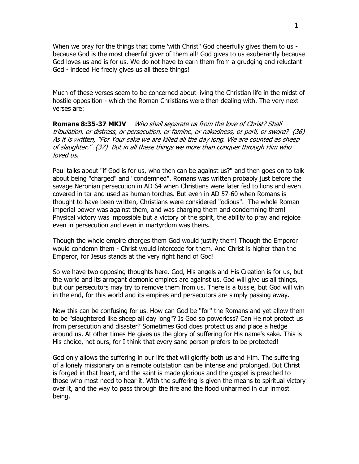When we pray for the things that come 'with Christ" God cheerfully gives them to us because God is the most cheerful giver of them all! God gives to us exuberantly because God loves us and is for us. We do not have to earn them from a grudging and reluctant God - indeed He freely gives us all these things!

Much of these verses seem to be concerned about living the Christian life in the midst of hostile opposition - which the Roman Christians were then dealing with. The very next verses are:

**Romans 8:35-37 MKJV** Who shall separate us from the love of Christ? Shall tribulation, or distress, or persecution, or famine, or nakedness, or peril, or sword? (36) As it is written, "For Your sake we are killed all the day long. We are counted as sheep of slaughter." (37) But in all these things we more than conquer through Him who loved us.

Paul talks about "if God is for us, who then can be against us?" and then goes on to talk about being "charged" and "condemned". Romans was written probably just before the savage Neronian persecution in AD 64 when Christians were later fed to lions and even covered in tar and used as human torches. But even in AD 57-60 when Romans is thought to have been written, Christians were considered "odious". The whole Roman imperial power was against them, and was charging them and condemning them! Physical victory was impossible but a victory of the spirit, the ability to pray and rejoice even in persecution and even in martyrdom was theirs.

Though the whole empire charges them God would justify them! Though the Emperor would condemn them - Christ would intercede for them. And Christ is higher than the Emperor, for Jesus stands at the very right hand of God!

So we have two opposing thoughts here. God, His angels and His Creation is for us, but the world and its arrogant demonic empires are against us. God will give us all things, but our persecutors may try to remove them from us. There is a tussle, but God will win in the end, for this world and its empires and persecutors are simply passing away.

Now this can be confusing for us. How can God be "for" the Romans and yet allow them to be "slaughtered like sheep all day long"? Is God so powerless? Can He not protect us from persecution and disaster? Sometimes God does protect us and place a hedge around us. At other times He gives us the glory of suffering for His name's sake. This is His choice, not ours, for I think that every sane person prefers to be protected!

God only allows the suffering in our life that will glorify both us and Him. The suffering of a lonely missionary on a remote outstation can be intense and prolonged. But Christ is forged in that heart, and the saint is made glorious and the gospel is preached to those who most need to hear it. With the suffering is given the means to spiritual victory over it, and the way to pass through the fire and the flood unharmed in our inmost being.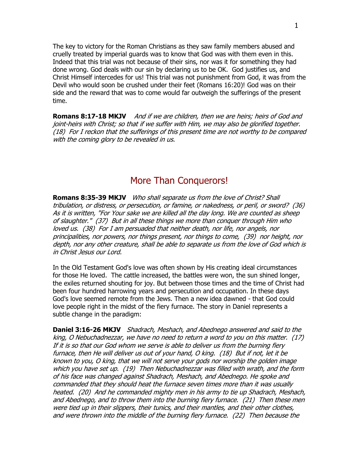9 The key to victory for the Roman Christians as they saw family members abused and cruelly treated by imperial guards was to know that God was with them even in this. Indeed that this trial was not because of their sins, nor was it for something they had done wrong. God deals with our sin by declaring us to be OK. God justifies us, and Christ Himself intercedes for us! This trial was not punishment from God, it was from the Devil who would soon be crushed under their feet (Romans 16:20)! God was on their side and the reward that was to come would far outweigh the sufferings of the present time.

**Romans 8:17-18 MKJV** And if we are children, then we are heirs; heirs of God and joint-heirs with Christ; so that if we suffer with Him, we may also be glorified together. (18) For I reckon that the sufferings of this present time are not worthy to be compared with the coming glory to be revealed in us.

## More Than Conquerors!

**Romans 8:35-39 MKJV** Who shall separate us from the love of Christ? Shall tribulation, or distress, or persecution, or famine, or nakedness, or peril, or sword? (36) As it is written, "For Your sake we are killed all the day long. We are counted as sheep of slaughter." (37) But in all these things we more than conquer through Him who loved us. (38) For I am persuaded that neither death, nor life, nor angels, nor principalities, nor powers, nor things present, nor things to come, (39) nor height, nor depth, nor any other creature, shall be able to separate us from the love of God which is in Christ Jesus our Lord.

In the Old Testament God's love was often shown by His creating ideal circumstances for those He loved. The cattle increased, the battles were won, the sun shined longer, the exiles returned shouting for joy. But between those times and the time of Christ had been four hundred harrowing years and persecution and occupation. In these days God's love seemed remote from the Jews. Then a new idea dawned - that God could love people right in the midst of the fiery furnace. The story in Daniel represents a subtle change in the paradigm:

**Daniel 3:16-26 MKJV** Shadrach, Meshach, and Abednego answered and said to the king, O Nebuchadnezzar, we have no need to return a word to you on this matter. (17) If it is so that our God whom we serve is able to deliver us from the burning fiery furnace, then He will deliver us out of your hand, O king. (18) But if not, let it be known to you, O king, that we will not serve your gods nor worship the golden image which you have set up. (19) Then Nebuchadnezzar was filled with wrath, and the form of his face was changed against Shadrach, Meshach, and Abednego. He spoke and commanded that they should heat the furnace seven times more than it was usually heated. (20) And he commanded mighty men in his army to tie up Shadrach, Meshach, and Abednego, and to throw them into the burning fiery furnace. (21) Then these men were tied up in their slippers, their tunics, and their mantles, and their other clothes, and were thrown into the middle of the burning fiery furnace. (22) Then because the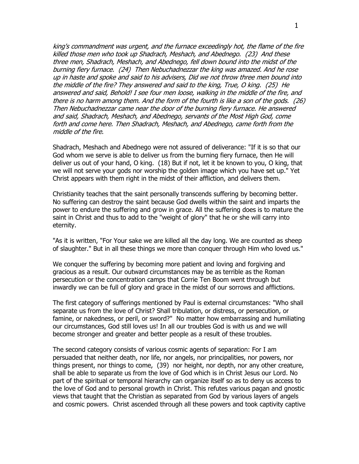0 king's commandment was urgent, and the furnace exceedingly hot, the flame of the fire killed those men who took up Shadrach, Meshach, and Abednego. (23) And these three men, Shadrach, Meshach, and Abednego, fell down bound into the midst of the burning fiery furnace. (24) Then Nebuchadnezzar the king was amazed. And he rose up in haste and spoke and said to his advisers, Did we not throw three men bound into the middle of the fire? They answered and said to the king, True, O king. (25) He answered and said, Behold! I see four men loose, walking in the middle of the fire, and there is no harm among them. And the form of the fourth is like a son of the gods. (26) Then Nebuchadnezzar came near the door of the burning fiery furnace. He answered and said, Shadrach, Meshach, and Abednego, servants of the Most High God, come forth and come here. Then Shadrach, Meshach, and Abednego, came forth from the middle of the fire.

Shadrach, Meshach and Abednego were not assured of deliverance: "If it is so that our God whom we serve is able to deliver us from the burning fiery furnace, then He will deliver us out of your hand, O king. (18) But if not, let it be known to you, O king, that we will not serve your gods nor worship the golden image which you have set up." Yet Christ appears with them right in the midst of their affliction, and delivers them.

Christianity teaches that the saint personally transcends suffering by becoming better. No suffering can destroy the saint because God dwells within the saint and imparts the power to endure the suffering and grow in grace. All the suffering does is to mature the saint in Christ and thus to add to the "weight of glory" that he or she will carry into eternity.

"As it is written, "For Your sake we are killed all the day long. We are counted as sheep of slaughter." But in all these things we more than conquer through Him who loved us."

We conquer the suffering by becoming more patient and loving and forgiving and gracious as a result. Our outward circumstances may be as terrible as the Roman persecution or the concentration camps that Corrie Ten Boom went through but inwardly we can be full of glory and grace in the midst of our sorrows and afflictions.

The first category of sufferings mentioned by Paul is external circumstances: "Who shall separate us from the love of Christ? Shall tribulation, or distress, or persecution, or famine, or nakedness, or peril, or sword?" No matter how embarrassing and humiliating our circumstances, God still loves us! In all our troubles God is with us and we will become stronger and greater and better people as a result of these troubles.

The second category consists of various cosmic agents of separation: For I am persuaded that neither death, nor life, nor angels, nor principalities, nor powers, nor things present, nor things to come, (39) nor height, nor depth, nor any other creature, shall be able to separate us from the love of God which is in Christ Jesus our Lord. No part of the spiritual or temporal hierarchy can organize itself so as to deny us access to the love of God and to personal growth in Christ. This refutes various pagan and gnostic views that taught that the Christian as separated from God by various layers of angels and cosmic powers. Christ ascended through all these powers and took captivity captive